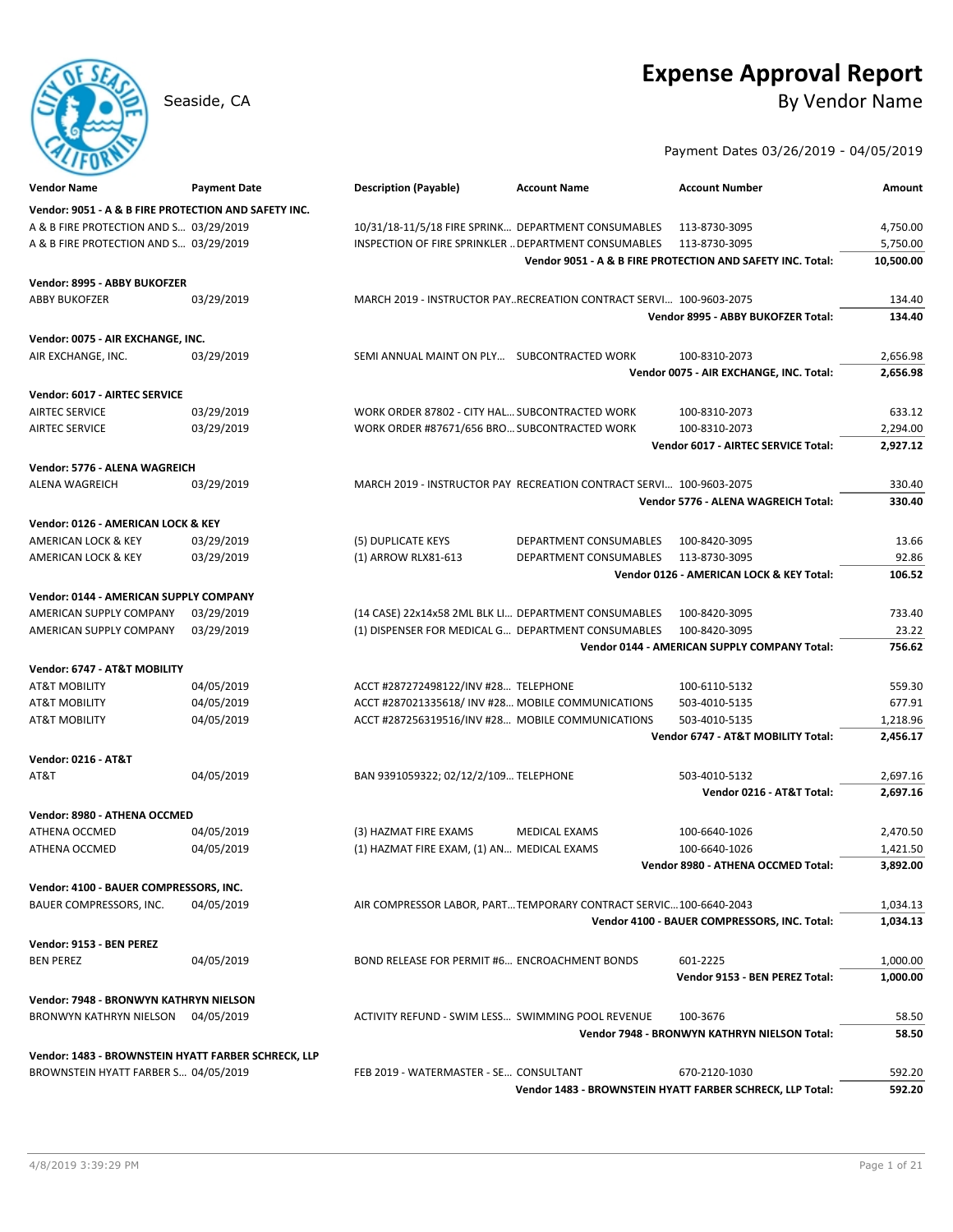# **Expense Approval Report**

Seaside, CA By Vendor Name Seaside, CA

Payment Dates 03/26/2019 - 04/05/2019

| <b>Vendor Name</b>                                   | <b>Payment Date</b> | <b>Description (Payable)</b>                         | <b>Account Name</b>                                                 | <b>Account Number</b>                                      | Amount           |
|------------------------------------------------------|---------------------|------------------------------------------------------|---------------------------------------------------------------------|------------------------------------------------------------|------------------|
| Vendor: 9051 - A & B FIRE PROTECTION AND SAFETY INC. |                     |                                                      |                                                                     |                                                            |                  |
| A & B FIRE PROTECTION AND S 03/29/2019               |                     | 10/31/18-11/5/18 FIRE SPRINK DEPARTMENT CONSUMABLES  |                                                                     | 113-8730-3095                                              | 4,750.00         |
| A & B FIRE PROTECTION AND S 03/29/2019               |                     | INSPECTION OF FIRE SPRINKLER  DEPARTMENT CONSUMABLES |                                                                     | 113-8730-3095                                              | 5,750.00         |
|                                                      |                     |                                                      |                                                                     | Vendor 9051 - A & B FIRE PROTECTION AND SAFETY INC. Total: | 10,500.00        |
| Vendor: 8995 - ABBY BUKOFZER                         |                     |                                                      |                                                                     |                                                            |                  |
| <b>ABBY BUKOFZER</b>                                 | 03/29/2019          |                                                      | MARCH 2019 - INSTRUCTOR PAYRECREATION CONTRACT SERVI 100-9603-2075  |                                                            | 134.40           |
|                                                      |                     |                                                      |                                                                     | Vendor 8995 - ABBY BUKOFZER Total:                         | 134.40           |
| Vendor: 0075 - AIR EXCHANGE, INC.                    |                     |                                                      |                                                                     |                                                            |                  |
| AIR EXCHANGE, INC.                                   | 03/29/2019          | SEMI ANNUAL MAINT ON PLY SUBCONTRACTED WORK          |                                                                     | 100-8310-2073                                              | 2,656.98         |
|                                                      |                     |                                                      |                                                                     | Vendor 0075 - AIR EXCHANGE, INC. Total:                    | 2,656.98         |
| Vendor: 6017 - AIRTEC SERVICE                        |                     |                                                      |                                                                     |                                                            |                  |
| <b>AIRTEC SERVICE</b>                                | 03/29/2019          | WORK ORDER 87802 - CITY HAL SUBCONTRACTED WORK       |                                                                     | 100-8310-2073                                              | 633.12           |
| <b>AIRTEC SERVICE</b>                                | 03/29/2019          | WORK ORDER #87671/656 BRO SUBCONTRACTED WORK         |                                                                     | 100-8310-2073                                              | 2,294.00         |
|                                                      |                     |                                                      |                                                                     | Vendor 6017 - AIRTEC SERVICE Total:                        | 2,927.12         |
|                                                      |                     |                                                      |                                                                     |                                                            |                  |
| Vendor: 5776 - ALENA WAGREICH                        | 03/29/2019          |                                                      |                                                                     |                                                            |                  |
| ALENA WAGREICH                                       |                     |                                                      | MARCH 2019 - INSTRUCTOR PAY RECREATION CONTRACT SERVI 100-9603-2075 | Vendor 5776 - ALENA WAGREICH Total:                        | 330.40<br>330.40 |
|                                                      |                     |                                                      |                                                                     |                                                            |                  |
| Vendor: 0126 - AMERICAN LOCK & KEY                   |                     |                                                      |                                                                     |                                                            |                  |
| AMERICAN LOCK & KEY                                  | 03/29/2019          | (5) DUPLICATE KEYS                                   | <b>DEPARTMENT CONSUMABLES</b>                                       | 100-8420-3095                                              | 13.66            |
| AMERICAN LOCK & KEY                                  | 03/29/2019          | (1) ARROW RLX81-613                                  | DEPARTMENT CONSUMABLES                                              | 113-8730-3095                                              | 92.86            |
|                                                      |                     |                                                      |                                                                     | Vendor 0126 - AMERICAN LOCK & KEY Total:                   | 106.52           |
| Vendor: 0144 - AMERICAN SUPPLY COMPANY               |                     |                                                      |                                                                     |                                                            |                  |
| AMERICAN SUPPLY COMPANY                              | 03/29/2019          | (14 CASE) 22x14x58 2ML BLK LI DEPARTMENT CONSUMABLES |                                                                     | 100-8420-3095                                              | 733.40           |
| AMERICAN SUPPLY COMPANY                              | 03/29/2019          | (1) DISPENSER FOR MEDICAL G DEPARTMENT CONSUMABLES   |                                                                     | 100-8420-3095                                              | 23.22            |
|                                                      |                     |                                                      |                                                                     | Vendor 0144 - AMERICAN SUPPLY COMPANY Total:               | 756.62           |
| Vendor: 6747 - AT&T MOBILITY                         |                     |                                                      |                                                                     |                                                            |                  |
| <b>AT&amp;T MOBILITY</b>                             | 04/05/2019          | ACCT #287272498122/INV #28 TELEPHONE                 |                                                                     | 100-6110-5132                                              | 559.30           |
| <b>AT&amp;T MOBILITY</b>                             | 04/05/2019          | ACCT #287021335618/INV #28 MOBILE COMMUNICATIONS     |                                                                     | 503-4010-5135                                              | 677.91           |
| AT&T MOBILITY                                        | 04/05/2019          | ACCT #287256319516/INV #28 MOBILE COMMUNICATIONS     |                                                                     | 503-4010-5135                                              | 1,218.96         |
|                                                      |                     |                                                      |                                                                     | Vendor 6747 - AT&T MOBILITY Total:                         | 2,456.17         |
| <b>Vendor: 0216 - AT&amp;T</b>                       |                     |                                                      |                                                                     |                                                            |                  |
| AT&T                                                 | 04/05/2019          | BAN 9391059322; 02/12/2/109 TELEPHONE                |                                                                     | 503-4010-5132                                              | 2,697.16         |
|                                                      |                     |                                                      |                                                                     | Vendor 0216 - AT&T Total:                                  | 2,697.16         |
| Vendor: 8980 - ATHENA OCCMED                         |                     |                                                      |                                                                     |                                                            |                  |
| <b>ATHENA OCCMED</b>                                 | 04/05/2019          | (3) HAZMAT FIRE EXAMS                                | <b>MEDICAL EXAMS</b>                                                | 100-6640-1026                                              | 2,470.50         |
| <b>ATHENA OCCMED</b>                                 | 04/05/2019          | (1) HAZMAT FIRE EXAM, (1) AN MEDICAL EXAMS           |                                                                     | 100-6640-1026                                              | 1,421.50         |
|                                                      |                     |                                                      |                                                                     | Vendor 8980 - ATHENA OCCMED Total:                         | 3.892.00         |
|                                                      |                     |                                                      |                                                                     |                                                            |                  |
| Vendor: 4100 - BAUER COMPRESSORS, INC.               |                     |                                                      |                                                                     |                                                            |                  |
| BAUER COMPRESSORS, INC.                              | 04/05/2019          |                                                      | AIR COMPRESSOR LABOR, PARTTEMPORARY CONTRACT SERVIC100-6640-2043    |                                                            | 1,034.13         |
|                                                      |                     |                                                      |                                                                     | Vendor 4100 - BAUER COMPRESSORS, INC. Total:               | 1,034.13         |
| Vendor: 9153 - BEN PEREZ                             |                     |                                                      |                                                                     |                                                            |                  |
| <b>BEN PEREZ</b>                                     | 04/05/2019          | BOND RELEASE FOR PERMIT #6 ENCROACHMENT BONDS        |                                                                     | 601-2225                                                   | 1,000.00         |
|                                                      |                     |                                                      |                                                                     | Vendor 9153 - BEN PEREZ Total:                             | 1,000.00         |
| Vendor: 7948 - BRONWYN KATHRYN NIELSON               |                     |                                                      |                                                                     |                                                            |                  |
| BRONWYN KATHRYN NIELSON                              | 04/05/2019          | ACTIVITY REFUND - SWIM LESS SWIMMING POOL REVENUE    |                                                                     | 100-3676                                                   | 58.50            |
|                                                      |                     |                                                      |                                                                     | Vendor 7948 - BRONWYN KATHRYN NIELSON Total:               | 58.50            |
| Vendor: 1483 - BROWNSTEIN HYATT FARBER SCHRECK, LLP  |                     |                                                      |                                                                     |                                                            |                  |
| BROWNSTEIN HYATT FARBER S 04/05/2019                 |                     | FEB 2019 - WATERMASTER - SE CONSULTANT               |                                                                     | 670-2120-1030                                              | 592.20           |
|                                                      |                     |                                                      |                                                                     | Vendor 1483 - BROWNSTEIN HYATT FARBER SCHRECK, LLP Total:  | 592.20           |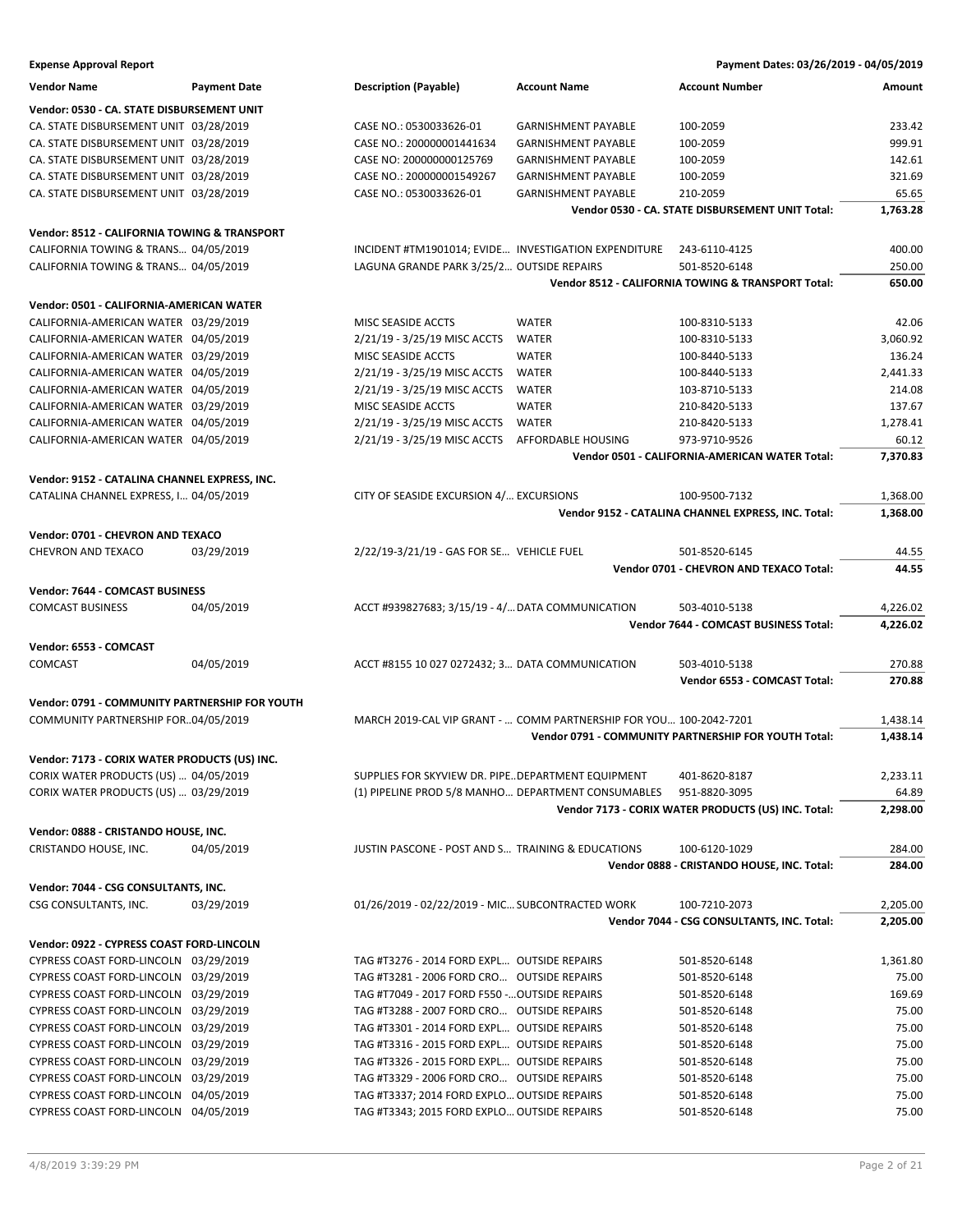| <b>Expense Approval Report</b>                 |                     |                                                                    |                            | Payment Dates: 03/26/2019 - 04/05/2019                |          |
|------------------------------------------------|---------------------|--------------------------------------------------------------------|----------------------------|-------------------------------------------------------|----------|
| <b>Vendor Name</b>                             | <b>Payment Date</b> | <b>Description (Payable)</b>                                       | <b>Account Name</b>        | <b>Account Number</b>                                 | Amount   |
| Vendor: 0530 - CA. STATE DISBURSEMENT UNIT     |                     |                                                                    |                            |                                                       |          |
| CA. STATE DISBURSEMENT UNIT 03/28/2019         |                     | CASE NO.: 0530033626-01                                            | <b>GARNISHMENT PAYABLE</b> | 100-2059                                              | 233.42   |
| CA. STATE DISBURSEMENT UNIT 03/28/2019         |                     | CASE NO.: 200000001441634                                          | <b>GARNISHMENT PAYABLE</b> | 100-2059                                              | 999.91   |
| CA. STATE DISBURSEMENT UNIT 03/28/2019         |                     | CASE NO: 200000000125769                                           | <b>GARNISHMENT PAYABLE</b> | 100-2059                                              | 142.61   |
| CA. STATE DISBURSEMENT UNIT 03/28/2019         |                     | CASE NO.: 200000001549267                                          | <b>GARNISHMENT PAYABLE</b> | 100-2059                                              | 321.69   |
| CA. STATE DISBURSEMENT UNIT 03/28/2019         |                     | CASE NO.: 0530033626-01                                            | <b>GARNISHMENT PAYABLE</b> | 210-2059                                              | 65.65    |
|                                                |                     |                                                                    |                            | Vendor 0530 - CA. STATE DISBURSEMENT UNIT Total:      | 1,763.28 |
|                                                |                     |                                                                    |                            |                                                       |          |
| Vendor: 8512 - CALIFORNIA TOWING & TRANSPORT   |                     |                                                                    |                            |                                                       |          |
| CALIFORNIA TOWING & TRANS 04/05/2019           |                     | INCIDENT #TM1901014; EVIDE INVESTIGATION EXPENDITURE               |                            | 243-6110-4125                                         | 400.00   |
| CALIFORNIA TOWING & TRANS 04/05/2019           |                     | LAGUNA GRANDE PARK 3/25/2 OUTSIDE REPAIRS                          |                            | 501-8520-6148                                         | 250.00   |
|                                                |                     |                                                                    |                            | Vendor 8512 - CALIFORNIA TOWING & TRANSPORT Total:    | 650.00   |
| Vendor: 0501 - CALIFORNIA-AMERICAN WATER       |                     |                                                                    |                            |                                                       |          |
| CALIFORNIA-AMERICAN WATER 03/29/2019           |                     | MISC SEASIDE ACCTS                                                 | <b>WATER</b>               | 100-8310-5133                                         | 42.06    |
| CALIFORNIA-AMERICAN WATER 04/05/2019           |                     | 2/21/19 - 3/25/19 MISC ACCTS                                       | WATER                      | 100-8310-5133                                         | 3,060.92 |
| CALIFORNIA-AMERICAN WATER 03/29/2019           |                     | MISC SEASIDE ACCTS                                                 | <b>WATER</b>               | 100-8440-5133                                         | 136.24   |
| CALIFORNIA-AMERICAN WATER 04/05/2019           |                     | 2/21/19 - 3/25/19 MISC ACCTS                                       | WATER                      | 100-8440-5133                                         | 2,441.33 |
| CALIFORNIA-AMERICAN WATER 04/05/2019           |                     | 2/21/19 - 3/25/19 MISC ACCTS                                       | WATER                      | 103-8710-5133                                         | 214.08   |
| CALIFORNIA-AMERICAN WATER 03/29/2019           |                     | MISC SEASIDE ACCTS                                                 | <b>WATER</b>               | 210-8420-5133                                         | 137.67   |
| CALIFORNIA-AMERICAN WATER 04/05/2019           |                     | 2/21/19 - 3/25/19 MISC ACCTS                                       | WATER                      | 210-8420-5133                                         | 1,278.41 |
| CALIFORNIA-AMERICAN WATER 04/05/2019           |                     | 2/21/19 - 3/25/19 MISC ACCTS                                       | AFFORDABLE HOUSING         | 973-9710-9526                                         | 60.12    |
|                                                |                     |                                                                    |                            | <b>Vendor 0501 - CALIFORNIA-AMERICAN WATER Total:</b> | 7,370.83 |
|                                                |                     |                                                                    |                            |                                                       |          |
| Vendor: 9152 - CATALINA CHANNEL EXPRESS, INC.  |                     |                                                                    |                            |                                                       |          |
| CATALINA CHANNEL EXPRESS, I 04/05/2019         |                     | CITY OF SEASIDE EXCURSION 4/ EXCURSIONS                            |                            | 100-9500-7132                                         | 1,368.00 |
|                                                |                     |                                                                    |                            | Vendor 9152 - CATALINA CHANNEL EXPRESS, INC. Total:   | 1,368.00 |
| Vendor: 0701 - CHEVRON AND TEXACO              |                     |                                                                    |                            |                                                       |          |
| CHEVRON AND TEXACO                             | 03/29/2019          | 2/22/19-3/21/19 - GAS FOR SE VEHICLE FUEL                          |                            | 501-8520-6145                                         | 44.55    |
|                                                |                     |                                                                    |                            | Vendor 0701 - CHEVRON AND TEXACO Total:               | 44.55    |
|                                                |                     |                                                                    |                            |                                                       |          |
| Vendor: 7644 - COMCAST BUSINESS                |                     |                                                                    |                            |                                                       |          |
| <b>COMCAST BUSINESS</b>                        | 04/05/2019          | ACCT #939827683; 3/15/19 - 4/ DATA COMMUNICATION                   |                            | 503-4010-5138                                         | 4,226.02 |
|                                                |                     |                                                                    |                            | Vendor 7644 - COMCAST BUSINESS Total:                 | 4,226.02 |
| Vendor: 6553 - COMCAST                         |                     |                                                                    |                            |                                                       |          |
| COMCAST                                        | 04/05/2019          | ACCT #8155 10 027 0272432; 3 DATA COMMUNICATION                    |                            | 503-4010-5138                                         | 270.88   |
|                                                |                     |                                                                    |                            | Vendor 6553 - COMCAST Total:                          | 270.88   |
| Vendor: 0791 - COMMUNITY PARTNERSHIP FOR YOUTH |                     |                                                                    |                            |                                                       |          |
|                                                |                     | MARCH 2019-CAL VIP GRANT -  COMM PARTNERSHIP FOR YOU 100-2042-7201 |                            |                                                       |          |
| COMMUNITY PARTNERSHIP FOR04/05/2019            |                     |                                                                    |                            |                                                       | 1,438.14 |
|                                                |                     |                                                                    |                            | Vendor 0791 - COMMUNITY PARTNERSHIP FOR YOUTH Total:  | 1,438.14 |
| Vendor: 7173 - CORIX WATER PRODUCTS (US) INC.  |                     |                                                                    |                            |                                                       |          |
| CORIX WATER PRODUCTS (US)  04/05/2019          |                     | SUPPLIES FOR SKYVIEW DR. PIPEDEPARTMENT EQUIPMENT                  |                            | 401-8620-8187                                         | 2,233.11 |
| CORIX WATER PRODUCTS (US)  03/29/2019          |                     | (1) PIPELINE PROD 5/8 MANHO DEPARTMENT CONSUMABLES                 |                            | 951-8820-3095                                         | 64.89    |
|                                                |                     |                                                                    |                            | Vendor 7173 - CORIX WATER PRODUCTS (US) INC. Total:   | 2,298.00 |
| Vendor: 0888 - CRISTANDO HOUSE, INC.           |                     |                                                                    |                            |                                                       |          |
| CRISTANDO HOUSE, INC.                          | 04/05/2019          | JUSTIN PASCONE - POST AND S TRAINING & EDUCATIONS                  |                            | 100-6120-1029                                         | 284.00   |
|                                                |                     |                                                                    |                            | Vendor 0888 - CRISTANDO HOUSE, INC. Total:            | 284.00   |
|                                                |                     |                                                                    |                            |                                                       |          |
| Vendor: 7044 - CSG CONSULTANTS, INC.           |                     |                                                                    |                            |                                                       |          |
| CSG CONSULTANTS, INC.                          | 03/29/2019          | 01/26/2019 - 02/22/2019 - MIC SUBCONTRACTED WORK                   |                            | 100-7210-2073                                         | 2,205.00 |
|                                                |                     |                                                                    |                            | Vendor 7044 - CSG CONSULTANTS, INC. Total:            | 2,205.00 |
| Vendor: 0922 - CYPRESS COAST FORD-LINCOLN      |                     |                                                                    |                            |                                                       |          |
| CYPRESS COAST FORD-LINCOLN 03/29/2019          |                     | TAG #T3276 - 2014 FORD EXPL OUTSIDE REPAIRS                        |                            | 501-8520-6148                                         | 1,361.80 |
| CYPRESS COAST FORD-LINCOLN 03/29/2019          |                     | TAG #T3281 - 2006 FORD CRO OUTSIDE REPAIRS                         |                            | 501-8520-6148                                         | 75.00    |
| CYPRESS COAST FORD-LINCOLN 03/29/2019          |                     | TAG #T7049 - 2017 FORD F550 - OUTSIDE REPAIRS                      |                            | 501-8520-6148                                         | 169.69   |
| CYPRESS COAST FORD-LINCOLN 03/29/2019          |                     | TAG #T3288 - 2007 FORD CRO OUTSIDE REPAIRS                         |                            | 501-8520-6148                                         | 75.00    |
| CYPRESS COAST FORD-LINCOLN 03/29/2019          |                     | TAG #T3301 - 2014 FORD EXPL OUTSIDE REPAIRS                        |                            | 501-8520-6148                                         | 75.00    |
|                                                |                     | TAG #T3316 - 2015 FORD EXPL OUTSIDE REPAIRS                        |                            |                                                       | 75.00    |
| CYPRESS COAST FORD-LINCOLN 03/29/2019          |                     |                                                                    |                            | 501-8520-6148                                         |          |
| CYPRESS COAST FORD-LINCOLN 03/29/2019          |                     | TAG #T3326 - 2015 FORD EXPL OUTSIDE REPAIRS                        |                            | 501-8520-6148                                         | 75.00    |
| CYPRESS COAST FORD-LINCOLN 03/29/2019          |                     | TAG #T3329 - 2006 FORD CRO OUTSIDE REPAIRS                         |                            | 501-8520-6148                                         | 75.00    |
| CYPRESS COAST FORD-LINCOLN 04/05/2019          |                     | TAG #T3337; 2014 FORD EXPLO OUTSIDE REPAIRS                        |                            | 501-8520-6148                                         | 75.00    |
| CYPRESS COAST FORD-LINCOLN 04/05/2019          |                     | TAG #T3343; 2015 FORD EXPLO OUTSIDE REPAIRS                        |                            | 501-8520-6148                                         | 75.00    |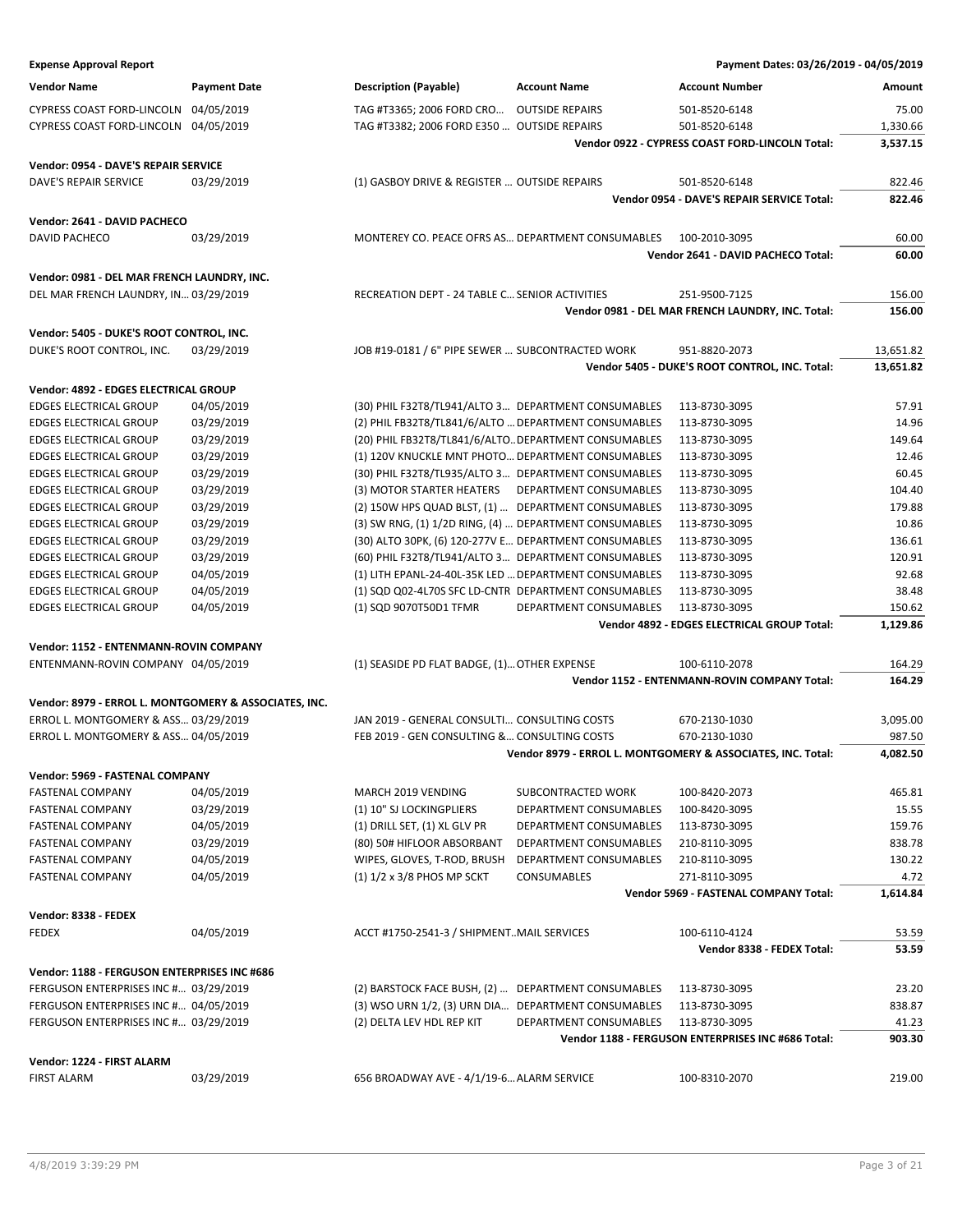| <b>Expense Approval Report</b>                                                                |                          |                                                       |                                                        | Payment Dates: 03/26/2019 - 04/05/2019                      |                  |
|-----------------------------------------------------------------------------------------------|--------------------------|-------------------------------------------------------|--------------------------------------------------------|-------------------------------------------------------------|------------------|
| <b>Vendor Name</b>                                                                            | <b>Payment Date</b>      | <b>Description (Payable)</b>                          | <b>Account Name</b>                                    | <b>Account Number</b>                                       | Amount           |
| CYPRESS COAST FORD-LINCOLN                                                                    | 04/05/2019               | TAG #T3365; 2006 FORD CRO                             | <b>OUTSIDE REPAIRS</b>                                 | 501-8520-6148                                               | 75.00            |
| CYPRESS COAST FORD-LINCOLN 04/05/2019                                                         |                          | TAG #T3382; 2006 FORD E350  OUTSIDE REPAIRS           |                                                        | 501-8520-6148                                               | 1,330.66         |
|                                                                                               |                          |                                                       |                                                        | Vendor 0922 - CYPRESS COAST FORD-LINCOLN Total:             | 3,537.15         |
| Vendor: 0954 - DAVE'S REPAIR SERVICE                                                          |                          |                                                       |                                                        |                                                             |                  |
| DAVE'S REPAIR SERVICE                                                                         | 03/29/2019               | (1) GASBOY DRIVE & REGISTER  OUTSIDE REPAIRS          |                                                        | 501-8520-6148                                               | 822.46           |
|                                                                                               |                          |                                                       |                                                        | Vendor 0954 - DAVE'S REPAIR SERVICE Total:                  | 822.46           |
|                                                                                               |                          |                                                       |                                                        |                                                             |                  |
| Vendor: 2641 - DAVID PACHECO                                                                  |                          |                                                       |                                                        |                                                             |                  |
| DAVID PACHECO                                                                                 | 03/29/2019               | MONTEREY CO. PEACE OFRS AS DEPARTMENT CONSUMABLES     |                                                        | 100-2010-3095                                               | 60.00            |
|                                                                                               |                          |                                                       |                                                        | Vendor 2641 - DAVID PACHECO Total:                          | 60.00            |
| Vendor: 0981 - DEL MAR FRENCH LAUNDRY, INC.                                                   |                          |                                                       |                                                        |                                                             |                  |
| DEL MAR FRENCH LAUNDRY, IN 03/29/2019                                                         |                          | RECREATION DEPT - 24 TABLE C SENIOR ACTIVITIES        |                                                        | 251-9500-7125                                               | 156.00           |
|                                                                                               |                          |                                                       |                                                        | Vendor 0981 - DEL MAR FRENCH LAUNDRY, INC. Total:           | 156.00           |
| Vendor: 5405 - DUKE'S ROOT CONTROL, INC.                                                      |                          |                                                       |                                                        |                                                             |                  |
| DUKE'S ROOT CONTROL, INC.                                                                     | 03/29/2019               | JOB #19-0181 / 6" PIPE SEWER  SUBCONTRACTED WORK      |                                                        | 951-8820-2073                                               | 13,651.82        |
|                                                                                               |                          |                                                       |                                                        | Vendor 5405 - DUKE'S ROOT CONTROL, INC. Total:              | 13,651.82        |
| Vendor: 4892 - EDGES ELECTRICAL GROUP                                                         |                          |                                                       |                                                        |                                                             |                  |
| <b>EDGES ELECTRICAL GROUP</b>                                                                 | 04/05/2019               | (30) PHIL F32T8/TL941/ALTO 3 DEPARTMENT CONSUMABLES   |                                                        | 113-8730-3095                                               | 57.91            |
| <b>EDGES ELECTRICAL GROUP</b>                                                                 | 03/29/2019               | (2) PHIL FB32T8/TL841/6/ALTO  DEPARTMENT CONSUMABLES  |                                                        | 113-8730-3095                                               | 14.96            |
| <b>EDGES ELECTRICAL GROUP</b>                                                                 | 03/29/2019               |                                                       | (20) PHIL FB32T8/TL841/6/ALTO DEPARTMENT CONSUMABLES   | 113-8730-3095                                               | 149.64           |
| <b>EDGES ELECTRICAL GROUP</b>                                                                 | 03/29/2019               |                                                       | (1) 120V KNUCKLE MNT PHOTO DEPARTMENT CONSUMABLES      | 113-8730-3095                                               | 12.46            |
| <b>EDGES ELECTRICAL GROUP</b>                                                                 | 03/29/2019               |                                                       | (30) PHIL F32T8/TL935/ALTO 3 DEPARTMENT CONSUMABLES    | 113-8730-3095                                               | 60.45            |
| <b>EDGES ELECTRICAL GROUP</b>                                                                 | 03/29/2019               | (3) MOTOR STARTER HEATERS                             | DEPARTMENT CONSUMABLES                                 | 113-8730-3095                                               | 104.40           |
| <b>EDGES ELECTRICAL GROUP</b>                                                                 | 03/29/2019               |                                                       | (2) 150W HPS QUAD BLST, (1)  DEPARTMENT CONSUMABLES    | 113-8730-3095                                               | 179.88           |
| <b>EDGES ELECTRICAL GROUP</b>                                                                 | 03/29/2019               |                                                       | (3) SW RNG, (1) 1/2D RING, (4)  DEPARTMENT CONSUMABLES | 113-8730-3095                                               | 10.86            |
| <b>EDGES ELECTRICAL GROUP</b>                                                                 | 03/29/2019               |                                                       | (30) ALTO 30PK, (6) 120-277V E DEPARTMENT CONSUMABLES  | 113-8730-3095                                               | 136.61           |
| <b>EDGES ELECTRICAL GROUP</b>                                                                 | 03/29/2019               |                                                       | (60) PHIL F32T8/TL941/ALTO 3 DEPARTMENT CONSUMABLES    | 113-8730-3095                                               | 120.91           |
| <b>EDGES ELECTRICAL GROUP</b>                                                                 | 04/05/2019               | (1) LITH EPANL-24-40L-35K LED  DEPARTMENT CONSUMABLES |                                                        | 113-8730-3095                                               | 92.68            |
| <b>EDGES ELECTRICAL GROUP</b>                                                                 | 04/05/2019               |                                                       | (1) SQD Q02-4L70S SFC LD-CNTR DEPARTMENT CONSUMABLES   | 113-8730-3095                                               | 38.48            |
| <b>EDGES ELECTRICAL GROUP</b>                                                                 | 04/05/2019               | (1) SQD 9070T50D1 TFMR                                | DEPARTMENT CONSUMABLES                                 | 113-8730-3095                                               | 150.62           |
|                                                                                               |                          |                                                       |                                                        | Vendor 4892 - EDGES ELECTRICAL GROUP Total:                 | 1,129.86         |
| Vendor: 1152 - ENTENMANN-ROVIN COMPANY                                                        |                          |                                                       |                                                        |                                                             |                  |
| ENTENMANN-ROVIN COMPANY 04/05/2019                                                            |                          | (1) SEASIDE PD FLAT BADGE, (1) OTHER EXPENSE          |                                                        | 100-6110-2078                                               | 164.29           |
|                                                                                               |                          |                                                       |                                                        | Vendor 1152 - ENTENMANN-ROVIN COMPANY Total:                | 164.29           |
|                                                                                               |                          |                                                       |                                                        |                                                             |                  |
| Vendor: 8979 - ERROL L. MONTGOMERY & ASSOCIATES, INC.<br>ERROL L. MONTGOMERY & ASS 03/29/2019 |                          | JAN 2019 - GENERAL CONSULTI CONSULTING COSTS          |                                                        | 670-2130-1030                                               | 3,095.00         |
| ERROL L. MONTGOMERY & ASS 04/05/2019                                                          |                          | FEB 2019 - GEN CONSULTING & CONSULTING COSTS          |                                                        | 670-2130-1030                                               | 987.50           |
|                                                                                               |                          |                                                       |                                                        | Vendor 8979 - ERROL L. MONTGOMERY & ASSOCIATES, INC. Total: | 4,082.50         |
|                                                                                               |                          |                                                       |                                                        |                                                             |                  |
| Vendor: 5969 - FASTENAL COMPANY                                                               |                          |                                                       |                                                        |                                                             |                  |
| <b>FASTENAL COMPANY</b>                                                                       | 04/05/2019               | MARCH 2019 VENDING                                    | SUBCONTRACTED WORK                                     | 100-8420-2073                                               | 465.81           |
| <b>FASTENAL COMPANY</b>                                                                       | 03/29/2019               | (1) 10" SJ LOCKINGPLIERS                              | DEPARTMENT CONSUMABLES                                 | 100-8420-3095                                               | 15.55            |
| <b>FASTENAL COMPANY</b>                                                                       | 04/05/2019               | (1) DRILL SET, (1) XL GLV PR                          | DEPARTMENT CONSUMABLES                                 | 113-8730-3095                                               | 159.76           |
| <b>FASTENAL COMPANY</b>                                                                       | 03/29/2019               | (80) 50# HIFLOOR ABSORBANT                            | DEPARTMENT CONSUMABLES                                 | 210-8110-3095                                               | 838.78           |
| <b>FASTENAL COMPANY</b>                                                                       | 04/05/2019<br>04/05/2019 | WIPES, GLOVES, T-ROD, BRUSH                           | DEPARTMENT CONSUMABLES                                 | 210-8110-3095<br>271-8110-3095                              | 130.22           |
| <b>FASTENAL COMPANY</b>                                                                       |                          | $(1)$ $1/2$ x $3/8$ PHOS MP SCKT                      | CONSUMABLES                                            | Vendor 5969 - FASTENAL COMPANY Total:                       | 4.72<br>1,614.84 |
|                                                                                               |                          |                                                       |                                                        |                                                             |                  |
| Vendor: 8338 - FEDEX                                                                          |                          |                                                       |                                                        |                                                             |                  |
| <b>FEDEX</b>                                                                                  | 04/05/2019               | ACCT #1750-2541-3 / SHIPMENTMAIL SERVICES             |                                                        | 100-6110-4124                                               | 53.59            |
|                                                                                               |                          |                                                       |                                                        | Vendor 8338 - FEDEX Total:                                  | 53.59            |
| Vendor: 1188 - FERGUSON ENTERPRISES INC #686                                                  |                          |                                                       |                                                        |                                                             |                  |
| FERGUSON ENTERPRISES INC # 03/29/2019                                                         |                          | (2) BARSTOCK FACE BUSH, (2)  DEPARTMENT CONSUMABLES   |                                                        | 113-8730-3095                                               | 23.20            |
| FERGUSON ENTERPRISES INC # 04/05/2019                                                         |                          | (3) WSO URN 1/2, (3) URN DIA DEPARTMENT CONSUMABLES   |                                                        | 113-8730-3095                                               | 838.87           |
| FERGUSON ENTERPRISES INC # 03/29/2019                                                         |                          | (2) DELTA LEV HDL REP KIT                             | DEPARTMENT CONSUMABLES                                 | 113-8730-3095                                               | 41.23            |
|                                                                                               |                          |                                                       |                                                        | Vendor 1188 - FERGUSON ENTERPRISES INC #686 Total:          | 903.30           |
| Vendor: 1224 - FIRST ALARM                                                                    |                          |                                                       |                                                        |                                                             |                  |
| <b>FIRST ALARM</b>                                                                            | 03/29/2019               | 656 BROADWAY AVE - 4/1/19-6 ALARM SERVICE             |                                                        | 100-8310-2070                                               | 219.00           |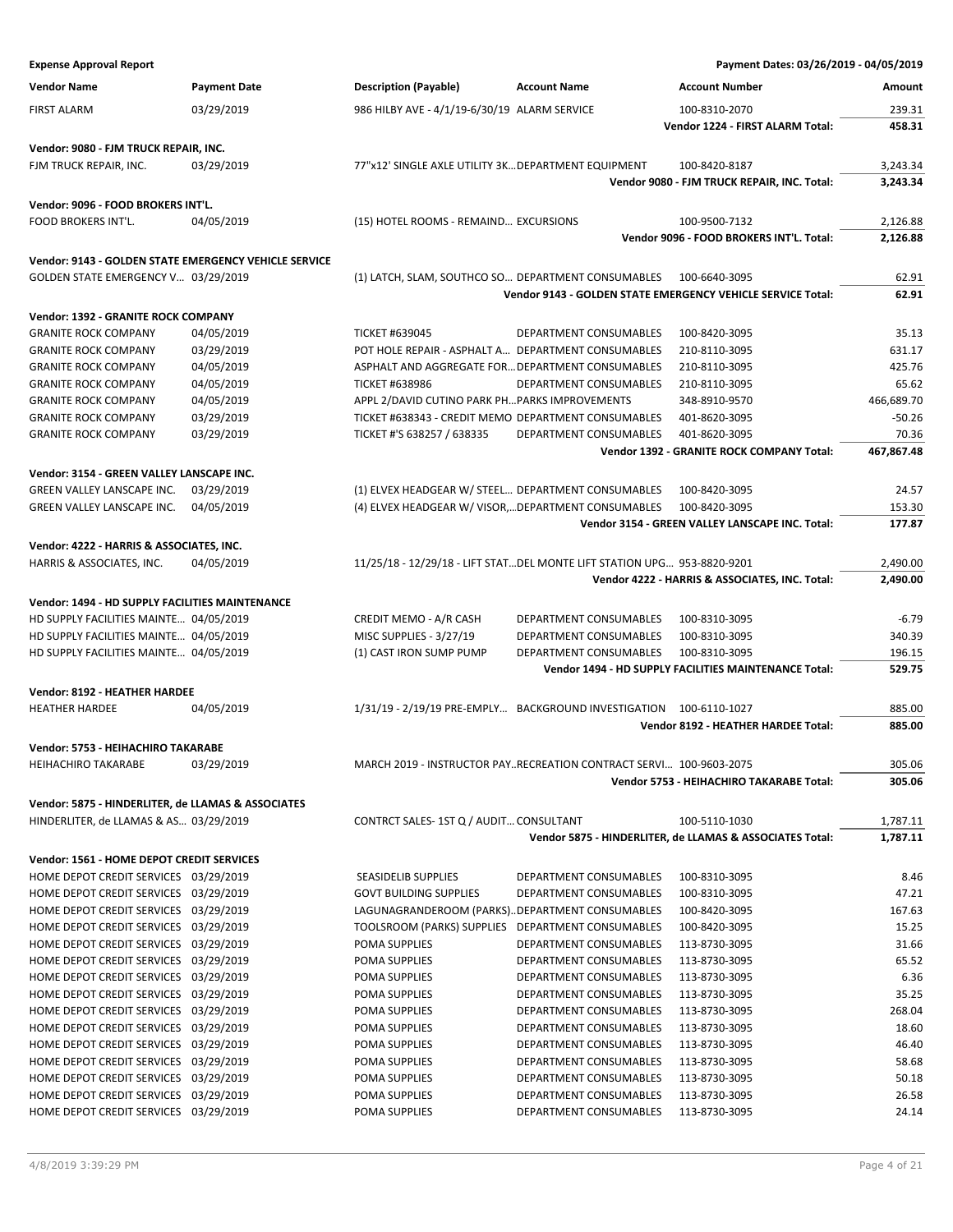| <b>Expense Approval Report</b>                                                               |                     |                                                                         |                        | Payment Dates: 03/26/2019 - 04/05/2019                      |            |
|----------------------------------------------------------------------------------------------|---------------------|-------------------------------------------------------------------------|------------------------|-------------------------------------------------------------|------------|
| <b>Vendor Name</b>                                                                           | <b>Payment Date</b> | <b>Description (Payable)</b>                                            | <b>Account Name</b>    | <b>Account Number</b>                                       | Amount     |
| <b>FIRST ALARM</b>                                                                           | 03/29/2019          | 986 HILBY AVE - 4/1/19-6/30/19 ALARM SERVICE                            |                        | 100-8310-2070                                               | 239.31     |
|                                                                                              |                     |                                                                         |                        | Vendor 1224 - FIRST ALARM Total:                            | 458.31     |
| Vendor: 9080 - FJM TRUCK REPAIR, INC.                                                        |                     |                                                                         |                        |                                                             |            |
| FJM TRUCK REPAIR, INC.                                                                       | 03/29/2019          | 77"x12' SINGLE AXLE UTILITY 3KDEPARTMENT EQUIPMENT                      |                        | 100-8420-8187                                               | 3,243.34   |
|                                                                                              |                     |                                                                         |                        | Vendor 9080 - FJM TRUCK REPAIR, INC. Total:                 | 3,243.34   |
| Vendor: 9096 - FOOD BROKERS INT'L.                                                           |                     |                                                                         |                        |                                                             |            |
| FOOD BROKERS INT'L.                                                                          | 04/05/2019          | (15) HOTEL ROOMS - REMAIND EXCURSIONS                                   |                        | 100-9500-7132                                               | 2,126.88   |
|                                                                                              |                     |                                                                         |                        | Vendor 9096 - FOOD BROKERS INT'L. Total:                    | 2,126.88   |
| Vendor: 9143 - GOLDEN STATE EMERGENCY VEHICLE SERVICE                                        |                     |                                                                         |                        |                                                             |            |
| GOLDEN STATE EMERGENCY V 03/29/2019                                                          |                     | (1) LATCH, SLAM, SOUTHCO SO DEPARTMENT CONSUMABLES                      |                        | 100-6640-3095                                               | 62.91      |
|                                                                                              |                     |                                                                         |                        | Vendor 9143 - GOLDEN STATE EMERGENCY VEHICLE SERVICE Total: | 62.91      |
| Vendor: 1392 - GRANITE ROCK COMPANY                                                          |                     |                                                                         |                        |                                                             |            |
| <b>GRANITE ROCK COMPANY</b>                                                                  | 04/05/2019          | <b>TICKET #639045</b>                                                   | DEPARTMENT CONSUMABLES | 100-8420-3095                                               | 35.13      |
| <b>GRANITE ROCK COMPANY</b>                                                                  | 03/29/2019          | POT HOLE REPAIR - ASPHALT A DEPARTMENT CONSUMABLES                      |                        | 210-8110-3095                                               | 631.17     |
| <b>GRANITE ROCK COMPANY</b>                                                                  | 04/05/2019          | ASPHALT AND AGGREGATE FOR DEPARTMENT CONSUMABLES                        |                        | 210-8110-3095                                               | 425.76     |
| <b>GRANITE ROCK COMPANY</b>                                                                  | 04/05/2019          | <b>TICKET #638986</b>                                                   | DEPARTMENT CONSUMABLES | 210-8110-3095                                               | 65.62      |
| <b>GRANITE ROCK COMPANY</b>                                                                  | 04/05/2019          | APPL 2/DAVID CUTINO PARK PHPARKS IMPROVEMENTS                           |                        | 348-8910-9570                                               | 466,689.70 |
| <b>GRANITE ROCK COMPANY</b>                                                                  | 03/29/2019          | TICKET #638343 - CREDIT MEMO DEPARTMENT CONSUMABLES                     |                        | 401-8620-3095                                               | $-50.26$   |
| <b>GRANITE ROCK COMPANY</b>                                                                  | 03/29/2019          | TICKET #'S 638257 / 638335                                              | DEPARTMENT CONSUMABLES | 401-8620-3095                                               | 70.36      |
|                                                                                              |                     |                                                                         |                        | Vendor 1392 - GRANITE ROCK COMPANY Total:                   | 467,867.48 |
| Vendor: 3154 - GREEN VALLEY LANSCAPE INC.                                                    |                     |                                                                         |                        |                                                             |            |
| GREEN VALLEY LANSCAPE INC.                                                                   | 03/29/2019          | (1) ELVEX HEADGEAR W/ STEEL DEPARTMENT CONSUMABLES                      |                        | 100-8420-3095                                               | 24.57      |
| GREEN VALLEY LANSCAPE INC.                                                                   | 04/05/2019          | (4) ELVEX HEADGEAR W/ VISOR, DEPARTMENT CONSUMABLES                     |                        | 100-8420-3095                                               | 153.30     |
|                                                                                              |                     |                                                                         |                        | Vendor 3154 - GREEN VALLEY LANSCAPE INC. Total:             | 177.87     |
| Vendor: 4222 - HARRIS & ASSOCIATES, INC.                                                     |                     |                                                                         |                        |                                                             |            |
| HARRIS & ASSOCIATES, INC.                                                                    | 04/05/2019          | 11/25/18 - 12/29/18 - LIFT STATDEL MONTE LIFT STATION UPG 953-8820-9201 |                        |                                                             | 2,490.00   |
|                                                                                              |                     |                                                                         |                        | Vendor 4222 - HARRIS & ASSOCIATES, INC. Total:              | 2,490.00   |
| Vendor: 1494 - HD SUPPLY FACILITIES MAINTENANCE                                              |                     |                                                                         |                        |                                                             |            |
| HD SUPPLY FACILITIES MAINTE 04/05/2019                                                       |                     | CREDIT MEMO - A/R CASH                                                  | DEPARTMENT CONSUMABLES | 100-8310-3095                                               | $-6.79$    |
| HD SUPPLY FACILITIES MAINTE 04/05/2019                                                       |                     | MISC SUPPLIES - 3/27/19                                                 | DEPARTMENT CONSUMABLES | 100-8310-3095                                               | 340.39     |
| HD SUPPLY FACILITIES MAINTE 04/05/2019                                                       |                     | (1) CAST IRON SUMP PUMP                                                 | DEPARTMENT CONSUMABLES | 100-8310-3095                                               | 196.15     |
|                                                                                              |                     |                                                                         |                        | Vendor 1494 - HD SUPPLY FACILITIES MAINTENANCE Total:       | 529.75     |
| Vendor: 8192 - HEATHER HARDEE                                                                |                     |                                                                         |                        |                                                             |            |
| <b>HEATHER HARDEE</b>                                                                        | 04/05/2019          | 1/31/19 - 2/19/19 PRE-EMPLY BACKGROUND INVESTIGATION  100-6110-1027     |                        |                                                             | 885.00     |
|                                                                                              |                     |                                                                         |                        | Vendor 8192 - HEATHER HARDEE Total:                         | 885.00     |
|                                                                                              |                     |                                                                         |                        |                                                             |            |
| Vendor: 5753 - HEIHACHIRO TAKARABE<br><b>HEIHACHIRO TAKARABE</b>                             | 03/29/2019          | MARCH 2019 - INSTRUCTOR PAYRECREATION CONTRACT SERVI 100-9603-2075      |                        |                                                             | 305.06     |
|                                                                                              |                     |                                                                         |                        | Vendor 5753 - HEIHACHIRO TAKARABE Total:                    | 305.06     |
|                                                                                              |                     |                                                                         |                        |                                                             |            |
| Vendor: 5875 - HINDERLITER, de LLAMAS & ASSOCIATES<br>HINDERLITER, de LLAMAS & AS 03/29/2019 |                     | CONTRCT SALES-1ST Q / AUDIT CONSULTANT                                  |                        | 100-5110-1030                                               | 1,787.11   |
|                                                                                              |                     |                                                                         |                        | Vendor 5875 - HINDERLITER, de LLAMAS & ASSOCIATES Total:    | 1,787.11   |
|                                                                                              |                     |                                                                         |                        |                                                             |            |
| Vendor: 1561 - HOME DEPOT CREDIT SERVICES                                                    |                     |                                                                         |                        |                                                             |            |
| HOME DEPOT CREDIT SERVICES 03/29/2019                                                        |                     | <b>SEASIDELIB SUPPLIES</b>                                              | DEPARTMENT CONSUMABLES | 100-8310-3095                                               | 8.46       |
| HOME DEPOT CREDIT SERVICES 03/29/2019                                                        |                     | <b>GOVT BUILDING SUPPLIES</b>                                           | DEPARTMENT CONSUMABLES | 100-8310-3095                                               | 47.21      |
| HOME DEPOT CREDIT SERVICES 03/29/2019                                                        |                     | LAGUNAGRANDEROOM (PARKS)DEPARTMENT CONSUMABLES                          |                        | 100-8420-3095                                               | 167.63     |
| HOME DEPOT CREDIT SERVICES 03/29/2019                                                        |                     | TOOLSROOM (PARKS) SUPPLIES                                              | DEPARTMENT CONSUMABLES | 100-8420-3095                                               | 15.25      |
| HOME DEPOT CREDIT SERVICES 03/29/2019                                                        |                     | POMA SUPPLIES                                                           | DEPARTMENT CONSUMABLES | 113-8730-3095                                               | 31.66      |
| HOME DEPOT CREDIT SERVICES 03/29/2019                                                        |                     | POMA SUPPLIES                                                           | DEPARTMENT CONSUMABLES | 113-8730-3095                                               | 65.52      |
| HOME DEPOT CREDIT SERVICES 03/29/2019                                                        |                     | POMA SUPPLIES                                                           | DEPARTMENT CONSUMABLES | 113-8730-3095                                               | 6.36       |
| HOME DEPOT CREDIT SERVICES 03/29/2019                                                        |                     | POMA SUPPLIES                                                           | DEPARTMENT CONSUMABLES | 113-8730-3095                                               | 35.25      |
| HOME DEPOT CREDIT SERVICES 03/29/2019                                                        |                     | POMA SUPPLIES                                                           | DEPARTMENT CONSUMABLES | 113-8730-3095                                               | 268.04     |
| HOME DEPOT CREDIT SERVICES 03/29/2019                                                        |                     | POMA SUPPLIES                                                           | DEPARTMENT CONSUMABLES | 113-8730-3095                                               | 18.60      |
| HOME DEPOT CREDIT SERVICES 03/29/2019                                                        |                     | POMA SUPPLIES                                                           | DEPARTMENT CONSUMABLES | 113-8730-3095                                               | 46.40      |
| HOME DEPOT CREDIT SERVICES 03/29/2019                                                        |                     | POMA SUPPLIES                                                           | DEPARTMENT CONSUMABLES | 113-8730-3095                                               | 58.68      |
| HOME DEPOT CREDIT SERVICES 03/29/2019                                                        |                     | POMA SUPPLIES                                                           | DEPARTMENT CONSUMABLES | 113-8730-3095                                               | 50.18      |
| HOME DEPOT CREDIT SERVICES 03/29/2019                                                        |                     | POMA SUPPLIES                                                           | DEPARTMENT CONSUMABLES | 113-8730-3095                                               | 26.58      |
| HOME DEPOT CREDIT SERVICES 03/29/2019                                                        |                     | POMA SUPPLIES                                                           | DEPARTMENT CONSUMABLES | 113-8730-3095                                               | 24.14      |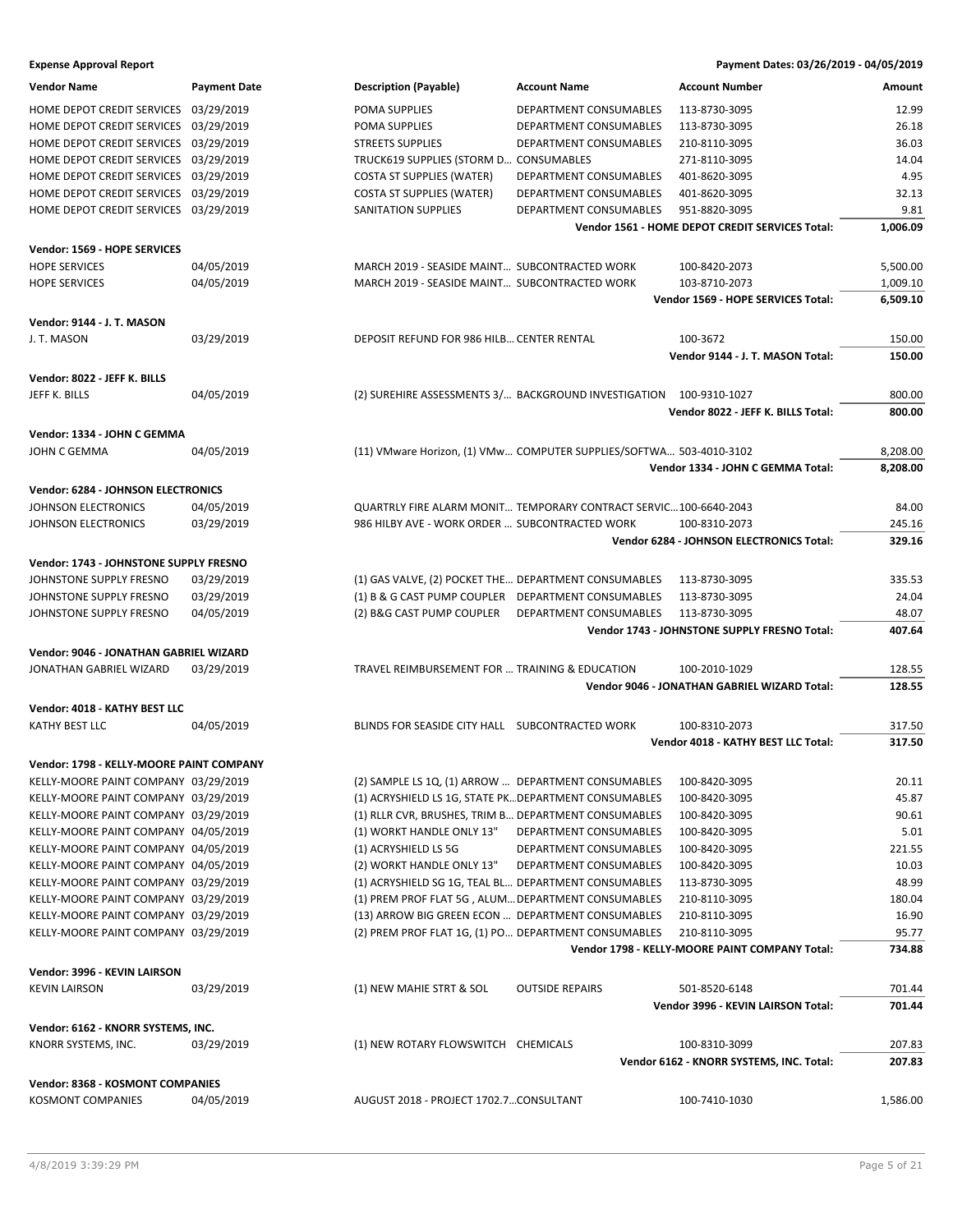**Expense Approval Report Payment Dates: 03/26/2019 - 04/05/2019**

| Vendor Name                              | <b>Payment Date</b> | <b>Description (Payable)</b>                          | <b>Account Name</b>                                                 | <b>Account Number</b>                           | Amount   |
|------------------------------------------|---------------------|-------------------------------------------------------|---------------------------------------------------------------------|-------------------------------------------------|----------|
| HOME DEPOT CREDIT SERVICES 03/29/2019    |                     | POMA SUPPLIES                                         | DEPARTMENT CONSUMABLES                                              | 113-8730-3095                                   | 12.99    |
| HOME DEPOT CREDIT SERVICES 03/29/2019    |                     | POMA SUPPLIES                                         | DEPARTMENT CONSUMABLES                                              | 113-8730-3095                                   | 26.18    |
| HOME DEPOT CREDIT SERVICES 03/29/2019    |                     | <b>STREETS SUPPLIES</b>                               | DEPARTMENT CONSUMABLES                                              | 210-8110-3095                                   | 36.03    |
| HOME DEPOT CREDIT SERVICES 03/29/2019    |                     | TRUCK619 SUPPLIES (STORM D CONSUMABLES                |                                                                     | 271-8110-3095                                   | 14.04    |
| HOME DEPOT CREDIT SERVICES 03/29/2019    |                     | <b>COSTA ST SUPPLIES (WATER)</b>                      | DEPARTMENT CONSUMABLES                                              | 401-8620-3095                                   | 4.95     |
| HOME DEPOT CREDIT SERVICES 03/29/2019    |                     | <b>COSTA ST SUPPLIES (WATER)</b>                      | DEPARTMENT CONSUMABLES                                              | 401-8620-3095                                   | 32.13    |
| HOME DEPOT CREDIT SERVICES 03/29/2019    |                     | SANITATION SUPPLIES                                   | DEPARTMENT CONSUMABLES                                              | 951-8820-3095                                   | 9.81     |
|                                          |                     |                                                       |                                                                     | Vendor 1561 - HOME DEPOT CREDIT SERVICES Total: | 1,006.09 |
|                                          |                     |                                                       |                                                                     |                                                 |          |
| Vendor: 1569 - HOPE SERVICES             |                     |                                                       |                                                                     |                                                 |          |
| <b>HOPE SERVICES</b>                     | 04/05/2019          | MARCH 2019 - SEASIDE MAINT SUBCONTRACTED WORK         |                                                                     | 100-8420-2073                                   | 5,500.00 |
| <b>HOPE SERVICES</b>                     | 04/05/2019          | MARCH 2019 - SEASIDE MAINT SUBCONTRACTED WORK         |                                                                     | 103-8710-2073                                   | 1,009.10 |
|                                          |                     |                                                       |                                                                     | Vendor 1569 - HOPE SERVICES Total:              | 6,509.10 |
|                                          |                     |                                                       |                                                                     |                                                 |          |
| Vendor: 9144 - J. T. MASON               |                     |                                                       |                                                                     |                                                 |          |
| J. T. MASON                              | 03/29/2019          | DEPOSIT REFUND FOR 986 HILB CENTER RENTAL             |                                                                     | 100-3672                                        | 150.00   |
|                                          |                     |                                                       |                                                                     | Vendor 9144 - J. T. MASON Total:                | 150.00   |
| Vendor: 8022 - JEFF K. BILLS             |                     |                                                       |                                                                     |                                                 |          |
| JEFF K. BILLS                            | 04/05/2019          |                                                       | (2) SUREHIRE ASSESSMENTS 3/ BACKGROUND INVESTIGATION 100-9310-1027  |                                                 | 800.00   |
|                                          |                     |                                                       |                                                                     | Vendor 8022 - JEFF K. BILLS Total:              | 800.00   |
|                                          |                     |                                                       |                                                                     |                                                 |          |
| Vendor: 1334 - JOHN C GEMMA              |                     |                                                       |                                                                     |                                                 |          |
| JOHN C GEMMA                             | 04/05/2019          |                                                       | (11) VMware Horizon, (1) VMw COMPUTER SUPPLIES/SOFTWA 503-4010-3102 |                                                 | 8,208.00 |
|                                          |                     |                                                       |                                                                     | Vendor 1334 - JOHN C GEMMA Total:               | 8,208.00 |
| Vendor: 6284 - JOHNSON ELECTRONICS       |                     |                                                       |                                                                     |                                                 |          |
| JOHNSON ELECTRONICS                      | 04/05/2019          |                                                       | QUARTRLY FIRE ALARM MONIT TEMPORARY CONTRACT SERVIC100-6640-2043    |                                                 | 84.00    |
| JOHNSON ELECTRONICS                      | 03/29/2019          | 986 HILBY AVE - WORK ORDER  SUBCONTRACTED WORK        |                                                                     | 100-8310-2073                                   | 245.16   |
|                                          |                     |                                                       |                                                                     | Vendor 6284 - JOHNSON ELECTRONICS Total:        | 329.16   |
|                                          |                     |                                                       |                                                                     |                                                 |          |
| Vendor: 1743 - JOHNSTONE SUPPLY FRESNO   |                     |                                                       |                                                                     |                                                 |          |
| JOHNSTONE SUPPLY FRESNO                  | 03/29/2019          | (1) GAS VALVE, (2) POCKET THE DEPARTMENT CONSUMABLES  |                                                                     | 113-8730-3095                                   | 335.53   |
| JOHNSTONE SUPPLY FRESNO                  | 03/29/2019          | (1) B & G CAST PUMP COUPLER DEPARTMENT CONSUMABLES    |                                                                     | 113-8730-3095                                   | 24.04    |
| JOHNSTONE SUPPLY FRESNO                  | 04/05/2019          | (2) B&G CAST PUMP COUPLER DEPARTMENT CONSUMABLES      |                                                                     | 113-8730-3095                                   | 48.07    |
|                                          |                     |                                                       |                                                                     | Vendor 1743 - JOHNSTONE SUPPLY FRESNO Total:    | 407.64   |
| Vendor: 9046 - JONATHAN GABRIEL WIZARD   |                     |                                                       |                                                                     |                                                 |          |
| JONATHAN GABRIEL WIZARD                  | 03/29/2019          | TRAVEL REIMBURSEMENT FOR  TRAINING & EDUCATION        |                                                                     | 100-2010-1029                                   | 128.55   |
|                                          |                     |                                                       |                                                                     | Vendor 9046 - JONATHAN GABRIEL WIZARD Total:    | 128.55   |
|                                          |                     |                                                       |                                                                     |                                                 |          |
| Vendor: 4018 - KATHY BEST LLC            |                     |                                                       |                                                                     |                                                 |          |
| <b>KATHY BEST LLC</b>                    | 04/05/2019          | BLINDS FOR SEASIDE CITY HALL SUBCONTRACTED WORK       |                                                                     | 100-8310-2073                                   | 317.50   |
|                                          |                     |                                                       |                                                                     | Vendor 4018 - KATHY BEST LLC Total:             | 317.50   |
| Vendor: 1798 - KELLY-MOORE PAINT COMPANY |                     |                                                       |                                                                     |                                                 |          |
| KELLY-MOORE PAINT COMPANY 03/29/2019     |                     |                                                       |                                                                     |                                                 | 20.11    |
|                                          |                     | (2) SAMPLE LS 1Q, (1) ARROW  DEPARTMENT CONSUMABLES   |                                                                     | 100-8420-3095                                   |          |
| KELLY-MOORE PAINT COMPANY 03/29/2019     |                     | (1) ACRYSHIELD LS 1G, STATE PK DEPARTMENT CONSUMABLES |                                                                     | 100-8420-3095                                   | 45.87    |
| KELLY-MOORE PAINT COMPANY 03/29/2019     |                     | (1) RLLR CVR, BRUSHES, TRIM B DEPARTMENT CONSUMABLES  |                                                                     | 100-8420-3095                                   | 90.61    |
| KELLY-MOORE PAINT COMPANY 04/05/2019     |                     | (1) WORKT HANDLE ONLY 13"                             | DEPARTMENT CONSUMABLES                                              | 100-8420-3095                                   | 5.01     |
| KELLY-MOORE PAINT COMPANY 04/05/2019     |                     | (1) ACRYSHIELD LS 5G                                  | DEPARTMENT CONSUMABLES                                              | 100-8420-3095                                   | 221.55   |
| KELLY-MOORE PAINT COMPANY 04/05/2019     |                     | (2) WORKT HANDLE ONLY 13"                             | DEPARTMENT CONSUMABLES                                              | 100-8420-3095                                   | 10.03    |
| KELLY-MOORE PAINT COMPANY 03/29/2019     |                     | (1) ACRYSHIELD SG 1G, TEAL BL DEPARTMENT CONSUMABLES  |                                                                     | 113-8730-3095                                   | 48.99    |
| KELLY-MOORE PAINT COMPANY 03/29/2019     |                     | (1) PREM PROF FLAT 5G, ALUM DEPARTMENT CONSUMABLES    |                                                                     | 210-8110-3095                                   | 180.04   |
| KELLY-MOORE PAINT COMPANY 03/29/2019     |                     | (13) ARROW BIG GREEN ECON  DEPARTMENT CONSUMABLES     |                                                                     | 210-8110-3095                                   | 16.90    |
| KELLY-MOORE PAINT COMPANY 03/29/2019     |                     | (2) PREM PROF FLAT 1G, (1) PO DEPARTMENT CONSUMABLES  |                                                                     | 210-8110-3095                                   | 95.77    |
|                                          |                     |                                                       |                                                                     | Vendor 1798 - KELLY-MOORE PAINT COMPANY Total:  | 734.88   |
| Vendor: 3996 - KEVIN LAIRSON             |                     |                                                       |                                                                     |                                                 |          |
|                                          |                     |                                                       |                                                                     |                                                 |          |
| <b>KEVIN LAIRSON</b>                     | 03/29/2019          | (1) NEW MAHIE STRT & SOL                              | <b>OUTSIDE REPAIRS</b>                                              | 501-8520-6148                                   | 701.44   |
|                                          |                     |                                                       |                                                                     | Vendor 3996 - KEVIN LAIRSON Total:              | 701.44   |
| Vendor: 6162 - KNORR SYSTEMS, INC.       |                     |                                                       |                                                                     |                                                 |          |
| KNORR SYSTEMS, INC.                      | 03/29/2019          | (1) NEW ROTARY FLOWSWITCH CHEMICALS                   |                                                                     | 100-8310-3099                                   | 207.83   |
|                                          |                     |                                                       |                                                                     | Vendor 6162 - KNORR SYSTEMS, INC. Total:        | 207.83   |
|                                          |                     |                                                       |                                                                     |                                                 |          |
| Vendor: 8368 - KOSMONT COMPANIES         |                     |                                                       |                                                                     |                                                 |          |
| <b>KOSMONT COMPANIES</b>                 | 04/05/2019          | AUGUST 2018 - PROJECT 1702.7CONSULTANT                |                                                                     | 100-7410-1030                                   | 1,586.00 |
|                                          |                     |                                                       |                                                                     |                                                 |          |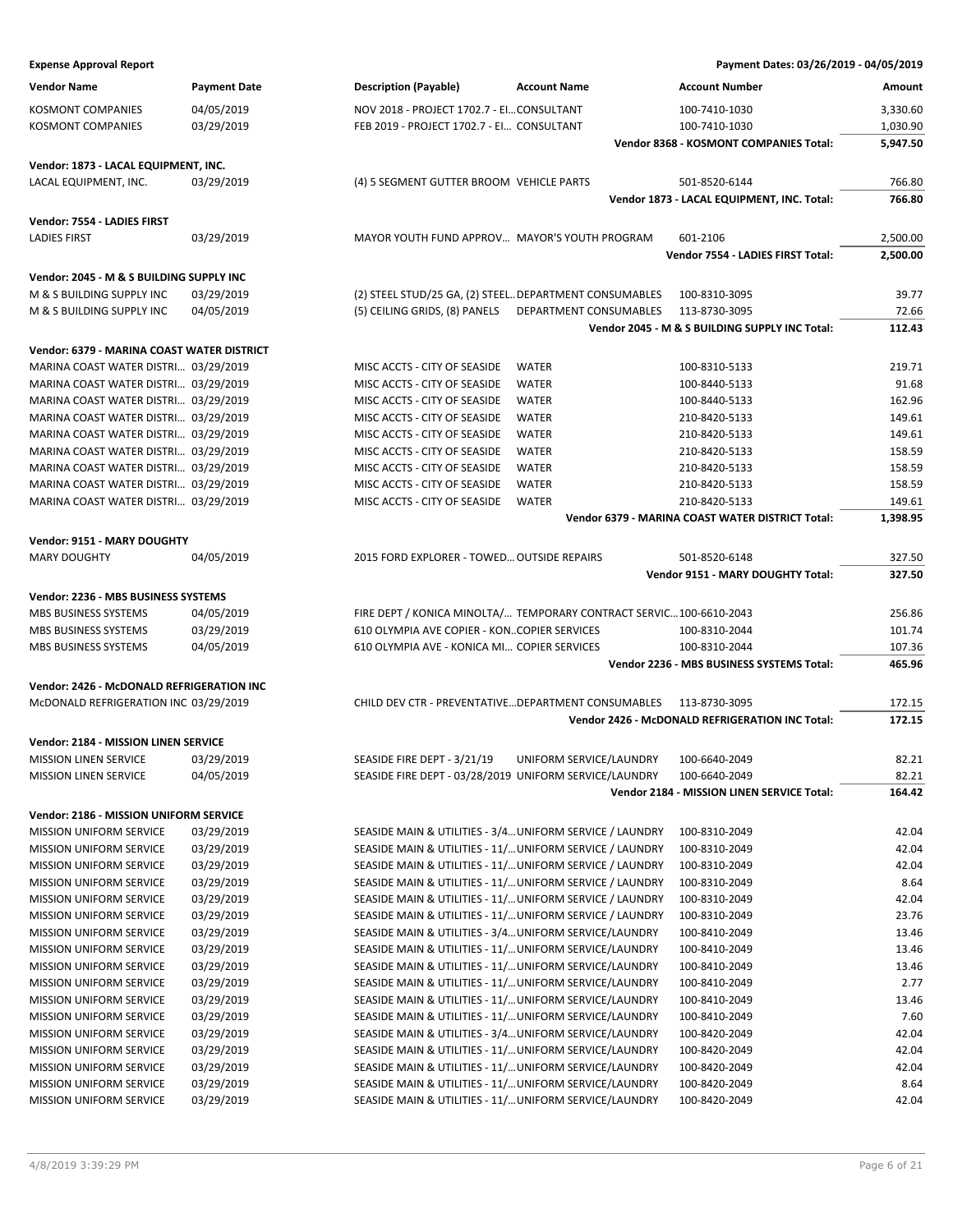| <b>Expense Approval Report</b>             |                     |                                                          |                                                                    | Payment Dates: 03/26/2019 - 04/05/2019           |          |
|--------------------------------------------|---------------------|----------------------------------------------------------|--------------------------------------------------------------------|--------------------------------------------------|----------|
| <b>Vendor Name</b>                         | <b>Payment Date</b> | <b>Description (Payable)</b>                             | <b>Account Name</b>                                                | <b>Account Number</b>                            | Amount   |
| <b>KOSMONT COMPANIES</b>                   | 04/05/2019          | NOV 2018 - PROJECT 1702.7 - EICONSULTANT                 |                                                                    | 100-7410-1030                                    | 3,330.60 |
| <b>KOSMONT COMPANIES</b>                   | 03/29/2019          | FEB 2019 - PROJECT 1702.7 - EI CONSULTANT                |                                                                    | 100-7410-1030                                    | 1,030.90 |
|                                            |                     |                                                          |                                                                    | Vendor 8368 - KOSMONT COMPANIES Total:           | 5,947.50 |
|                                            |                     |                                                          |                                                                    |                                                  |          |
| Vendor: 1873 - LACAL EQUIPMENT, INC.       |                     |                                                          |                                                                    |                                                  |          |
| LACAL EQUIPMENT, INC.                      | 03/29/2019          | (4) 5 SEGMENT GUTTER BROOM VEHICLE PARTS                 |                                                                    | 501-8520-6144                                    | 766.80   |
|                                            |                     |                                                          |                                                                    | Vendor 1873 - LACAL EQUIPMENT, INC. Total:       | 766.80   |
| Vendor: 7554 - LADIES FIRST                |                     |                                                          |                                                                    |                                                  |          |
| <b>LADIES FIRST</b>                        | 03/29/2019          | MAYOR YOUTH FUND APPROV MAYOR'S YOUTH PROGRAM            |                                                                    | 601-2106                                         | 2,500.00 |
|                                            |                     |                                                          |                                                                    | Vendor 7554 - LADIES FIRST Total:                | 2,500.00 |
| Vendor: 2045 - M & S BUILDING SUPPLY INC   |                     |                                                          |                                                                    |                                                  |          |
| M & S BUILDING SUPPLY INC                  | 03/29/2019          | (2) STEEL STUD/25 GA, (2) STEEL DEPARTMENT CONSUMABLES   |                                                                    | 100-8310-3095                                    | 39.77    |
| M & S BUILDING SUPPLY INC                  | 04/05/2019          | (5) CEILING GRIDS, (8) PANELS                            | DEPARTMENT CONSUMABLES                                             | 113-8730-3095                                    | 72.66    |
|                                            |                     |                                                          |                                                                    | Vendor 2045 - M & S BUILDING SUPPLY INC Total:   | 112.43   |
| Vendor: 6379 - MARINA COAST WATER DISTRICT |                     |                                                          |                                                                    |                                                  |          |
| MARINA COAST WATER DISTRI 03/29/2019       |                     | MISC ACCTS - CITY OF SEASIDE                             | <b>WATER</b>                                                       | 100-8310-5133                                    | 219.71   |
| MARINA COAST WATER DISTRI 03/29/2019       |                     | MISC ACCTS - CITY OF SEASIDE                             | <b>WATER</b>                                                       | 100-8440-5133                                    | 91.68    |
| MARINA COAST WATER DISTRI 03/29/2019       |                     | MISC ACCTS - CITY OF SEASIDE                             | <b>WATER</b>                                                       | 100-8440-5133                                    | 162.96   |
| MARINA COAST WATER DISTRI 03/29/2019       |                     | MISC ACCTS - CITY OF SEASIDE                             | <b>WATER</b>                                                       | 210-8420-5133                                    | 149.61   |
| MARINA COAST WATER DISTRI 03/29/2019       |                     | MISC ACCTS - CITY OF SEASIDE                             | <b>WATER</b>                                                       | 210-8420-5133                                    | 149.61   |
| MARINA COAST WATER DISTRI 03/29/2019       |                     | MISC ACCTS - CITY OF SEASIDE                             | <b>WATER</b>                                                       | 210-8420-5133                                    | 158.59   |
| MARINA COAST WATER DISTRI 03/29/2019       |                     | MISC ACCTS - CITY OF SEASIDE                             | <b>WATER</b>                                                       | 210-8420-5133                                    | 158.59   |
| MARINA COAST WATER DISTRI 03/29/2019       |                     | MISC ACCTS - CITY OF SEASIDE                             | <b>WATER</b>                                                       | 210-8420-5133                                    | 158.59   |
| MARINA COAST WATER DISTRI 03/29/2019       |                     | MISC ACCTS - CITY OF SEASIDE                             | <b>WATER</b>                                                       | 210-8420-5133                                    | 149.61   |
|                                            |                     |                                                          |                                                                    | Vendor 6379 - MARINA COAST WATER DISTRICT Total: | 1,398.95 |
| Vendor: 9151 - MARY DOUGHTY                |                     |                                                          |                                                                    |                                                  |          |
| <b>MARY DOUGHTY</b>                        | 04/05/2019          | 2015 FORD EXPLORER - TOWED OUTSIDE REPAIRS               |                                                                    | 501-8520-6148                                    | 327.50   |
|                                            |                     |                                                          |                                                                    | Vendor 9151 - MARY DOUGHTY Total:                | 327.50   |
|                                            |                     |                                                          |                                                                    |                                                  |          |
| Vendor: 2236 - MBS BUSINESS SYSTEMS        |                     |                                                          |                                                                    |                                                  |          |
| MBS BUSINESS SYSTEMS                       | 04/05/2019          |                                                          | FIRE DEPT / KONICA MINOLTA/ TEMPORARY CONTRACT SERVIC100-6610-2043 |                                                  | 256.86   |
| MBS BUSINESS SYSTEMS                       | 03/29/2019          | 610 OLYMPIA AVE COPIER - KONCOPIER SERVICES              |                                                                    | 100-8310-2044                                    | 101.74   |
| MBS BUSINESS SYSTEMS                       | 04/05/2019          | 610 OLYMPIA AVE - KONICA MI COPIER SERVICES              |                                                                    | 100-8310-2044                                    | 107.36   |
|                                            |                     |                                                          |                                                                    | Vendor 2236 - MBS BUSINESS SYSTEMS Total:        | 465.96   |
| Vendor: 2426 - McDONALD REFRIGERATION INC  |                     |                                                          |                                                                    |                                                  |          |
| McDONALD REFRIGERATION INC 03/29/2019      |                     | CHILD DEV CTR - PREVENTATIVE DEPARTMENT CONSUMABLES      |                                                                    | 113-8730-3095                                    | 172.15   |
|                                            |                     |                                                          |                                                                    | Vendor 2426 - McDONALD REFRIGERATION INC Total:  | 172.15   |
| Vendor: 2184 - MISSION LINEN SERVICE       |                     |                                                          |                                                                    |                                                  |          |
| <b>MISSION LINEN SERVICE</b>               | 03/29/2019          | SEASIDE FIRE DEPT - 3/21/19                              | UNIFORM SERVICE/LAUNDRY                                            | 100-6640-2049                                    | 82.21    |
| <b>MISSION LINEN SERVICE</b>               | 04/05/2019          | SEASIDE FIRE DEPT - 03/28/2019 UNIFORM SERVICE/LAUNDRY   |                                                                    | 100-6640-2049                                    | 82.21    |
|                                            |                     |                                                          |                                                                    | Vendor 2184 - MISSION LINEN SERVICE Total:       | 164.42   |
| Vendor: 2186 - MISSION UNIFORM SERVICE     |                     |                                                          |                                                                    |                                                  |          |
| MISSION UNIFORM SERVICE                    | 03/29/2019          | SEASIDE MAIN & UTILITIES - 3/4 UNIFORM SERVICE / LAUNDRY |                                                                    | 100-8310-2049                                    | 42.04    |
| MISSION UNIFORM SERVICE                    | 03/29/2019          | SEASIDE MAIN & UTILITIES - 11/ UNIFORM SERVICE / LAUNDRY |                                                                    | 100-8310-2049                                    | 42.04    |
| MISSION UNIFORM SERVICE                    | 03/29/2019          | SEASIDE MAIN & UTILITIES - 11/ UNIFORM SERVICE / LAUNDRY |                                                                    | 100-8310-2049                                    | 42.04    |
| <b>MISSION UNIFORM SERVICE</b>             | 03/29/2019          | SEASIDE MAIN & UTILITIES - 11/ UNIFORM SERVICE / LAUNDRY |                                                                    | 100-8310-2049                                    | 8.64     |
| MISSION UNIFORM SERVICE                    | 03/29/2019          | SEASIDE MAIN & UTILITIES - 11/ UNIFORM SERVICE / LAUNDRY |                                                                    | 100-8310-2049                                    | 42.04    |
| MISSION UNIFORM SERVICE                    | 03/29/2019          | SEASIDE MAIN & UTILITIES - 11/ UNIFORM SERVICE / LAUNDRY |                                                                    | 100-8310-2049                                    | 23.76    |
| MISSION UNIFORM SERVICE                    | 03/29/2019          | SEASIDE MAIN & UTILITIES - 3/4 UNIFORM SERVICE/LAUNDRY   |                                                                    | 100-8410-2049                                    | 13.46    |
| MISSION UNIFORM SERVICE                    | 03/29/2019          | SEASIDE MAIN & UTILITIES - 11/ UNIFORM SERVICE/LAUNDRY   |                                                                    | 100-8410-2049                                    | 13.46    |
| MISSION UNIFORM SERVICE                    | 03/29/2019          | SEASIDE MAIN & UTILITIES - 11/ UNIFORM SERVICE/LAUNDRY   |                                                                    | 100-8410-2049                                    | 13.46    |
| MISSION UNIFORM SERVICE                    | 03/29/2019          | SEASIDE MAIN & UTILITIES - 11/ UNIFORM SERVICE/LAUNDRY   |                                                                    | 100-8410-2049                                    | 2.77     |
| MISSION UNIFORM SERVICE                    | 03/29/2019          | SEASIDE MAIN & UTILITIES - 11/ UNIFORM SERVICE/LAUNDRY   |                                                                    | 100-8410-2049                                    | 13.46    |
| MISSION UNIFORM SERVICE                    | 03/29/2019          | SEASIDE MAIN & UTILITIES - 11/ UNIFORM SERVICE/LAUNDRY   |                                                                    | 100-8410-2049                                    | 7.60     |
| MISSION UNIFORM SERVICE                    | 03/29/2019          | SEASIDE MAIN & UTILITIES - 3/4 UNIFORM SERVICE/LAUNDRY   |                                                                    | 100-8420-2049                                    | 42.04    |
| <b>MISSION UNIFORM SERVICE</b>             | 03/29/2019          | SEASIDE MAIN & UTILITIES - 11/ UNIFORM SERVICE/LAUNDRY   |                                                                    | 100-8420-2049                                    | 42.04    |
| MISSION UNIFORM SERVICE                    | 03/29/2019          | SEASIDE MAIN & UTILITIES - 11/ UNIFORM SERVICE/LAUNDRY   |                                                                    | 100-8420-2049                                    | 42.04    |
| MISSION UNIFORM SERVICE                    | 03/29/2019          | SEASIDE MAIN & UTILITIES - 11/ UNIFORM SERVICE/LAUNDRY   |                                                                    | 100-8420-2049                                    | 8.64     |
| MISSION UNIFORM SERVICE                    | 03/29/2019          | SEASIDE MAIN & UTILITIES - 11/ UNIFORM SERVICE/LAUNDRY   |                                                                    | 100-8420-2049                                    | 42.04    |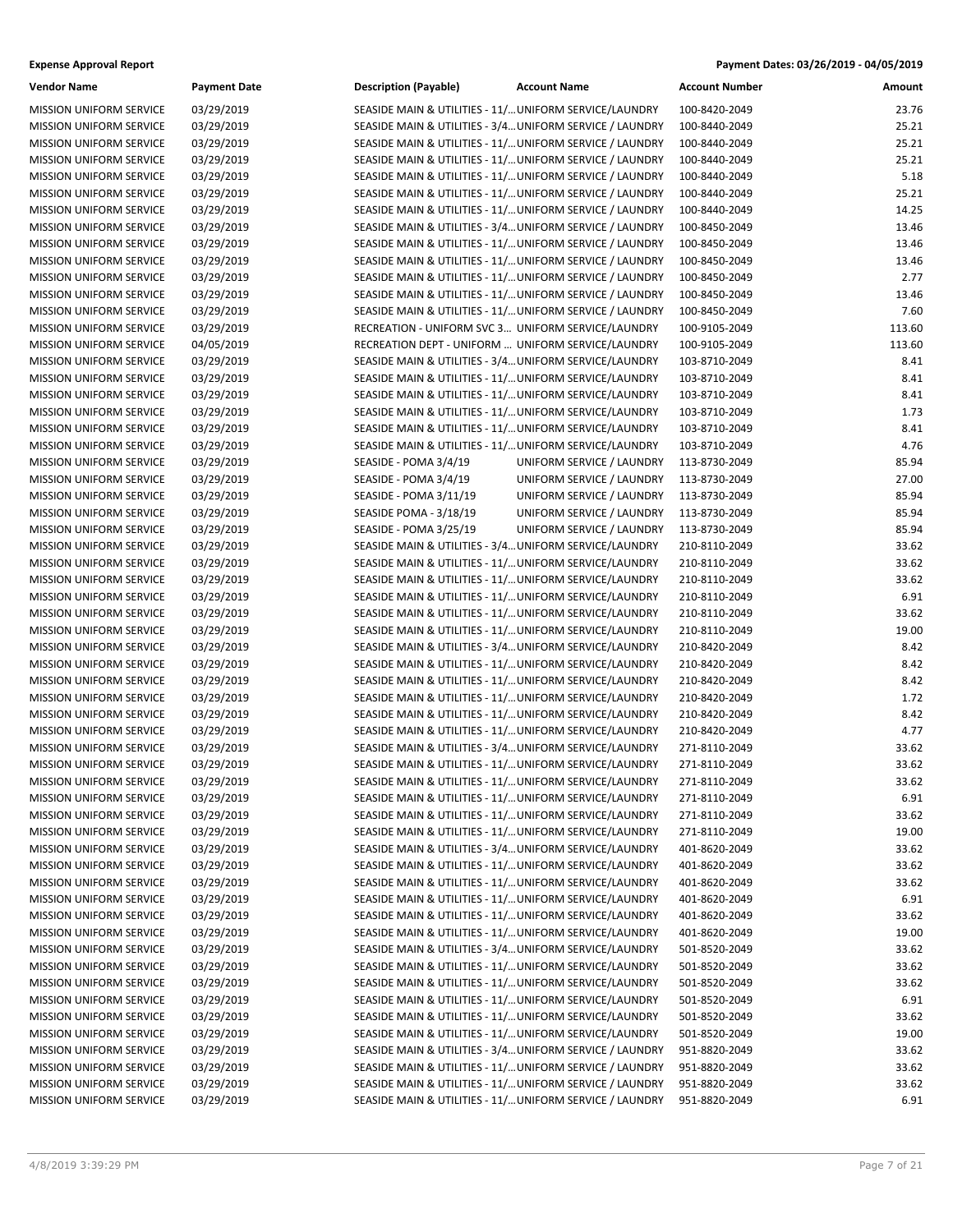| Payment Dates: 03/26/2019 - 04/05/2019 |
|----------------------------------------|
|                                        |

| <b>Vendor Name</b>             | <b>Payment Date</b> | <b>Description (Payable)</b>                             | <b>Account Name</b>       | <b>Account Number</b> | Amount |
|--------------------------------|---------------------|----------------------------------------------------------|---------------------------|-----------------------|--------|
| <b>MISSION UNIFORM SERVICE</b> | 03/29/2019          | SEASIDE MAIN & UTILITIES - 11/ UNIFORM SERVICE/LAUNDRY   |                           | 100-8420-2049         | 23.76  |
| MISSION UNIFORM SERVICE        | 03/29/2019          | SEASIDE MAIN & UTILITIES - 3/4 UNIFORM SERVICE / LAUNDRY |                           | 100-8440-2049         | 25.21  |
| <b>MISSION UNIFORM SERVICE</b> | 03/29/2019          | SEASIDE MAIN & UTILITIES - 11/ UNIFORM SERVICE / LAUNDRY |                           | 100-8440-2049         | 25.21  |
| MISSION UNIFORM SERVICE        | 03/29/2019          | SEASIDE MAIN & UTILITIES - 11/ UNIFORM SERVICE / LAUNDRY |                           | 100-8440-2049         | 25.21  |
| <b>MISSION UNIFORM SERVICE</b> | 03/29/2019          | SEASIDE MAIN & UTILITIES - 11/ UNIFORM SERVICE / LAUNDRY |                           | 100-8440-2049         | 5.18   |
| MISSION UNIFORM SERVICE        | 03/29/2019          | SEASIDE MAIN & UTILITIES - 11/ UNIFORM SERVICE / LAUNDRY |                           | 100-8440-2049         | 25.21  |
| MISSION UNIFORM SERVICE        | 03/29/2019          | SEASIDE MAIN & UTILITIES - 11/ UNIFORM SERVICE / LAUNDRY |                           | 100-8440-2049         | 14.25  |
| MISSION UNIFORM SERVICE        | 03/29/2019          | SEASIDE MAIN & UTILITIES - 3/4 UNIFORM SERVICE / LAUNDRY |                           | 100-8450-2049         | 13.46  |
| MISSION UNIFORM SERVICE        | 03/29/2019          | SEASIDE MAIN & UTILITIES - 11/ UNIFORM SERVICE / LAUNDRY |                           | 100-8450-2049         | 13.46  |
| <b>MISSION UNIFORM SERVICE</b> | 03/29/2019          | SEASIDE MAIN & UTILITIES - 11/ UNIFORM SERVICE / LAUNDRY |                           | 100-8450-2049         | 13.46  |
| MISSION UNIFORM SERVICE        | 03/29/2019          | SEASIDE MAIN & UTILITIES - 11/ UNIFORM SERVICE / LAUNDRY |                           | 100-8450-2049         | 2.77   |
| MISSION UNIFORM SERVICE        | 03/29/2019          | SEASIDE MAIN & UTILITIES - 11/ UNIFORM SERVICE / LAUNDRY |                           | 100-8450-2049         | 13.46  |
| MISSION UNIFORM SERVICE        | 03/29/2019          | SEASIDE MAIN & UTILITIES - 11/ UNIFORM SERVICE / LAUNDRY |                           | 100-8450-2049         | 7.60   |
| MISSION UNIFORM SERVICE        | 03/29/2019          | RECREATION - UNIFORM SVC 3 UNIFORM SERVICE/LAUNDRY       |                           | 100-9105-2049         | 113.60 |
| MISSION UNIFORM SERVICE        | 04/05/2019          | RECREATION DEPT - UNIFORM  UNIFORM SERVICE/LAUNDRY       |                           | 100-9105-2049         | 113.60 |
| MISSION UNIFORM SERVICE        | 03/29/2019          | SEASIDE MAIN & UTILITIES - 3/4 UNIFORM SERVICE/LAUNDRY   |                           | 103-8710-2049         | 8.41   |
| MISSION UNIFORM SERVICE        | 03/29/2019          | SEASIDE MAIN & UTILITIES - 11/ UNIFORM SERVICE/LAUNDRY   |                           | 103-8710-2049         | 8.41   |
| MISSION UNIFORM SERVICE        | 03/29/2019          | SEASIDE MAIN & UTILITIES - 11/ UNIFORM SERVICE/LAUNDRY   |                           | 103-8710-2049         | 8.41   |
| MISSION UNIFORM SERVICE        | 03/29/2019          | SEASIDE MAIN & UTILITIES - 11/ UNIFORM SERVICE/LAUNDRY   |                           | 103-8710-2049         | 1.73   |
| <b>MISSION UNIFORM SERVICE</b> | 03/29/2019          | SEASIDE MAIN & UTILITIES - 11/ UNIFORM SERVICE/LAUNDRY   |                           | 103-8710-2049         | 8.41   |
| MISSION UNIFORM SERVICE        | 03/29/2019          | SEASIDE MAIN & UTILITIES - 11/ UNIFORM SERVICE/LAUNDRY   |                           | 103-8710-2049         | 4.76   |
| MISSION UNIFORM SERVICE        | 03/29/2019          | SEASIDE - POMA 3/4/19                                    | UNIFORM SERVICE / LAUNDRY | 113-8730-2049         | 85.94  |
| MISSION UNIFORM SERVICE        | 03/29/2019          | SEASIDE - POMA 3/4/19                                    | UNIFORM SERVICE / LAUNDRY | 113-8730-2049         | 27.00  |
| MISSION UNIFORM SERVICE        | 03/29/2019          | SEASIDE - POMA 3/11/19                                   | UNIFORM SERVICE / LAUNDRY | 113-8730-2049         | 85.94  |
| <b>MISSION UNIFORM SERVICE</b> | 03/29/2019          | SEASIDE POMA - 3/18/19                                   | UNIFORM SERVICE / LAUNDRY | 113-8730-2049         | 85.94  |
| MISSION UNIFORM SERVICE        | 03/29/2019          | SEASIDE - POMA 3/25/19                                   | UNIFORM SERVICE / LAUNDRY | 113-8730-2049         | 85.94  |
| MISSION UNIFORM SERVICE        | 03/29/2019          | SEASIDE MAIN & UTILITIES - 3/4 UNIFORM SERVICE/LAUNDRY   |                           | 210-8110-2049         | 33.62  |
| MISSION UNIFORM SERVICE        | 03/29/2019          | SEASIDE MAIN & UTILITIES - 11/ UNIFORM SERVICE/LAUNDRY   |                           | 210-8110-2049         | 33.62  |
| MISSION UNIFORM SERVICE        | 03/29/2019          | SEASIDE MAIN & UTILITIES - 11/ UNIFORM SERVICE/LAUNDRY   |                           | 210-8110-2049         | 33.62  |
| <b>MISSION UNIFORM SERVICE</b> | 03/29/2019          | SEASIDE MAIN & UTILITIES - 11/ UNIFORM SERVICE/LAUNDRY   |                           | 210-8110-2049         | 6.91   |
| MISSION UNIFORM SERVICE        | 03/29/2019          | SEASIDE MAIN & UTILITIES - 11/ UNIFORM SERVICE/LAUNDRY   |                           | 210-8110-2049         | 33.62  |
| MISSION UNIFORM SERVICE        | 03/29/2019          | SEASIDE MAIN & UTILITIES - 11/ UNIFORM SERVICE/LAUNDRY   |                           | 210-8110-2049         | 19.00  |
| MISSION UNIFORM SERVICE        | 03/29/2019          | SEASIDE MAIN & UTILITIES - 3/4 UNIFORM SERVICE/LAUNDRY   |                           | 210-8420-2049         | 8.42   |
| MISSION UNIFORM SERVICE        | 03/29/2019          | SEASIDE MAIN & UTILITIES - 11/ UNIFORM SERVICE/LAUNDRY   |                           | 210-8420-2049         | 8.42   |
| <b>MISSION UNIFORM SERVICE</b> | 03/29/2019          | SEASIDE MAIN & UTILITIES - 11/ UNIFORM SERVICE/LAUNDRY   |                           | 210-8420-2049         | 8.42   |
| MISSION UNIFORM SERVICE        | 03/29/2019          | SEASIDE MAIN & UTILITIES - 11/ UNIFORM SERVICE/LAUNDRY   |                           | 210-8420-2049         | 1.72   |
| MISSION UNIFORM SERVICE        | 03/29/2019          | SEASIDE MAIN & UTILITIES - 11/ UNIFORM SERVICE/LAUNDRY   |                           | 210-8420-2049         | 8.42   |
| MISSION UNIFORM SERVICE        | 03/29/2019          | SEASIDE MAIN & UTILITIES - 11/ UNIFORM SERVICE/LAUNDRY   |                           | 210-8420-2049         | 4.77   |
| MISSION UNIFORM SERVICE        | 03/29/2019          | SEASIDE MAIN & UTILITIES - 3/4 UNIFORM SERVICE/LAUNDRY   |                           | 271-8110-2049         | 33.62  |
| <b>MISSION UNIFORM SERVICE</b> | 03/29/2019          | SEASIDE MAIN & UTILITIES - 11/ UNIFORM SERVICE/LAUNDRY   |                           | 271-8110-2049         | 33.62  |
| MISSION UNIFORM SERVICE        | 03/29/2019          | SEASIDE MAIN & UTILITIES - 11/ UNIFORM SERVICE/LAUNDRY   |                           | 271-8110-2049         | 33.62  |
| MISSION UNIFORM SERVICE        | 03/29/2019          | SEASIDE MAIN & UTILITIES - 11/ UNIFORM SERVICE/LAUNDRY   |                           | 271-8110-2049         | 6.91   |
| <b>MISSION UNIFORM SERVICE</b> | 03/29/2019          | SEASIDE MAIN & UTILITIES - 11/ UNIFORM SERVICE/LAUNDRY   |                           | 271-8110-2049         | 33.62  |
| MISSION UNIFORM SERVICE        | 03/29/2019          | SEASIDE MAIN & UTILITIES - 11/ UNIFORM SERVICE/LAUNDRY   |                           | 271-8110-2049         | 19.00  |
| MISSION UNIFORM SERVICE        | 03/29/2019          | SEASIDE MAIN & UTILITIES - 3/4 UNIFORM SERVICE/LAUNDRY   |                           | 401-8620-2049         | 33.62  |
| <b>MISSION UNIFORM SERVICE</b> | 03/29/2019          | SEASIDE MAIN & UTILITIES - 11/ UNIFORM SERVICE/LAUNDRY   |                           | 401-8620-2049         | 33.62  |
| MISSION UNIFORM SERVICE        | 03/29/2019          | SEASIDE MAIN & UTILITIES - 11/ UNIFORM SERVICE/LAUNDRY   |                           | 401-8620-2049         | 33.62  |
| MISSION UNIFORM SERVICE        | 03/29/2019          | SEASIDE MAIN & UTILITIES - 11/ UNIFORM SERVICE/LAUNDRY   |                           | 401-8620-2049         | 6.91   |
| MISSION UNIFORM SERVICE        | 03/29/2019          | SEASIDE MAIN & UTILITIES - 11/ UNIFORM SERVICE/LAUNDRY   |                           | 401-8620-2049         | 33.62  |
| MISSION UNIFORM SERVICE        | 03/29/2019          | SEASIDE MAIN & UTILITIES - 11/ UNIFORM SERVICE/LAUNDRY   |                           | 401-8620-2049         | 19.00  |
| MISSION UNIFORM SERVICE        | 03/29/2019          | SEASIDE MAIN & UTILITIES - 3/4 UNIFORM SERVICE/LAUNDRY   |                           | 501-8520-2049         | 33.62  |
| MISSION UNIFORM SERVICE        | 03/29/2019          | SEASIDE MAIN & UTILITIES - 11/ UNIFORM SERVICE/LAUNDRY   |                           | 501-8520-2049         | 33.62  |
| MISSION UNIFORM SERVICE        | 03/29/2019          | SEASIDE MAIN & UTILITIES - 11/ UNIFORM SERVICE/LAUNDRY   |                           | 501-8520-2049         | 33.62  |
| MISSION UNIFORM SERVICE        | 03/29/2019          | SEASIDE MAIN & UTILITIES - 11/ UNIFORM SERVICE/LAUNDRY   |                           | 501-8520-2049         | 6.91   |
| MISSION UNIFORM SERVICE        | 03/29/2019          | SEASIDE MAIN & UTILITIES - 11/ UNIFORM SERVICE/LAUNDRY   |                           | 501-8520-2049         | 33.62  |
| MISSION UNIFORM SERVICE        | 03/29/2019          | SEASIDE MAIN & UTILITIES - 11/ UNIFORM SERVICE/LAUNDRY   |                           | 501-8520-2049         | 19.00  |
| MISSION UNIFORM SERVICE        | 03/29/2019          | SEASIDE MAIN & UTILITIES - 3/4 UNIFORM SERVICE / LAUNDRY |                           | 951-8820-2049         | 33.62  |
| MISSION UNIFORM SERVICE        | 03/29/2019          | SEASIDE MAIN & UTILITIES - 11/ UNIFORM SERVICE / LAUNDRY |                           | 951-8820-2049         | 33.62  |
| MISSION UNIFORM SERVICE        | 03/29/2019          | SEASIDE MAIN & UTILITIES - 11/ UNIFORM SERVICE / LAUNDRY |                           | 951-8820-2049         | 33.62  |
| MISSION UNIFORM SERVICE        | 03/29/2019          | SEASIDE MAIN & UTILITIES - 11/ UNIFORM SERVICE / LAUNDRY |                           | 951-8820-2049         | 6.91   |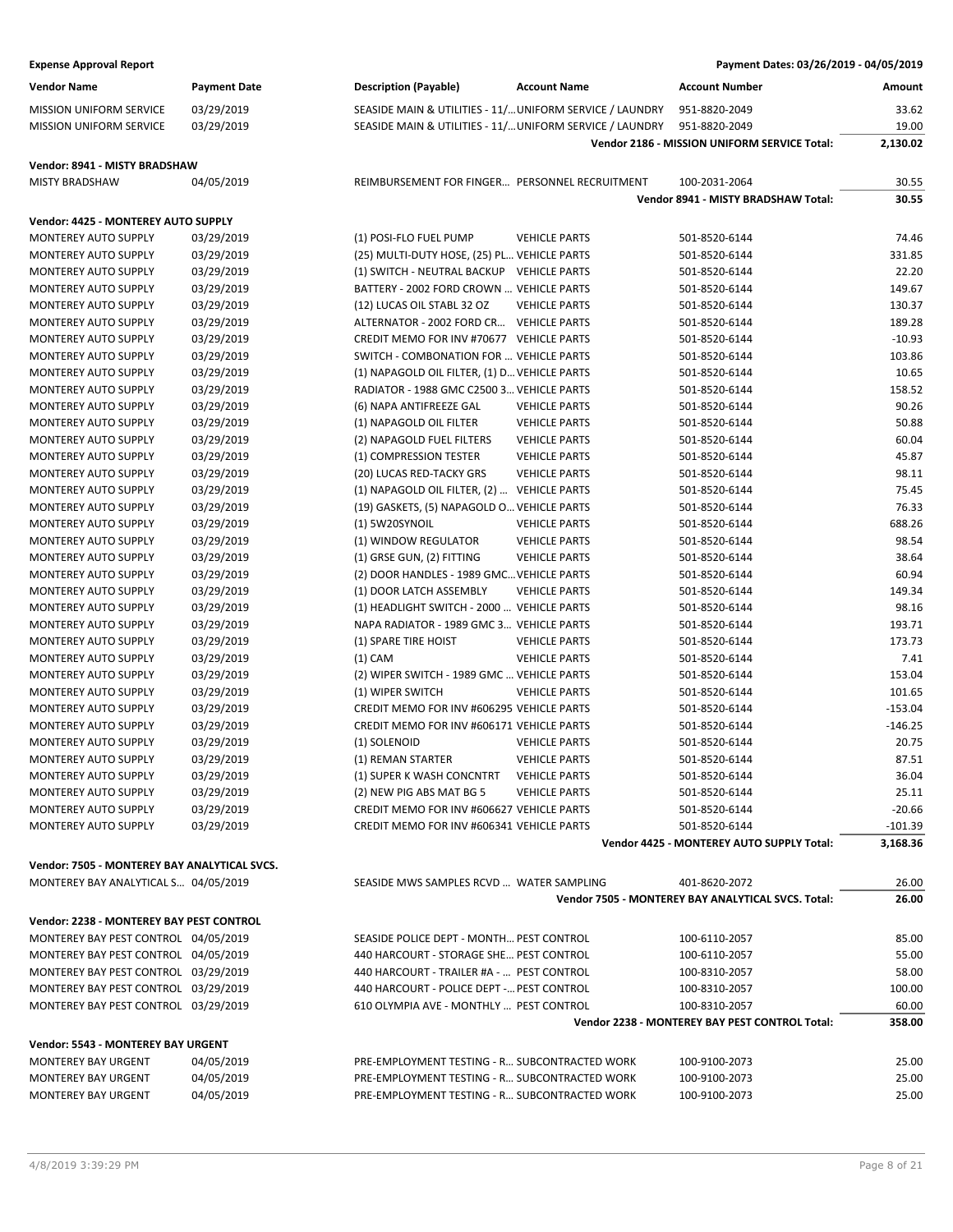| <b>Expense Approval Report</b>                             |                          |                                                                      |                      | Payment Dates: 03/26/2019 - 04/05/2019             |                 |
|------------------------------------------------------------|--------------------------|----------------------------------------------------------------------|----------------------|----------------------------------------------------|-----------------|
| <b>Vendor Name</b>                                         | <b>Payment Date</b>      | <b>Description (Payable)</b>                                         | <b>Account Name</b>  | <b>Account Number</b>                              | Amount          |
| <b>MISSION UNIFORM SERVICE</b>                             | 03/29/2019               | SEASIDE MAIN & UTILITIES - 11/ UNIFORM SERVICE / LAUNDRY             |                      | 951-8820-2049                                      | 33.62           |
| MISSION UNIFORM SERVICE                                    | 03/29/2019               | SEASIDE MAIN & UTILITIES - 11/ UNIFORM SERVICE / LAUNDRY             |                      | 951-8820-2049                                      | 19.00           |
|                                                            |                          |                                                                      |                      | Vendor 2186 - MISSION UNIFORM SERVICE Total:       | 2,130.02        |
| Vendor: 8941 - MISTY BRADSHAW                              |                          |                                                                      |                      |                                                    |                 |
| <b>MISTY BRADSHAW</b>                                      | 04/05/2019               | REIMBURSEMENT FOR FINGER PERSONNEL RECRUITMENT                       |                      | 100-2031-2064                                      | 30.55           |
|                                                            |                          |                                                                      |                      | Vendor 8941 - MISTY BRADSHAW Total:                | 30.55           |
| Vendor: 4425 - MONTEREY AUTO SUPPLY                        |                          |                                                                      |                      |                                                    |                 |
| <b>MONTEREY AUTO SUPPLY</b>                                | 03/29/2019               | (1) POSI-FLO FUEL PUMP                                               | <b>VEHICLE PARTS</b> | 501-8520-6144                                      | 74.46           |
| <b>MONTEREY AUTO SUPPLY</b>                                | 03/29/2019               | (25) MULTI-DUTY HOSE, (25) PL VEHICLE PARTS                          |                      | 501-8520-6144                                      | 331.85          |
| MONTEREY AUTO SUPPLY                                       | 03/29/2019               | (1) SWITCH - NEUTRAL BACKUP VEHICLE PARTS                            |                      | 501-8520-6144                                      | 22.20           |
| <b>MONTEREY AUTO SUPPLY</b>                                | 03/29/2019               | BATTERY - 2002 FORD CROWN  VEHICLE PARTS                             |                      | 501-8520-6144                                      | 149.67          |
| <b>MONTEREY AUTO SUPPLY</b>                                | 03/29/2019               | (12) LUCAS OIL STABL 32 OZ                                           | <b>VEHICLE PARTS</b> | 501-8520-6144                                      | 130.37          |
| <b>MONTEREY AUTO SUPPLY</b>                                | 03/29/2019               | ALTERNATOR - 2002 FORD CR                                            | <b>VEHICLE PARTS</b> | 501-8520-6144                                      | 189.28          |
| <b>MONTEREY AUTO SUPPLY</b>                                | 03/29/2019               | CREDIT MEMO FOR INV #70677 VEHICLE PARTS                             |                      | 501-8520-6144                                      | $-10.93$        |
| <b>MONTEREY AUTO SUPPLY</b>                                | 03/29/2019               | SWITCH - COMBONATION FOR  VEHICLE PARTS                              |                      | 501-8520-6144                                      | 103.86          |
| MONTEREY AUTO SUPPLY                                       | 03/29/2019               | (1) NAPAGOLD OIL FILTER, (1) D VEHICLE PARTS                         |                      | 501-8520-6144                                      | 10.65           |
| <b>MONTEREY AUTO SUPPLY</b>                                | 03/29/2019               | RADIATOR - 1988 GMC C2500 3 VEHICLE PARTS                            |                      | 501-8520-6144                                      | 158.52          |
| MONTEREY AUTO SUPPLY                                       | 03/29/2019               | (6) NAPA ANTIFREEZE GAL                                              | <b>VEHICLE PARTS</b> | 501-8520-6144                                      | 90.26           |
| <b>MONTEREY AUTO SUPPLY</b>                                | 03/29/2019               | (1) NAPAGOLD OIL FILTER                                              | <b>VEHICLE PARTS</b> | 501-8520-6144                                      | 50.88           |
| <b>MONTEREY AUTO SUPPLY</b>                                | 03/29/2019               | (2) NAPAGOLD FUEL FILTERS                                            | <b>VEHICLE PARTS</b> | 501-8520-6144                                      | 60.04           |
| <b>MONTEREY AUTO SUPPLY</b>                                | 03/29/2019               | (1) COMPRESSION TESTER                                               | <b>VEHICLE PARTS</b> | 501-8520-6144                                      | 45.87           |
| <b>MONTEREY AUTO SUPPLY</b>                                | 03/29/2019               | (20) LUCAS RED-TACKY GRS                                             | <b>VEHICLE PARTS</b> | 501-8520-6144                                      | 98.11           |
| <b>MONTEREY AUTO SUPPLY</b>                                | 03/29/2019               | (1) NAPAGOLD OIL FILTER, (2)  VEHICLE PARTS                          |                      | 501-8520-6144                                      | 75.45           |
| <b>MONTEREY AUTO SUPPLY</b>                                | 03/29/2019               | (19) GASKETS, (5) NAPAGOLD O VEHICLE PARTS                           |                      | 501-8520-6144                                      | 76.33           |
| MONTEREY AUTO SUPPLY                                       | 03/29/2019               | (1) 5W20SYNOIL                                                       | <b>VEHICLE PARTS</b> | 501-8520-6144                                      | 688.26          |
| <b>MONTEREY AUTO SUPPLY</b>                                | 03/29/2019               | (1) WINDOW REGULATOR                                                 | <b>VEHICLE PARTS</b> | 501-8520-6144                                      | 98.54           |
| MONTEREY AUTO SUPPLY                                       | 03/29/2019               | (1) GRSE GUN, (2) FITTING                                            | <b>VEHICLE PARTS</b> | 501-8520-6144                                      | 38.64           |
| MONTEREY AUTO SUPPLY                                       | 03/29/2019<br>03/29/2019 | (2) DOOR HANDLES - 1989 GMC VEHICLE PARTS<br>(1) DOOR LATCH ASSEMBLY | <b>VEHICLE PARTS</b> | 501-8520-6144                                      | 60.94<br>149.34 |
| <b>MONTEREY AUTO SUPPLY</b><br><b>MONTEREY AUTO SUPPLY</b> | 03/29/2019               | (1) HEADLIGHT SWITCH - 2000  VEHICLE PARTS                           |                      | 501-8520-6144<br>501-8520-6144                     | 98.16           |
| <b>MONTEREY AUTO SUPPLY</b>                                | 03/29/2019               | NAPA RADIATOR - 1989 GMC 3 VEHICLE PARTS                             |                      | 501-8520-6144                                      | 193.71          |
| <b>MONTEREY AUTO SUPPLY</b>                                | 03/29/2019               | (1) SPARE TIRE HOIST                                                 | <b>VEHICLE PARTS</b> | 501-8520-6144                                      | 173.73          |
| <b>MONTEREY AUTO SUPPLY</b>                                | 03/29/2019               | $(1)$ CAM                                                            | <b>VEHICLE PARTS</b> | 501-8520-6144                                      | 7.41            |
| <b>MONTEREY AUTO SUPPLY</b>                                | 03/29/2019               | (2) WIPER SWITCH - 1989 GMC  VEHICLE PARTS                           |                      | 501-8520-6144                                      | 153.04          |
| MONTEREY AUTO SUPPLY                                       | 03/29/2019               | (1) WIPER SWITCH                                                     | <b>VEHICLE PARTS</b> | 501-8520-6144                                      | 101.65          |
| MONTEREY AUTO SUPPLY                                       | 03/29/2019               | CREDIT MEMO FOR INV #606295 VEHICLE PARTS                            |                      | 501-8520-6144                                      | $-153.04$       |
| <b>MONTEREY AUTO SUPPLY</b>                                | 03/29/2019               | CREDIT MEMO FOR INV #606171 VEHICLE PARTS                            |                      | 501-8520-6144                                      | $-146.25$       |
| <b>MONTEREY AUTO SUPPLY</b>                                | 03/29/2019               | (1) SOLENOID                                                         | <b>VEHICLE PARTS</b> | 501-8520-6144                                      | 20.75           |
| MONTEREY AUTO SUPPLY                                       | 03/29/2019               | (1) REMAN STARTER                                                    | <b>VEHICLE PARTS</b> | 501-8520-6144                                      | 87.51           |
| <b>MONTEREY AUTO SUPPLY</b>                                | 03/29/2019               | (1) SUPER K WASH CONCNTRT                                            | <b>VEHICLE PARTS</b> | 501-8520-6144                                      | 36.04           |
| <b>MONTEREY AUTO SUPPLY</b>                                | 03/29/2019               | (2) NEW PIG ABS MAT BG 5                                             | <b>VEHICLE PARTS</b> | 501-8520-6144                                      | 25.11           |
| MONTEREY AUTO SUPPLY                                       | 03/29/2019               | CREDIT MEMO FOR INV #606627 VEHICLE PARTS                            |                      | 501-8520-6144                                      | $-20.66$        |
| MONTEREY AUTO SUPPLY                                       | 03/29/2019               | CREDIT MEMO FOR INV #606341 VEHICLE PARTS                            |                      | 501-8520-6144                                      | $-101.39$       |
|                                                            |                          |                                                                      |                      | Vendor 4425 - MONTEREY AUTO SUPPLY Total:          | 3,168.36        |
| Vendor: 7505 - MONTEREY BAY ANALYTICAL SVCS.               |                          |                                                                      |                      |                                                    |                 |
| MONTEREY BAY ANALYTICAL S 04/05/2019                       |                          | SEASIDE MWS SAMPLES RCVD  WATER SAMPLING                             |                      | 401-8620-2072                                      | 26.00           |
|                                                            |                          |                                                                      |                      | Vendor 7505 - MONTEREY BAY ANALYTICAL SVCS. Total: | 26.00           |
| Vendor: 2238 - MONTEREY BAY PEST CONTROL                   |                          |                                                                      |                      |                                                    |                 |
| MONTEREY BAY PEST CONTROL 04/05/2019                       |                          | SEASIDE POLICE DEPT - MONTH PEST CONTROL                             |                      | 100-6110-2057                                      | 85.00           |
| MONTEREY BAY PEST CONTROL 04/05/2019                       |                          | 440 HARCOURT - STORAGE SHE PEST CONTROL                              |                      | 100-6110-2057                                      | 55.00           |
| MONTEREY BAY PEST CONTROL 03/29/2019                       |                          | 440 HARCOURT - TRAILER #A -  PEST CONTROL                            |                      | 100-8310-2057                                      | 58.00           |
| MONTEREY BAY PEST CONTROL 03/29/2019                       |                          | 440 HARCOURT - POLICE DEPT - PEST CONTROL                            |                      | 100-8310-2057                                      | 100.00          |
| MONTEREY BAY PEST CONTROL 03/29/2019                       |                          | 610 OLYMPIA AVE - MONTHLY  PEST CONTROL                              |                      | 100-8310-2057                                      | 60.00           |
|                                                            |                          |                                                                      |                      | Vendor 2238 - MONTEREY BAY PEST CONTROL Total:     | 358.00          |
| Vendor: 5543 - MONTEREY BAY URGENT                         |                          |                                                                      |                      |                                                    |                 |
| <b>MONTEREY BAY URGENT</b>                                 | 04/05/2019               | PRE-EMPLOYMENT TESTING - R SUBCONTRACTED WORK                        |                      | 100-9100-2073                                      | 25.00           |
| MONTEREY BAY URGENT                                        | 04/05/2019               | PRE-EMPLOYMENT TESTING - R SUBCONTRACTED WORK                        |                      | 100-9100-2073                                      | 25.00           |
| MONTEREY BAY URGENT                                        | 04/05/2019               | PRE-EMPLOYMENT TESTING - R SUBCONTRACTED WORK                        |                      | 100-9100-2073                                      | 25.00           |
|                                                            |                          |                                                                      |                      |                                                    |                 |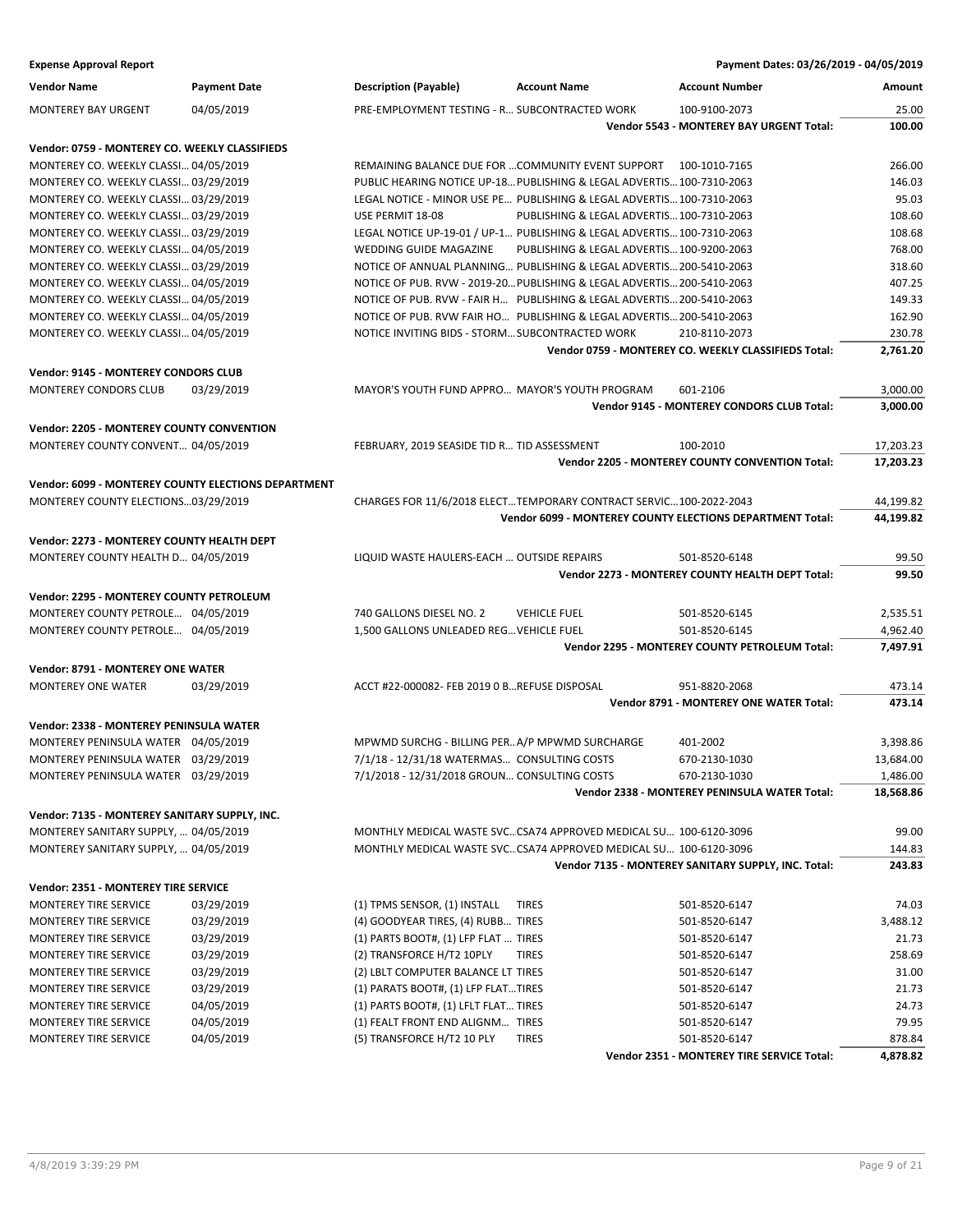| <b>Expense Approval Report</b>                             |                          |                                                                          |                                                                        | Payment Dates: 03/26/2019 - 04/05/2019                    |                |
|------------------------------------------------------------|--------------------------|--------------------------------------------------------------------------|------------------------------------------------------------------------|-----------------------------------------------------------|----------------|
| <b>Vendor Name</b>                                         | <b>Payment Date</b>      | <b>Description (Payable)</b>                                             | <b>Account Name</b>                                                    | <b>Account Number</b>                                     | Amount         |
| <b>MONTEREY BAY URGENT</b>                                 | 04/05/2019               | PRE-EMPLOYMENT TESTING - R SUBCONTRACTED WORK                            |                                                                        | 100-9100-2073                                             | 25.00          |
|                                                            |                          |                                                                          |                                                                        | Vendor 5543 - MONTEREY BAY URGENT Total:                  | 100.00         |
| Vendor: 0759 - MONTEREY CO. WEEKLY CLASSIFIEDS             |                          |                                                                          |                                                                        |                                                           |                |
| MONTEREY CO. WEEKLY CLASSI 04/05/2019                      |                          |                                                                          | REMAINING BALANCE DUE FOR  COMMUNITY EVENT SUPPORT 100-1010-7165       |                                                           | 266.00         |
| MONTEREY CO. WEEKLY CLASSI 03/29/2019                      |                          |                                                                          | PUBLIC HEARING NOTICE UP-18 PUBLISHING & LEGAL ADVERTIS 100-7310-2063  |                                                           | 146.03         |
| MONTEREY CO. WEEKLY CLASSI 03/29/2019                      |                          | LEGAL NOTICE - MINOR USE PE PUBLISHING & LEGAL ADVERTIS 100-7310-2063    |                                                                        |                                                           | 95.03          |
| MONTEREY CO. WEEKLY CLASSI 03/29/2019                      |                          | USE PERMIT 18-08                                                         | PUBLISHING & LEGAL ADVERTIS 100-7310-2063                              |                                                           | 108.60         |
| MONTEREY CO. WEEKLY CLASSI 03/29/2019                      |                          | LEGAL NOTICE UP-19-01 / UP-1 PUBLISHING & LEGAL ADVERTIS 100-7310-2063   |                                                                        |                                                           | 108.68         |
| MONTEREY CO. WEEKLY CLASSI 04/05/2019                      |                          | WEDDING GUIDE MAGAZINE                                                   | PUBLISHING & LEGAL ADVERTIS 100-9200-2063                              |                                                           | 768.00         |
| MONTEREY CO. WEEKLY CLASSI 03/29/2019                      |                          |                                                                          | NOTICE OF ANNUAL PLANNING PUBLISHING & LEGAL ADVERTIS 200-5410-2063    |                                                           | 318.60         |
| MONTEREY CO. WEEKLY CLASSI 04/05/2019                      |                          |                                                                          | NOTICE OF PUB. RVW - 2019-20 PUBLISHING & LEGAL ADVERTIS 200-5410-2063 |                                                           | 407.25         |
| MONTEREY CO. WEEKLY CLASSI 04/05/2019                      |                          |                                                                          | NOTICE OF PUB. RVW - FAIR H PUBLISHING & LEGAL ADVERTIS 200-5410-2063  |                                                           | 149.33         |
| MONTEREY CO. WEEKLY CLASSI 04/05/2019                      |                          |                                                                          | NOTICE OF PUB. RVW FAIR HO PUBLISHING & LEGAL ADVERTIS 200-5410-2063   |                                                           | 162.90         |
| MONTEREY CO. WEEKLY CLASSI 04/05/2019                      |                          | NOTICE INVITING BIDS - STORM SUBCONTRACTED WORK                          |                                                                        | 210-8110-2073                                             | 230.78         |
|                                                            |                          |                                                                          |                                                                        | Vendor 0759 - MONTEREY CO. WEEKLY CLASSIFIEDS Total:      | 2,761.20       |
| Vendor: 9145 - MONTEREY CONDORS CLUB                       |                          |                                                                          |                                                                        |                                                           |                |
| MONTEREY CONDORS CLUB                                      | 03/29/2019               | MAYOR'S YOUTH FUND APPRO MAYOR'S YOUTH PROGRAM                           |                                                                        | 601-2106                                                  | 3,000.00       |
|                                                            |                          |                                                                          |                                                                        | Vendor 9145 - MONTEREY CONDORS CLUB Total:                | 3,000.00       |
|                                                            |                          |                                                                          |                                                                        |                                                           |                |
| Vendor: 2205 - MONTEREY COUNTY CONVENTION                  |                          |                                                                          |                                                                        |                                                           |                |
| MONTEREY COUNTY CONVENT 04/05/2019                         |                          | FEBRUARY, 2019 SEASIDE TID R TID ASSESSMENT                              |                                                                        | 100-2010                                                  | 17,203.23      |
|                                                            |                          |                                                                          |                                                                        | Vendor 2205 - MONTEREY COUNTY CONVENTION Total:           | 17,203.23      |
| <b>Vendor: 6099 - MONTEREY COUNTY ELECTIONS DEPARTMENT</b> |                          |                                                                          |                                                                        |                                                           |                |
| MONTEREY COUNTY ELECTIONS03/29/2019                        |                          |                                                                          | CHARGES FOR 11/6/2018 ELECTTEMPORARY CONTRACT SERVIC100-2022-2043      |                                                           | 44,199.82      |
|                                                            |                          |                                                                          |                                                                        | Vendor 6099 - MONTEREY COUNTY ELECTIONS DEPARTMENT Total: | 44,199.82      |
| Vendor: 2273 - MONTEREY COUNTY HEALTH DEPT                 |                          |                                                                          |                                                                        |                                                           |                |
| MONTEREY COUNTY HEALTH D 04/05/2019                        |                          | LIQUID WASTE HAULERS-EACH  OUTSIDE REPAIRS                               |                                                                        | 501-8520-6148                                             | 99.50          |
|                                                            |                          |                                                                          |                                                                        | Vendor 2273 - MONTEREY COUNTY HEALTH DEPT Total:          | 99.50          |
|                                                            |                          |                                                                          |                                                                        |                                                           |                |
| Vendor: 2295 - MONTEREY COUNTY PETROLEUM                   |                          |                                                                          |                                                                        |                                                           |                |
| MONTEREY COUNTY PETROLE 04/05/2019                         |                          | 740 GALLONS DIESEL NO. 2                                                 | <b>VEHICLE FUEL</b>                                                    | 501-8520-6145                                             | 2,535.51       |
| MONTEREY COUNTY PETROLE 04/05/2019                         |                          | 1,500 GALLONS UNLEADED REG VEHICLE FUEL                                  |                                                                        | 501-8520-6145                                             | 4,962.40       |
|                                                            |                          |                                                                          |                                                                        | Vendor 2295 - MONTEREY COUNTY PETROLEUM Total:            | 7,497.91       |
| Vendor: 8791 - MONTEREY ONE WATER                          |                          |                                                                          |                                                                        |                                                           |                |
| <b>MONTEREY ONE WATER</b>                                  | 03/29/2019               | ACCT #22-000082- FEB 2019 0 BREFUSE DISPOSAL                             |                                                                        | 951-8820-2068                                             | 473.14         |
|                                                            |                          |                                                                          |                                                                        | <b>Vendor 8791 - MONTEREY ONE WATER Total:</b>            | 473.14         |
| Vendor: 2338 - MONTEREY PENINSULA WATER                    |                          |                                                                          |                                                                        |                                                           |                |
| MONTEREY PENINSULA WATER 04/05/2019                        |                          | MPWMD SURCHG - BILLING PER A/P MPWMD SURCHARGE                           |                                                                        | 401-2002                                                  | 3.398.86       |
| MONTEREY PENINSULA WATER 03/29/2019                        |                          | 7/1/18 - 12/31/18 WATERMAS CONSULTING COSTS                              |                                                                        | 670-2130-1030                                             | 13,684.00      |
| MONTEREY PENINSULA WATER 03/29/2019                        |                          | 7/1/2018 - 12/31/2018 GROUN CONSULTING COSTS                             |                                                                        | 670-2130-1030                                             | 1,486.00       |
|                                                            |                          |                                                                          |                                                                        | Vendor 2338 - MONTEREY PENINSULA WATER Total:             | 18,568.86      |
| Vendor: 7135 - MONTEREY SANITARY SUPPLY, INC.              |                          |                                                                          |                                                                        |                                                           |                |
| MONTEREY SANITARY SUPPLY,  04/05/2019                      |                          |                                                                          | MONTHLY MEDICAL WASTE SVCCSA74 APPROVED MEDICAL SU 100-6120-3096       |                                                           | 99.00          |
| MONTEREY SANITARY SUPPLY,  04/05/2019                      |                          |                                                                          | MONTHLY MEDICAL WASTE SVCCSA74 APPROVED MEDICAL SU 100-6120-3096       |                                                           | 144.83         |
|                                                            |                          |                                                                          |                                                                        | Vendor 7135 - MONTEREY SANITARY SUPPLY, INC. Total:       | 243.83         |
|                                                            |                          |                                                                          |                                                                        |                                                           |                |
| Vendor: 2351 - MONTEREY TIRE SERVICE                       |                          |                                                                          |                                                                        |                                                           |                |
| MONTEREY TIRE SERVICE                                      | 03/29/2019               | (1) TPMS SENSOR, (1) INSTALL                                             | <b>TIRES</b>                                                           | 501-8520-6147                                             | 74.03          |
| MONTEREY TIRE SERVICE                                      | 03/29/2019               | (4) GOODYEAR TIRES, (4) RUBB TIRES                                       |                                                                        | 501-8520-6147                                             | 3,488.12       |
| MONTEREY TIRE SERVICE                                      | 03/29/2019               | (1) PARTS BOOT#, (1) LFP FLAT  TIRES                                     |                                                                        | 501-8520-6147                                             | 21.73          |
| MONTEREY TIRE SERVICE                                      | 03/29/2019               | (2) TRANSFORCE H/T2 10PLY                                                | <b>TIRES</b>                                                           | 501-8520-6147                                             | 258.69         |
| MONTEREY TIRE SERVICE                                      | 03/29/2019               | (2) LBLT COMPUTER BALANCE LT TIRES                                       |                                                                        | 501-8520-6147                                             | 31.00          |
| MONTEREY TIRE SERVICE                                      | 03/29/2019               | (1) PARATS BOOT#, (1) LFP FLATTIRES                                      |                                                                        | 501-8520-6147                                             | 21.73          |
| MONTEREY TIRE SERVICE<br>MONTEREY TIRE SERVICE             | 04/05/2019<br>04/05/2019 | (1) PARTS BOOT#, (1) LFLT FLAT TIRES<br>(1) FEALT FRONT END ALIGNM TIRES |                                                                        | 501-8520-6147<br>501-8520-6147                            | 24.73<br>79.95 |
| MONTEREY TIRE SERVICE                                      | 04/05/2019               | (5) TRANSFORCE H/T2 10 PLY                                               | <b>TIRES</b>                                                           | 501-8520-6147                                             | 878.84         |
|                                                            |                          |                                                                          |                                                                        |                                                           |                |

**Vendor 2351 - MONTEREY TIRE SERVICE Total: 4,878.82**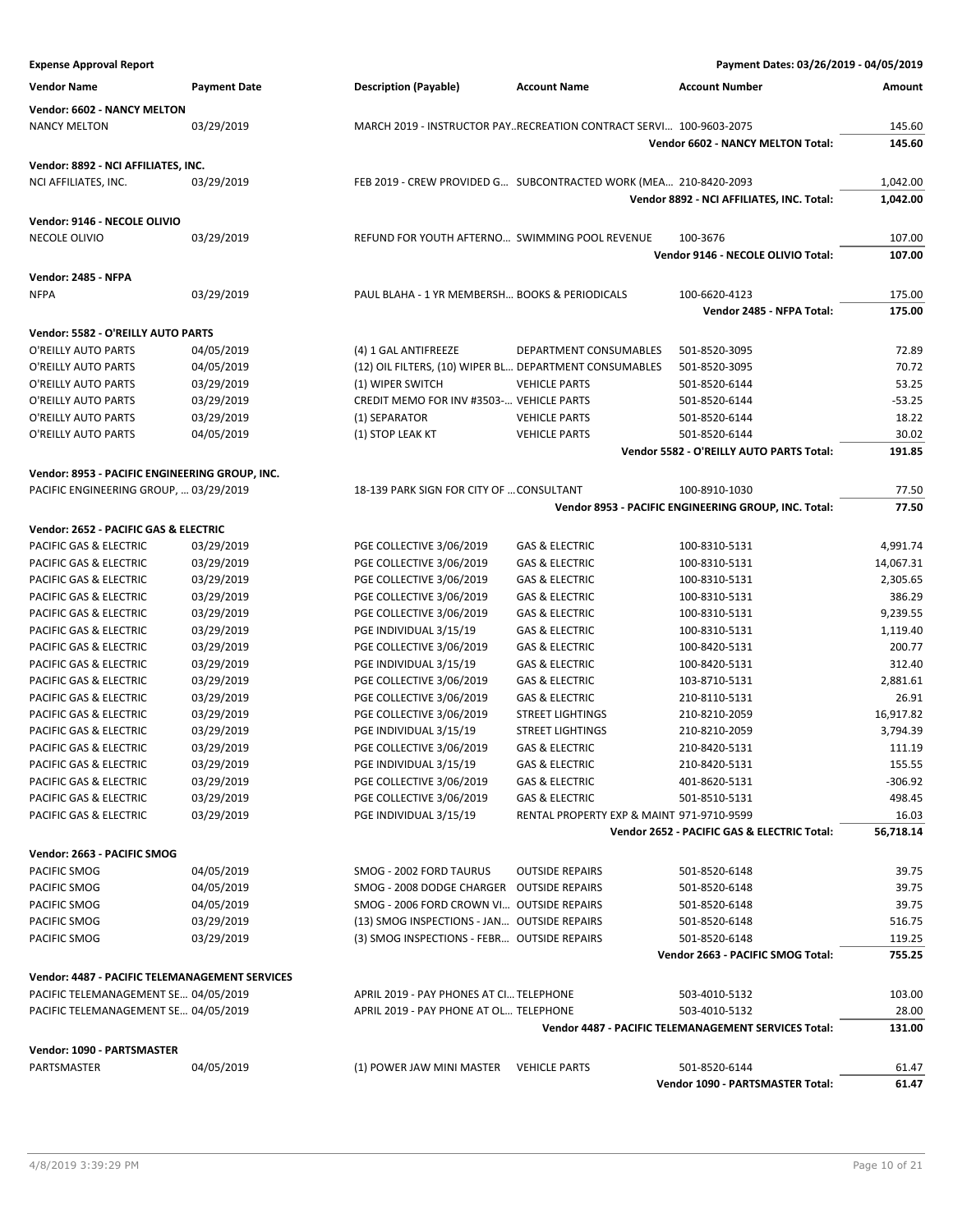### **Expense Approval Report Payment Dates: 03/26/2019 - 04/05/2019 Vendor Name Payment Date Description (Payable) Account Name Account Number Amount Vendor: 6602 - NANCY MELTON** NANCY MELTON 03/29/2019 MARCH 2019 - INSTRUCTOR PAY..RECREATION CONTRACT SERVI... 100-9603-2075 145.60 **Vendor 6602 - NANCY MELTON Total: 145.60 Vendor: 8892 - NCI AFFILIATES, INC.** NCI AFFILIATES, INC. 03/29/2019 FEB 2019 - CREW PROVIDED G... SUBCONTRACTED WORK (MEA... 210-8420-2093 1,042.00 **Vendor 8892 - NCI AFFILIATES, INC. Total: 1,042.00 Vendor: 9146 - NECOLE OLIVIO** NECOLE OLIVIO **12/29/2019** REFUND FOR YOUTH AFTERNO... SWIMMING POOL REVENUE 100-3676 107.00 **Vendor 9146 - NECOLE OLIVIO Total: 107.00 Vendor: 2485 - NFPA** NFPA 03/29/2019 PAUL BLAHA - 1 YR MEMBERSH… BOOKS & PERIODICALS 100-6620-4123 175.00 **Vendor 2485 - NFPA Total: 175.00 Vendor: 5582 - O'REILLY AUTO PARTS** O'REILLY AUTO PARTS 04/05/2019 (4) 1 GAL ANTIFREEZE DEPARTMENT CONSUMABLES 501-8520-3095 72.89 O'REILLY AUTO PARTS 04/05/2019 (12) OIL FILTERS, (10) WIPER BL… DEPARTMENT CONSUMABLES 501-8520-3095 70.72 O'REILLY AUTO PARTS 03/29/2019 (1) WIPER SWITCH VEHICLE PARTS 501-8520-6144 53.25 O'REILLY AUTO PARTS 03/29/2019 CREDIT MEMO FOR INV #3503-... VEHICLE PARTS 501-8520-6144 - 53.25 O'REILLY AUTO PARTS 03/29/2019 (1) SEPARATOR VEHICLE PARTS 501-8520-6144 18.22 O'REILLY AUTO PARTS 04/05/2019 (1) STOP LEAK KT VEHICLE PARTS 501-8520-6144 30.02 **Vendor 5582 - O'REILLY AUTO PARTS Total: 191.85 Vendor: 8953 - PACIFIC ENGINEERING GROUP, INC.** PACIFIC ENGINEERING GROUP, ... 03/29/2019 18-139 PARK SIGN FOR CITY OF ... CONSULTANT 100-8910-1030 77.50 **Vendor 8953 - PACIFIC ENGINEERING GROUP, INC. Total: 77.50 Vendor: 2652 - PACIFIC GAS & ELECTRIC** PACIFIC GAS & ELECTRIC 03/29/2019 PGE COLLECTIVE 3/06/2019 GAS & ELECTRIC 100-8310-5131 4,991.74 PACIFIC GAS & ELECTRIC 03/29/2019 PGE COLLECTIVE 3/06/2019 GAS & ELECTRIC 100-8310-5131 14,067.31 PACIFIC GAS & ELECTRIC 03/29/2019 PGE COLLECTIVE 3/06/2019 GAS & ELECTRIC 100-8310-5131 2,305.65 PACIFIC GAS & ELECTRIC 03/29/2019 PGE COLLECTIVE 3/06/2019 GAS & ELECTRIC 100-8310-5131 386.29 PACIFIC GAS & ELECTRIC 03/29/2019 PGE COLLECTIVE 3/06/2019 GAS & ELECTRIC 100-8310-5131 9,239.55 PACIFIC GAS & ELECTRIC 03/29/2019 PGE INDIVIDUAL 3/15/19 GAS & ELECTRIC 100-8310-5131 1,119.40 PACIFIC GAS & ELECTRIC 03/29/2019 PGE COLLECTIVE 3/06/2019 GAS & ELECTRIC 100-8420-5131 200.77 PACIFIC GAS & ELECTRIC 03/29/2019 PGE INDIVIDUAL 3/15/19 GAS & ELECTRIC 100-8420-5131 312.40 PACIFIC GAS & ELECTRIC 03/29/2019 PGE COLLECTIVE 3/06/2019 GAS & ELECTRIC 103-8710-5131 2,881.61 PACIFIC GAS & ELECTRIC 03/29/2019 PGE COLLECTIVE 3/06/2019 GAS & ELECTRIC 210-8110-5131 26.91 PACIFIC GAS & ELECTRIC 03/29/2019 PGE COLLECTIVE 3/06/2019 STREET LIGHTINGS 210-8210-2059 16,917.82 PACIFIC GAS & ELECTRIC 03/29/2019 PGE INDIVIDUAL 3/15/19 STREET LIGHTINGS 210-8210-2059 3,794.39 PACIFIC GAS & ELECTRIC 03/29/2019 PGE COLLECTIVE 3/06/2019 GAS & ELECTRIC 210-8420-5131 111.19 PACIFIC GAS & ELECTRIC 03/29/2019 PGE INDIVIDUAL 3/15/19 GAS & ELECTRIC 210-8420-5131 215.55 PACIFIC GAS & ELECTRIC 03/29/2019 PGE COLLECTIVE 3/06/2019 GAS & ELECTRIC 401-8620-5131 -306.92 PACIFIC GAS & ELECTRIC 03/29/2019 PGE COLLECTIVE 3/06/2019 GAS & ELECTRIC 501-8510-5131 498.45 PACIFIC GAS & ELECTRIC 03/29/2019 PGE INDIVIDUAL 3/15/19 RENTAL PROPERTY EXP & MAINT 971-9710-9599 16.03 **Vendor 2652 - PACIFIC GAS & ELECTRIC Total: 56,718.14 Vendor: 2663 - PACIFIC SMOG** PACIFIC SMOG **12/05/2019** SMOG - 2002 FORD TAURUS OUTSIDE REPAIRS 501-8520-6148 39.75 PACIFIC SMOG **12/05/2019** SMOG - 2008 DODGE CHARGER OUTSIDE REPAIRS 501-8520-6148 39.75 PACIFIC SMOG **CHOROG 2006 SMOG - 2006 FORD CROWN VI...** OUTSIDE REPAIRS 501-8520-6148 39.75 PACIFIC SMOG 03/29/2019 (13) SMOG INSPECTIONS - JAN... OUTSIDE REPAIRS 501-8520-6148 501-8520 FOLDS 516.75 PACIFIC SMOG 03/29/2019 (3) SMOG INSPECTIONS - FEBR... OUTSIDE REPAIRS 501-8520-6148 119.25 **Vendor 2663 - PACIFIC SMOG Total: 755.25 Vendor: 4487 - PACIFIC TELEMANAGEMENT SERVICES** PACIFIC TELEMANAGEMENT SE... 04/05/2019 APRIL 2019 - PAY PHONES AT CI... TELEPHONE 503-4010-5132 503-4010-5132 PACIFIC TELEMANAGEMENT SE... 04/05/2019 APRIL 2019 - PAY PHONE AT OL... TELEPHONE AT OL... TELEPHONE 503-4010-5132 **Vendor 4487 - PACIFIC TELEMANAGEMENT SERVICES Total: 131.00 Vendor: 1090 - PARTSMASTER** PARTSMASTER 04/05/2019 (1) POWER JAW MINI MASTER VEHICLE PARTS 501-8520-6144 61.47

**Vendor 1090 - PARTSMASTER Total: 61.47**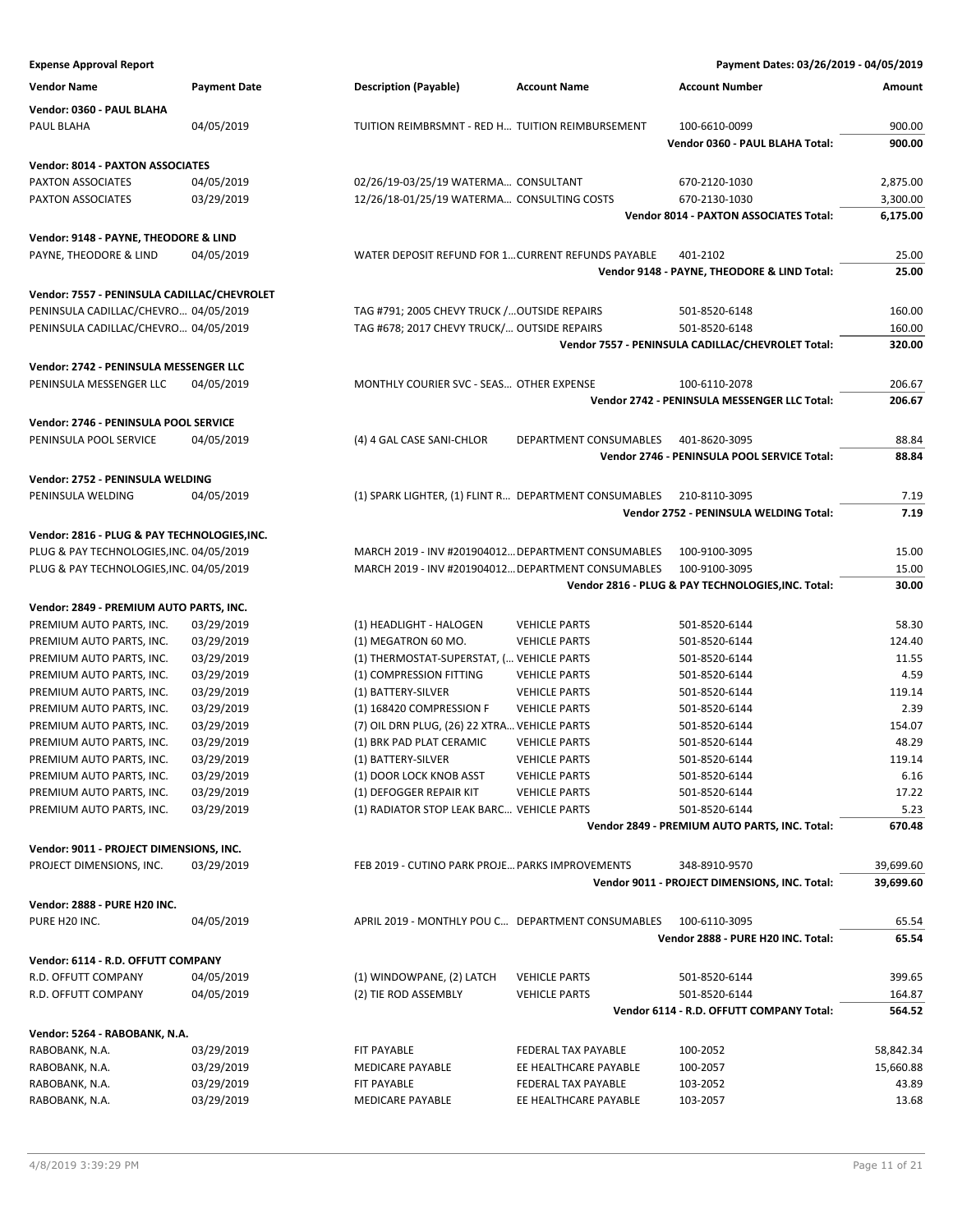| <b>Expense Approval Report</b>               |                     |                                                       |                        | Payment Dates: 03/26/2019 - 04/05/2019             |           |
|----------------------------------------------|---------------------|-------------------------------------------------------|------------------------|----------------------------------------------------|-----------|
| <b>Vendor Name</b>                           | <b>Payment Date</b> | <b>Description (Payable)</b>                          | <b>Account Name</b>    | <b>Account Number</b>                              | Amount    |
| Vendor: 0360 - PAUL BLAHA                    |                     |                                                       |                        |                                                    |           |
| PAUL BLAHA                                   | 04/05/2019          | TUITION REIMBRSMNT - RED H TUITION REIMBURSEMENT      |                        | 100-6610-0099                                      | 900.00    |
|                                              |                     |                                                       |                        | Vendor 0360 - PAUL BLAHA Total:                    | 900.00    |
| Vendor: 8014 - PAXTON ASSOCIATES             |                     |                                                       |                        |                                                    |           |
| PAXTON ASSOCIATES                            | 04/05/2019          | 02/26/19-03/25/19 WATERMA CONSULTANT                  |                        | 670-2120-1030                                      | 2,875.00  |
| PAXTON ASSOCIATES                            | 03/29/2019          | 12/26/18-01/25/19 WATERMA CONSULTING COSTS            |                        | 670-2130-1030                                      | 3,300.00  |
|                                              |                     |                                                       |                        | <b>Vendor 8014 - PAXTON ASSOCIATES Total:</b>      | 6,175.00  |
| Vendor: 9148 - PAYNE, THEODORE & LIND        |                     |                                                       |                        |                                                    |           |
| PAYNE, THEODORE & LIND                       | 04/05/2019          | WATER DEPOSIT REFUND FOR 1 CURRENT REFUNDS PAYABLE    |                        | 401-2102                                           | 25.00     |
|                                              |                     |                                                       |                        | Vendor 9148 - PAYNE, THEODORE & LIND Total:        | 25.00     |
| Vendor: 7557 - PENINSULA CADILLAC/CHEVROLET  |                     |                                                       |                        |                                                    |           |
| PENINSULA CADILLAC/CHEVRO 04/05/2019         |                     | TAG #791; 2005 CHEVY TRUCK / OUTSIDE REPAIRS          |                        | 501-8520-6148                                      | 160.00    |
| PENINSULA CADILLAC/CHEVRO 04/05/2019         |                     | TAG #678; 2017 CHEVY TRUCK/ OUTSIDE REPAIRS           |                        | 501-8520-6148                                      | 160.00    |
|                                              |                     |                                                       |                        | Vendor 7557 - PENINSULA CADILLAC/CHEVROLET Total:  | 320.00    |
| Vendor: 2742 - PENINSULA MESSENGER LLC       |                     |                                                       |                        |                                                    |           |
| PENINSULA MESSENGER LLC                      | 04/05/2019          | MONTHLY COURIER SVC - SEAS OTHER EXPENSE              |                        | 100-6110-2078                                      | 206.67    |
|                                              |                     |                                                       |                        | Vendor 2742 - PENINSULA MESSENGER LLC Total:       | 206.67    |
| Vendor: 2746 - PENINSULA POOL SERVICE        |                     |                                                       |                        |                                                    |           |
| PENINSULA POOL SERVICE                       | 04/05/2019          | (4) 4 GAL CASE SANI-CHLOR                             | DEPARTMENT CONSUMABLES | 401-8620-3095                                      | 88.84     |
|                                              |                     |                                                       |                        | Vendor 2746 - PENINSULA POOL SERVICE Total:        | 88.84     |
| Vendor: 2752 - PENINSULA WELDING             |                     |                                                       |                        |                                                    |           |
| PENINSULA WELDING                            | 04/05/2019          | (1) SPARK LIGHTER, (1) FLINT R DEPARTMENT CONSUMABLES |                        | 210-8110-3095                                      | 7.19      |
|                                              |                     |                                                       |                        | Vendor 2752 - PENINSULA WELDING Total:             | 7.19      |
| Vendor: 2816 - PLUG & PAY TECHNOLOGIES, INC. |                     |                                                       |                        |                                                    |           |
| PLUG & PAY TECHNOLOGIES, INC. 04/05/2019     |                     | MARCH 2019 - INV #201904012 DEPARTMENT CONSUMABLES    |                        | 100-9100-3095                                      | 15.00     |
| PLUG & PAY TECHNOLOGIES, INC. 04/05/2019     |                     | MARCH 2019 - INV #201904012 DEPARTMENT CONSUMABLES    |                        | 100-9100-3095                                      | 15.00     |
|                                              |                     |                                                       |                        | Vendor 2816 - PLUG & PAY TECHNOLOGIES, INC. Total: | 30.00     |
| Vendor: 2849 - PREMIUM AUTO PARTS, INC.      |                     |                                                       |                        |                                                    |           |
| PREMIUM AUTO PARTS, INC.                     | 03/29/2019          | (1) HEADLIGHT - HALOGEN                               | <b>VEHICLE PARTS</b>   | 501-8520-6144                                      | 58.30     |
| PREMIUM AUTO PARTS, INC.                     | 03/29/2019          | (1) MEGATRON 60 MO.                                   | <b>VEHICLE PARTS</b>   | 501-8520-6144                                      | 124.40    |
| PREMIUM AUTO PARTS, INC.                     | 03/29/2019          | (1) THERMOSTAT-SUPERSTAT, ( VEHICLE PARTS             |                        | 501-8520-6144                                      | 11.55     |
| PREMIUM AUTO PARTS, INC.                     | 03/29/2019          | (1) COMPRESSION FITTING                               | <b>VEHICLE PARTS</b>   | 501-8520-6144                                      | 4.59      |
| PREMIUM AUTO PARTS, INC.                     | 03/29/2019          | (1) BATTERY-SILVER                                    | <b>VEHICLE PARTS</b>   | 501-8520-6144                                      | 119.14    |
| PREMIUM AUTO PARTS, INC.                     | 03/29/2019          | (1) 168420 COMPRESSION F                              | <b>VEHICLE PARTS</b>   | 501-8520-6144                                      | 2.39      |
| PREMIUM AUTO PARTS, INC.                     | 03/29/2019          | (7) OIL DRN PLUG, (26) 22 XTRA VEHICLE PARTS          |                        | 501-8520-6144                                      | 154.07    |
| PREMIUM AUTO PARTS, INC.                     | 03/29/2019          | (1) BRK PAD PLAT CERAMIC                              | <b>VEHICLE PARTS</b>   | 501-8520-6144                                      | 48.29     |
| PREMIUM AUTO PARTS, INC.                     | 03/29/2019          | (1) BATTERY-SILVER                                    | <b>VEHICLE PARTS</b>   | 501-8520-6144                                      | 119.14    |
| PREMIUM AUTO PARTS, INC.                     | 03/29/2019          | (1) DOOR LOCK KNOB ASST                               | <b>VEHICLE PARTS</b>   | 501-8520-6144                                      | 6.16      |
| PREMIUM AUTO PARTS, INC.                     | 03/29/2019          | (1) DEFOGGER REPAIR KIT                               | <b>VEHICLE PARTS</b>   | 501-8520-6144                                      | 17.22     |
| PREMIUM AUTO PARTS, INC.                     | 03/29/2019          | (1) RADIATOR STOP LEAK BARC VEHICLE PARTS             |                        | 501-8520-6144                                      | 5.23      |
|                                              |                     |                                                       |                        | Vendor 2849 - PREMIUM AUTO PARTS, INC. Total:      | 670.48    |
| Vendor: 9011 - PROJECT DIMENSIONS, INC.      |                     |                                                       |                        |                                                    |           |
| PROJECT DIMENSIONS, INC.                     | 03/29/2019          | FEB 2019 - CUTINO PARK PROJE PARKS IMPROVEMENTS       |                        | 348-8910-9570                                      | 39,699.60 |
|                                              |                     |                                                       |                        | Vendor 9011 - PROJECT DIMENSIONS, INC. Total:      | 39,699.60 |
| Vendor: 2888 - PURE H20 INC.                 |                     |                                                       |                        |                                                    |           |
| PURE H20 INC.                                | 04/05/2019          | APRIL 2019 - MONTHLY POU C DEPARTMENT CONSUMABLES     |                        | 100-6110-3095                                      | 65.54     |
|                                              |                     |                                                       |                        | Vendor 2888 - PURE H20 INC. Total:                 | 65.54     |
| Vendor: 6114 - R.D. OFFUTT COMPANY           |                     |                                                       |                        |                                                    |           |
| R.D. OFFUTT COMPANY                          | 04/05/2019          | (1) WINDOWPANE, (2) LATCH                             | <b>VEHICLE PARTS</b>   | 501-8520-6144                                      | 399.65    |
| R.D. OFFUTT COMPANY                          | 04/05/2019          | (2) TIE ROD ASSEMBLY                                  | <b>VEHICLE PARTS</b>   | 501-8520-6144                                      | 164.87    |
|                                              |                     |                                                       |                        | Vendor 6114 - R.D. OFFUTT COMPANY Total:           | 564.52    |
| Vendor: 5264 - RABOBANK, N.A.                |                     |                                                       |                        |                                                    |           |
| RABOBANK, N.A.                               | 03/29/2019          | <b>FIT PAYABLE</b>                                    | FEDERAL TAX PAYABLE    | 100-2052                                           | 58,842.34 |
| RABOBANK, N.A.                               | 03/29/2019          | <b>MEDICARE PAYABLE</b>                               | EE HEALTHCARE PAYABLE  | 100-2057                                           | 15,660.88 |
| RABOBANK, N.A.                               | 03/29/2019          | FIT PAYABLE                                           | FEDERAL TAX PAYABLE    | 103-2052                                           | 43.89     |
| RABOBANK, N.A.                               | 03/29/2019          | MEDICARE PAYABLE                                      | EE HEALTHCARE PAYABLE  | 103-2057                                           | 13.68     |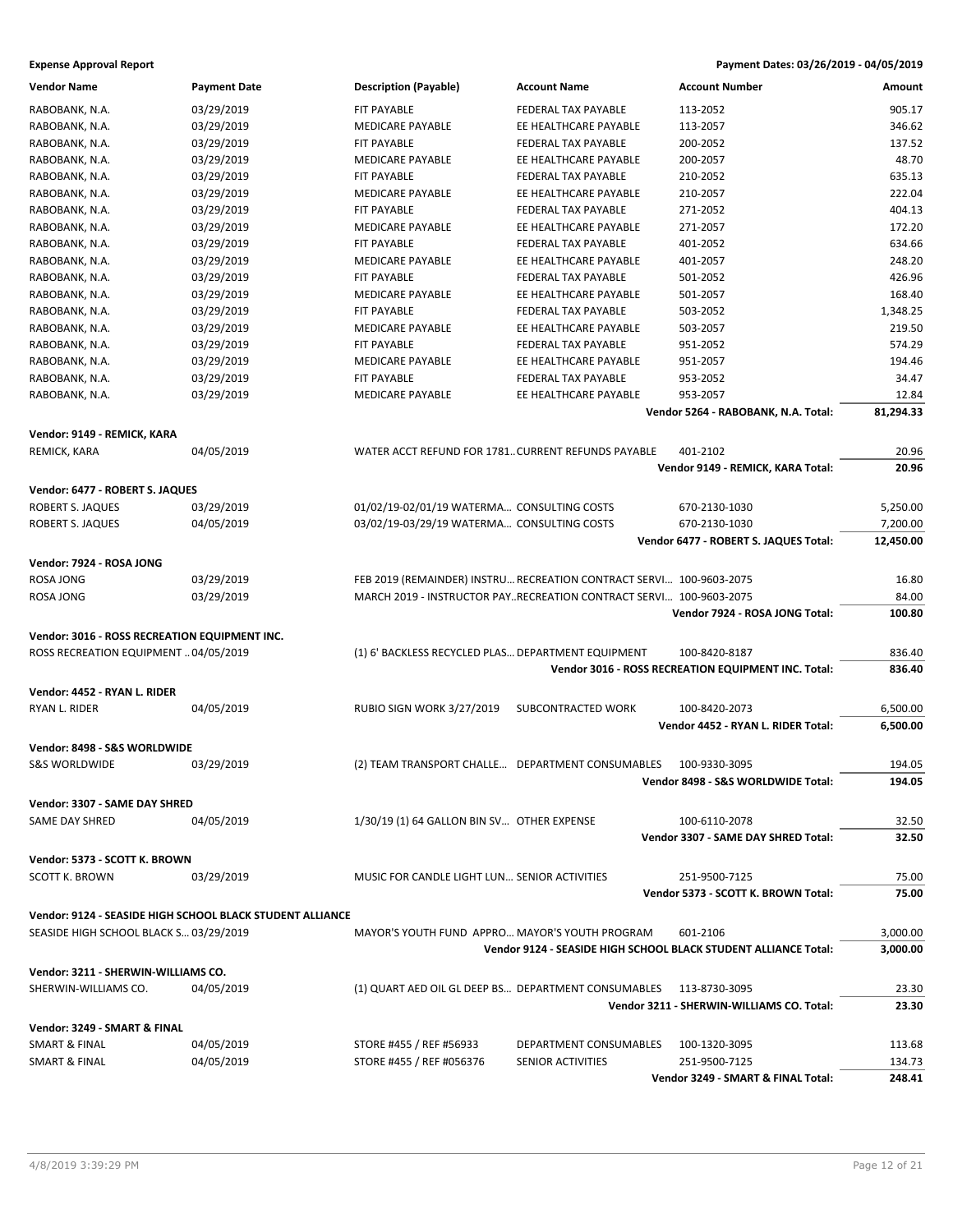### **Expense Approval Report Payment Dates: 03/26/2019 - 04/05/2019**

| <b>Vendor Name</b>                                     | <b>Payment Date</b>                                       | <b>Description (Payable)</b>                        | <b>Account Name</b>                                                 | <b>Account Number</b>                                           | Amount    |
|--------------------------------------------------------|-----------------------------------------------------------|-----------------------------------------------------|---------------------------------------------------------------------|-----------------------------------------------------------------|-----------|
| RABOBANK, N.A.                                         | 03/29/2019                                                | FIT PAYABLE                                         | FEDERAL TAX PAYABLE                                                 | 113-2052                                                        | 905.17    |
| RABOBANK, N.A.                                         | 03/29/2019                                                | MEDICARE PAYABLE                                    | EE HEALTHCARE PAYABLE                                               | 113-2057                                                        | 346.62    |
| RABOBANK, N.A.                                         | 03/29/2019                                                | <b>FIT PAYABLE</b>                                  | FEDERAL TAX PAYABLE                                                 | 200-2052                                                        | 137.52    |
| RABOBANK, N.A.                                         | 03/29/2019                                                | <b>MEDICARE PAYABLE</b>                             | EE HEALTHCARE PAYABLE                                               | 200-2057                                                        | 48.70     |
| RABOBANK, N.A.                                         | 03/29/2019                                                | <b>FIT PAYABLE</b>                                  | FEDERAL TAX PAYABLE                                                 | 210-2052                                                        | 635.13    |
| RABOBANK, N.A.                                         | 03/29/2019                                                | MEDICARE PAYABLE                                    | EE HEALTHCARE PAYABLE                                               | 210-2057                                                        | 222.04    |
| RABOBANK, N.A.                                         | 03/29/2019                                                | FIT PAYABLE                                         | FEDERAL TAX PAYABLE                                                 | 271-2052                                                        | 404.13    |
| RABOBANK, N.A.                                         | 03/29/2019                                                | <b>MEDICARE PAYABLE</b>                             | EE HEALTHCARE PAYABLE                                               | 271-2057                                                        | 172.20    |
| RABOBANK, N.A.                                         | 03/29/2019                                                | <b>FIT PAYABLE</b>                                  | FEDERAL TAX PAYABLE                                                 | 401-2052                                                        | 634.66    |
| RABOBANK, N.A.                                         | 03/29/2019                                                | <b>MEDICARE PAYABLE</b>                             | EE HEALTHCARE PAYABLE                                               | 401-2057                                                        | 248.20    |
| RABOBANK, N.A.                                         | 03/29/2019                                                | FIT PAYABLE                                         | FEDERAL TAX PAYABLE                                                 | 501-2052                                                        | 426.96    |
| RABOBANK, N.A.                                         | 03/29/2019                                                | MEDICARE PAYABLE                                    | EE HEALTHCARE PAYABLE                                               | 501-2057                                                        | 168.40    |
| RABOBANK, N.A.                                         | 03/29/2019                                                | <b>FIT PAYABLE</b>                                  | FEDERAL TAX PAYABLE                                                 | 503-2052                                                        | 1,348.25  |
| RABOBANK, N.A.                                         | 03/29/2019                                                | <b>MEDICARE PAYABLE</b>                             | EE HEALTHCARE PAYABLE                                               | 503-2057                                                        | 219.50    |
| RABOBANK, N.A.                                         | 03/29/2019                                                | FIT PAYABLE                                         | FEDERAL TAX PAYABLE                                                 | 951-2052                                                        | 574.29    |
| RABOBANK, N.A.                                         | 03/29/2019                                                | MEDICARE PAYABLE                                    | EE HEALTHCARE PAYABLE                                               | 951-2057                                                        | 194.46    |
| RABOBANK, N.A.                                         | 03/29/2019                                                | FIT PAYABLE                                         | FEDERAL TAX PAYABLE                                                 | 953-2052                                                        | 34.47     |
| RABOBANK, N.A.                                         | 03/29/2019                                                | <b>MEDICARE PAYABLE</b>                             | EE HEALTHCARE PAYABLE                                               | 953-2057                                                        | 12.84     |
|                                                        |                                                           |                                                     |                                                                     | Vendor 5264 - RABOBANK, N.A. Total:                             | 81,294.33 |
|                                                        |                                                           |                                                     |                                                                     |                                                                 |           |
| Vendor: 9149 - REMICK, KARA                            |                                                           |                                                     |                                                                     |                                                                 |           |
| REMICK, KARA                                           | 04/05/2019                                                | WATER ACCT REFUND FOR 1781 CURRENT REFUNDS PAYABLE  |                                                                     | 401-2102                                                        | 20.96     |
|                                                        |                                                           |                                                     |                                                                     | Vendor 9149 - REMICK, KARA Total:                               | 20.96     |
| Vendor: 6477 - ROBERT S. JAQUES                        |                                                           |                                                     |                                                                     |                                                                 |           |
| <b>ROBERT S. JAQUES</b>                                | 03/29/2019                                                | 01/02/19-02/01/19 WATERMA CONSULTING COSTS          |                                                                     | 670-2130-1030                                                   | 5,250.00  |
| ROBERT S. JAQUES                                       | 04/05/2019                                                | 03/02/19-03/29/19 WATERMA CONSULTING COSTS          |                                                                     | 670-2130-1030                                                   | 7,200.00  |
|                                                        |                                                           |                                                     |                                                                     | Vendor 6477 - ROBERT S. JAQUES Total:                           | 12,450.00 |
| Vendor: 7924 - ROSA JONG                               |                                                           |                                                     |                                                                     |                                                                 |           |
| ROSA JONG                                              | 03/29/2019                                                |                                                     | FEB 2019 (REMAINDER) INSTRU RECREATION CONTRACT SERVI 100-9603-2075 |                                                                 | 16.80     |
| ROSA JONG                                              | 03/29/2019                                                |                                                     | MARCH 2019 - INSTRUCTOR PAYRECREATION CONTRACT SERVI 100-9603-2075  |                                                                 | 84.00     |
|                                                        |                                                           |                                                     |                                                                     | Vendor 7924 - ROSA JONG Total:                                  | 100.80    |
| Vendor: 3016 - ROSS RECREATION EQUIPMENT INC.          |                                                           |                                                     |                                                                     |                                                                 |           |
| ROSS RECREATION EQUIPMENT  04/05/2019                  |                                                           | (1) 6' BACKLESS RECYCLED PLAS DEPARTMENT EQUIPMENT  |                                                                     | 100-8420-8187                                                   | 836.40    |
|                                                        |                                                           |                                                     |                                                                     | Vendor 3016 - ROSS RECREATION EQUIPMENT INC. Total:             | 836.40    |
| Vendor: 4452 - RYAN L. RIDER                           |                                                           |                                                     |                                                                     |                                                                 |           |
| RYAN L. RIDER                                          | 04/05/2019                                                | <b>RUBIO SIGN WORK 3/27/2019</b>                    | SUBCONTRACTED WORK                                                  | 100-8420-2073                                                   | 6,500.00  |
|                                                        |                                                           |                                                     |                                                                     | Vendor 4452 - RYAN L. RIDER Total:                              | 6,500.00  |
| Vendor: 8498 - S&S WORLDWIDE                           |                                                           |                                                     |                                                                     |                                                                 |           |
| <b>S&amp;S WORLDWIDE</b>                               | 03/29/2019                                                | (2) TEAM TRANSPORT CHALLE DEPARTMENT CONSUMABLES    |                                                                     | 100-9330-3095                                                   | 194.05    |
|                                                        |                                                           |                                                     |                                                                     | Vendor 8498 - S&S WORLDWIDE Total:                              | 194.05    |
|                                                        |                                                           |                                                     |                                                                     |                                                                 |           |
| Vendor: 3307 - SAME DAY SHRED<br><b>SAME DAY SHRED</b> |                                                           |                                                     |                                                                     |                                                                 | 32.50     |
|                                                        | 04/05/2019                                                | 1/30/19 (1) 64 GALLON BIN SV OTHER EXPENSE          |                                                                     | 100-6110-2078<br>Vendor 3307 - SAME DAY SHRED Total:            | 32.50     |
|                                                        |                                                           |                                                     |                                                                     |                                                                 |           |
| Vendor: 5373 - SCOTT K. BROWN                          |                                                           |                                                     |                                                                     |                                                                 |           |
| <b>SCOTT K. BROWN</b>                                  | 03/29/2019                                                | MUSIC FOR CANDLE LIGHT LUN SENIOR ACTIVITIES        |                                                                     | 251-9500-7125                                                   | 75.00     |
|                                                        |                                                           |                                                     |                                                                     | Vendor 5373 - SCOTT K. BROWN Total:                             | 75.00     |
|                                                        | Vendor: 9124 - SEASIDE HIGH SCHOOL BLACK STUDENT ALLIANCE |                                                     |                                                                     |                                                                 |           |
| SEASIDE HIGH SCHOOL BLACK S 03/29/2019                 |                                                           | MAYOR'S YOUTH FUND APPRO MAYOR'S YOUTH PROGRAM      |                                                                     | 601-2106                                                        | 3,000.00  |
|                                                        |                                                           |                                                     |                                                                     | Vendor 9124 - SEASIDE HIGH SCHOOL BLACK STUDENT ALLIANCE Total: | 3,000.00  |
| Vendor: 3211 - SHERWIN-WILLIAMS CO.                    |                                                           |                                                     |                                                                     |                                                                 |           |
| SHERWIN-WILLIAMS CO.                                   | 04/05/2019                                                | (1) QUART AED OIL GL DEEP BS DEPARTMENT CONSUMABLES |                                                                     | 113-8730-3095                                                   | 23.30     |
|                                                        |                                                           |                                                     |                                                                     | Vendor 3211 - SHERWIN-WILLIAMS CO. Total:                       | 23.30     |
| Vendor: 3249 - SMART & FINAL                           |                                                           |                                                     |                                                                     |                                                                 |           |
| SMART & FINAL                                          | 04/05/2019                                                | STORE #455 / REF #56933                             | DEPARTMENT CONSUMABLES                                              | 100-1320-3095                                                   | 113.68    |
| SMART & FINAL                                          | 04/05/2019                                                | STORE #455 / REF #056376                            | SENIOR ACTIVITIES                                                   | 251-9500-7125                                                   | 134.73    |
|                                                        |                                                           |                                                     |                                                                     | Vendor 3249 - SMART & FINAL Total:                              | 248.41    |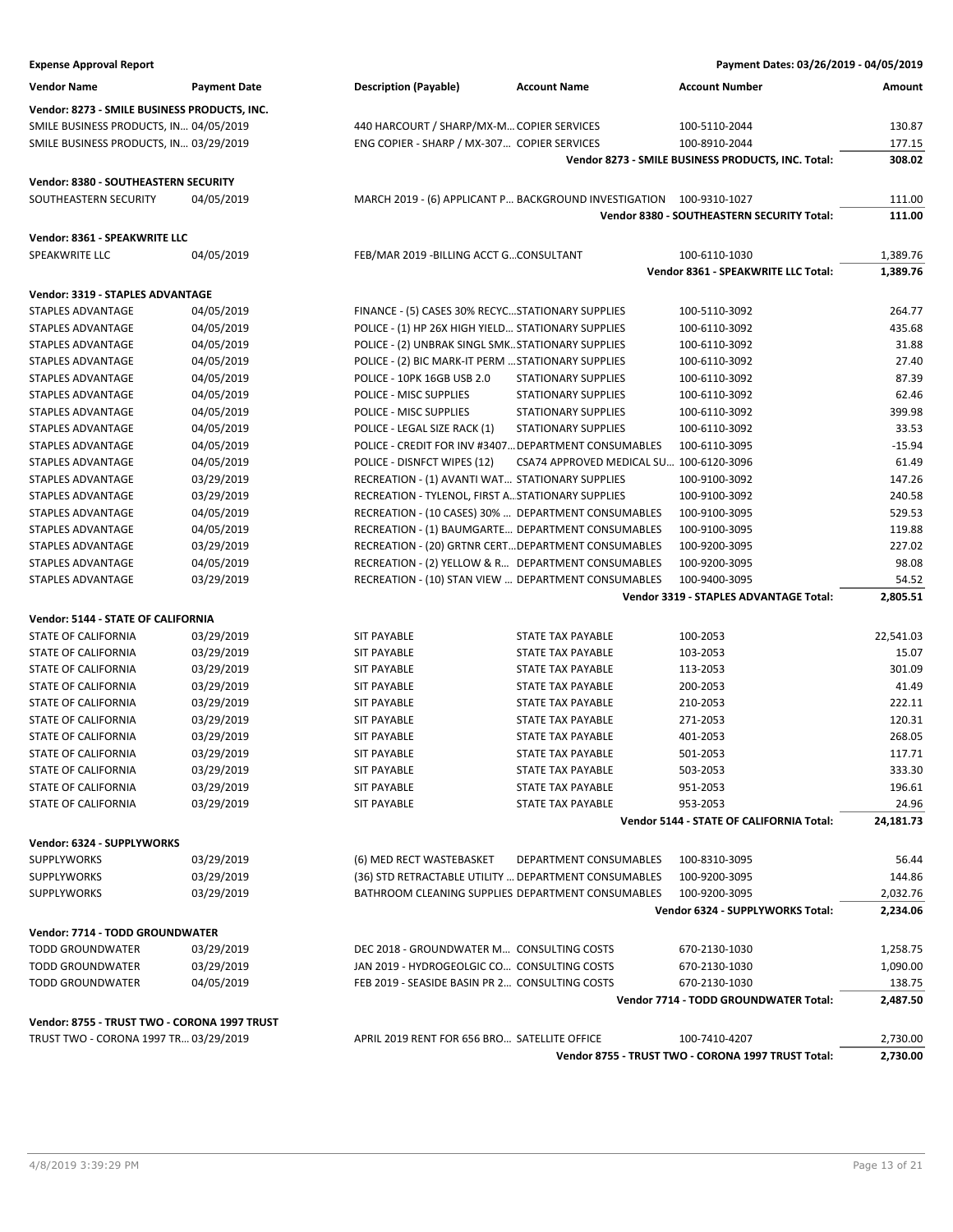| <b>Expense Approval Report</b>                |                          |                                                    |                                                                     | Payment Dates: 03/26/2019 - 04/05/2019                  |                  |
|-----------------------------------------------|--------------------------|----------------------------------------------------|---------------------------------------------------------------------|---------------------------------------------------------|------------------|
| <b>Vendor Name</b>                            | <b>Payment Date</b>      | <b>Description (Payable)</b>                       | <b>Account Name</b>                                                 | <b>Account Number</b>                                   | Amount           |
| Vendor: 8273 - SMILE BUSINESS PRODUCTS, INC.  |                          |                                                    |                                                                     |                                                         |                  |
| SMILE BUSINESS PRODUCTS, IN 04/05/2019        |                          | 440 HARCOURT / SHARP/MX-M COPIER SERVICES          |                                                                     | 100-5110-2044                                           | 130.87           |
| SMILE BUSINESS PRODUCTS, IN 03/29/2019        |                          | ENG COPIER - SHARP / MX-307 COPIER SERVICES        |                                                                     | 100-8910-2044                                           | 177.15           |
|                                               |                          |                                                    |                                                                     | Vendor 8273 - SMILE BUSINESS PRODUCTS, INC. Total:      | 308.02           |
| Vendor: 8380 - SOUTHEASTERN SECURITY          |                          |                                                    |                                                                     |                                                         |                  |
| SOUTHEASTERN SECURITY                         | 04/05/2019               |                                                    | MARCH 2019 - (6) APPLICANT P BACKGROUND INVESTIGATION 100-9310-1027 |                                                         | 111.00           |
|                                               |                          |                                                    |                                                                     | Vendor 8380 - SOUTHEASTERN SECURITY Total:              | 111.00           |
| Vendor: 8361 - SPEAKWRITE LLC                 |                          |                                                    |                                                                     |                                                         |                  |
| SPEAKWRITE LLC                                | 04/05/2019               | FEB/MAR 2019 - BILLING ACCT GCONSULTANT            |                                                                     | 100-6110-1030                                           | 1,389.76         |
|                                               |                          |                                                    |                                                                     | Vendor 8361 - SPEAKWRITE LLC Total:                     | 1,389.76         |
|                                               |                          |                                                    |                                                                     |                                                         |                  |
| Vendor: 3319 - STAPLES ADVANTAGE              |                          |                                                    |                                                                     |                                                         |                  |
| STAPLES ADVANTAGE                             | 04/05/2019               | FINANCE - (5) CASES 30% RECYCSTATIONARY SUPPLIES   |                                                                     | 100-5110-3092                                           | 264.77           |
| STAPLES ADVANTAGE                             | 04/05/2019               | POLICE - (1) HP 26X HIGH YIELD STATIONARY SUPPLIES |                                                                     | 100-6110-3092                                           | 435.68           |
| STAPLES ADVANTAGE                             | 04/05/2019               | POLICE - (2) UNBRAK SINGL SMK STATIONARY SUPPLIES  |                                                                     | 100-6110-3092                                           | 31.88            |
| STAPLES ADVANTAGE<br><b>STAPLES ADVANTAGE</b> | 04/05/2019<br>04/05/2019 | POLICE - (2) BIC MARK-IT PERM  STATIONARY SUPPLIES |                                                                     | 100-6110-3092                                           | 27.40            |
|                                               |                          | POLICE - 10PK 16GB USB 2.0                         | <b>STATIONARY SUPPLIES</b>                                          | 100-6110-3092                                           | 87.39            |
| <b>STAPLES ADVANTAGE</b>                      | 04/05/2019               | POLICE - MISC SUPPLIES                             | <b>STATIONARY SUPPLIES</b>                                          | 100-6110-3092                                           | 62.46            |
| STAPLES ADVANTAGE                             | 04/05/2019               | POLICE - MISC SUPPLIES                             | <b>STATIONARY SUPPLIES</b>                                          | 100-6110-3092                                           | 399.98           |
| STAPLES ADVANTAGE                             | 04/05/2019               | POLICE - LEGAL SIZE RACK (1)                       | <b>STATIONARY SUPPLIES</b>                                          | 100-6110-3092                                           | 33.53            |
| STAPLES ADVANTAGE                             | 04/05/2019               |                                                    | POLICE - CREDIT FOR INV #3407 DEPARTMENT CONSUMABLES                | 100-6110-3095                                           | $-15.94$         |
| STAPLES ADVANTAGE                             | 04/05/2019               | POLICE - DISNFCT WIPES (12)                        | CSA74 APPROVED MEDICAL SU 100-6120-3096                             |                                                         | 61.49            |
| STAPLES ADVANTAGE                             | 03/29/2019               | RECREATION - (1) AVANTI WAT STATIONARY SUPPLIES    |                                                                     | 100-9100-3092                                           | 147.26           |
| <b>STAPLES ADVANTAGE</b>                      | 03/29/2019               | RECREATION - TYLENOL, FIRST A STATIONARY SUPPLIES  |                                                                     | 100-9100-3092                                           | 240.58           |
| STAPLES ADVANTAGE                             | 04/05/2019               |                                                    | RECREATION - (10 CASES) 30%  DEPARTMENT CONSUMABLES                 | 100-9100-3095                                           | 529.53<br>119.88 |
| STAPLES ADVANTAGE                             | 04/05/2019               |                                                    | RECREATION - (1) BAUMGARTE DEPARTMENT CONSUMABLES                   | 100-9100-3095                                           |                  |
| STAPLES ADVANTAGE<br>STAPLES ADVANTAGE        | 03/29/2019               |                                                    | RECREATION - (20) GRTNR CERT DEPARTMENT CONSUMABLES                 | 100-9200-3095                                           | 227.02<br>98.08  |
|                                               | 04/05/2019               |                                                    | RECREATION - (2) YELLOW & R DEPARTMENT CONSUMABLES                  | 100-9200-3095                                           | 54.52            |
| STAPLES ADVANTAGE                             | 03/29/2019               |                                                    | RECREATION - (10) STAN VIEW  DEPARTMENT CONSUMABLES                 | 100-9400-3095<br>Vendor 3319 - STAPLES ADVANTAGE Total: | 2,805.51         |
|                                               |                          |                                                    |                                                                     |                                                         |                  |
| Vendor: 5144 - STATE OF CALIFORNIA            |                          |                                                    |                                                                     |                                                         |                  |
| STATE OF CALIFORNIA                           | 03/29/2019               | <b>SIT PAYABLE</b>                                 | <b>STATE TAX PAYABLE</b>                                            | 100-2053                                                | 22,541.03        |
| STATE OF CALIFORNIA                           | 03/29/2019               | <b>SIT PAYABLE</b>                                 | <b>STATE TAX PAYABLE</b>                                            | 103-2053                                                | 15.07            |
| STATE OF CALIFORNIA                           | 03/29/2019               | <b>SIT PAYABLE</b>                                 | STATE TAX PAYABLE                                                   | 113-2053                                                | 301.09           |
| STATE OF CALIFORNIA                           | 03/29/2019               | <b>SIT PAYABLE</b>                                 | STATE TAX PAYABLE                                                   | 200-2053                                                | 41.49            |
| STATE OF CALIFORNIA                           | 03/29/2019               | <b>SIT PAYABLE</b>                                 | STATE TAX PAYABLE                                                   | 210-2053                                                | 222.11           |
| STATE OF CALIFORNIA                           | 03/29/2019               | <b>SIT PAYABLE</b>                                 | STATE TAX PAYABLE                                                   | 271-2053                                                | 120.31           |
| <b>STATE OF CALIFORNIA</b>                    | 03/29/2019               | <b>SIT PAYABLE</b>                                 | <b>STATE TAX PAYABLE</b>                                            | 401-2053                                                | 268.05           |
| STATE OF CALIFORNIA                           | 03/29/2019               | <b>SIT PAYABLE</b>                                 | <b>STATE TAX PAYABLE</b>                                            | 501-2053                                                | 117.71           |
| STATE OF CALIFORNIA                           | 03/29/2019               | <b>SIT PAYABLE</b>                                 | <b>STATE TAX PAYABLE</b>                                            | 503-2053                                                | 333.30           |
| STATE OF CALIFORNIA                           | 03/29/2019               | <b>SIT PAYABLE</b>                                 | <b>STATE TAX PAYABLE</b>                                            | 951-2053                                                | 196.61           |
| STATE OF CALIFORNIA                           | 03/29/2019               | SIT PAYABLE                                        | <b>STATE TAX PAYABLE</b>                                            | 953-2053                                                | 24.96            |
|                                               |                          |                                                    |                                                                     | Vendor 5144 - STATE OF CALIFORNIA Total:                | 24,181.73        |
| Vendor: 6324 - SUPPLYWORKS                    |                          |                                                    |                                                                     |                                                         |                  |
| <b>SUPPLYWORKS</b>                            | 03/29/2019               | (6) MED RECT WASTEBASKET                           | DEPARTMENT CONSUMABLES                                              | 100-8310-3095                                           | 56.44            |
| SUPPLYWORKS                                   | 03/29/2019               |                                                    | (36) STD RETRACTABLE UTILITY  DEPARTMENT CONSUMABLES                | 100-9200-3095                                           | 144.86           |
| <b>SUPPLYWORKS</b>                            | 03/29/2019               |                                                    | BATHROOM CLEANING SUPPLIES DEPARTMENT CONSUMABLES                   | 100-9200-3095                                           | 2,032.76         |
|                                               |                          |                                                    |                                                                     | Vendor 6324 - SUPPLYWORKS Total:                        | 2,234.06         |
| <b>Vendor: 7714 - TODD GROUNDWATER</b>        |                          |                                                    |                                                                     |                                                         |                  |
| <b>TODD GROUNDWATER</b>                       | 03/29/2019               | DEC 2018 - GROUNDWATER M CONSULTING COSTS          |                                                                     | 670-2130-1030                                           | 1,258.75         |
| <b>TODD GROUNDWATER</b>                       | 03/29/2019               | JAN 2019 - HYDROGEOLGIC CO CONSULTING COSTS        |                                                                     | 670-2130-1030                                           | 1,090.00         |
| <b>TODD GROUNDWATER</b>                       | 04/05/2019               | FEB 2019 - SEASIDE BASIN PR 2 CONSULTING COSTS     |                                                                     | 670-2130-1030                                           | 138.75           |
|                                               |                          |                                                    |                                                                     | Vendor 7714 - TODD GROUNDWATER Total:                   | 2,487.50         |
| Vendor: 8755 - TRUST TWO - CORONA 1997 TRUST  |                          |                                                    |                                                                     |                                                         |                  |
| TRUST TWO - CORONA 1997 TR 03/29/2019         |                          | APRIL 2019 RENT FOR 656 BRO SATELLITE OFFICE       |                                                                     | 100-7410-4207                                           | 2,730.00         |
|                                               |                          |                                                    |                                                                     |                                                         |                  |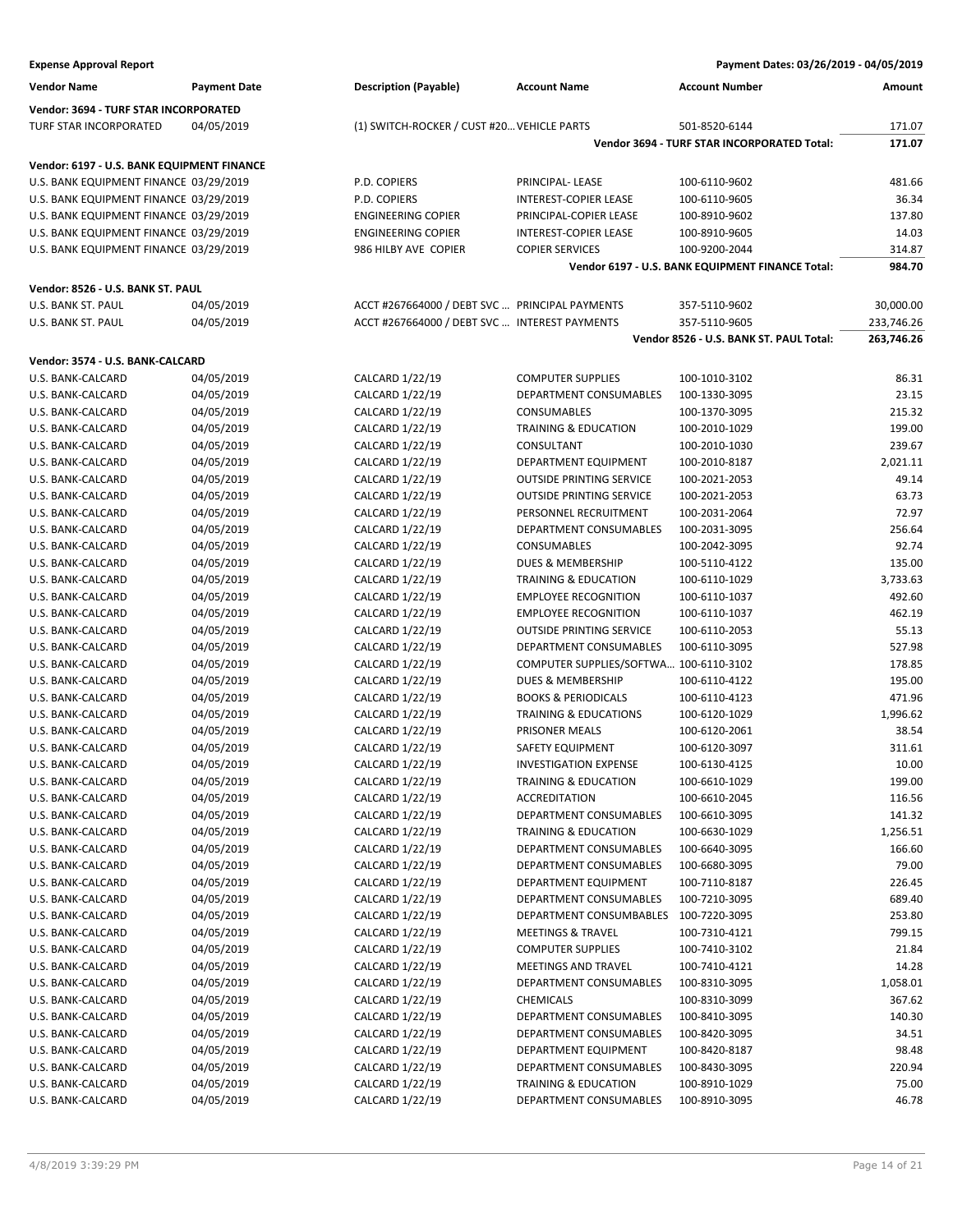| <b>Expense Approval Report</b>             |                          |                                                | Payment Dates: 03/26/2019 - 04/05/2019             |                                                  |                  |
|--------------------------------------------|--------------------------|------------------------------------------------|----------------------------------------------------|--------------------------------------------------|------------------|
| <b>Vendor Name</b>                         | <b>Payment Date</b>      | <b>Description (Payable)</b>                   | <b>Account Name</b>                                | <b>Account Number</b>                            | Amount           |
| Vendor: 3694 - TURF STAR INCORPORATED      |                          |                                                |                                                    |                                                  |                  |
| TURF STAR INCORPORATED                     | 04/05/2019               | (1) SWITCH-ROCKER / CUST #20 VEHICLE PARTS     |                                                    | 501-8520-6144                                    | 171.07           |
|                                            |                          |                                                |                                                    | Vendor 3694 - TURF STAR INCORPORATED Total:      | 171.07           |
| Vendor: 6197 - U.S. BANK EQUIPMENT FINANCE |                          |                                                |                                                    |                                                  |                  |
| U.S. BANK EQUIPMENT FINANCE 03/29/2019     |                          | P.D. COPIERS                                   | PRINCIPAL- LEASE                                   | 100-6110-9602                                    | 481.66           |
| U.S. BANK EQUIPMENT FINANCE 03/29/2019     |                          | P.D. COPIERS                                   | INTEREST-COPIER LEASE                              | 100-6110-9605                                    | 36.34            |
| U.S. BANK EQUIPMENT FINANCE 03/29/2019     |                          | <b>ENGINEERING COPIER</b>                      | PRINCIPAL-COPIER LEASE                             | 100-8910-9602                                    | 137.80           |
| U.S. BANK EQUIPMENT FINANCE 03/29/2019     |                          | <b>ENGINEERING COPIER</b>                      | <b>INTEREST-COPIER LEASE</b>                       | 100-8910-9605                                    | 14.03            |
| U.S. BANK EQUIPMENT FINANCE 03/29/2019     |                          | 986 HILBY AVE COPIER                           | <b>COPIER SERVICES</b>                             | 100-9200-2044                                    | 314.87           |
|                                            |                          |                                                |                                                    | Vendor 6197 - U.S. BANK EQUIPMENT FINANCE Total: | 984.70           |
| Vendor: 8526 - U.S. BANK ST. PAUL          |                          |                                                |                                                    |                                                  |                  |
| U.S. BANK ST. PAUL                         | 04/05/2019               | ACCT #267664000 / DEBT SVC  PRINCIPAL PAYMENTS |                                                    | 357-5110-9602                                    | 30,000.00        |
| U.S. BANK ST. PAUL                         | 04/05/2019               | ACCT #267664000 / DEBT SVC  INTEREST PAYMENTS  |                                                    | 357-5110-9605                                    | 233,746.26       |
|                                            |                          |                                                |                                                    | Vendor 8526 - U.S. BANK ST. PAUL Total:          | 263,746.26       |
| Vendor: 3574 - U.S. BANK-CALCARD           |                          |                                                |                                                    |                                                  |                  |
|                                            |                          |                                                |                                                    |                                                  |                  |
| U.S. BANK-CALCARD<br>U.S. BANK-CALCARD     | 04/05/2019<br>04/05/2019 | CALCARD 1/22/19                                | <b>COMPUTER SUPPLIES</b><br>DEPARTMENT CONSUMABLES | 100-1010-3102                                    | 86.31            |
| U.S. BANK-CALCARD                          | 04/05/2019               | CALCARD 1/22/19<br>CALCARD 1/22/19             |                                                    | 100-1330-3095                                    | 23.15<br>215.32  |
| U.S. BANK-CALCARD                          |                          |                                                | CONSUMABLES                                        | 100-1370-3095                                    |                  |
| U.S. BANK-CALCARD                          | 04/05/2019<br>04/05/2019 | CALCARD 1/22/19<br>CALCARD 1/22/19             | TRAINING & EDUCATION<br>CONSULTANT                 | 100-2010-1029<br>100-2010-1030                   | 199.00<br>239.67 |
|                                            |                          |                                                | DEPARTMENT EQUIPMENT                               |                                                  |                  |
| U.S. BANK-CALCARD<br>U.S. BANK-CALCARD     | 04/05/2019<br>04/05/2019 | CALCARD 1/22/19                                |                                                    | 100-2010-8187                                    | 2,021.11         |
|                                            | 04/05/2019               | CALCARD 1/22/19                                | <b>OUTSIDE PRINTING SERVICE</b>                    | 100-2021-2053                                    | 49.14            |
| U.S. BANK-CALCARD                          |                          | CALCARD 1/22/19                                | <b>OUTSIDE PRINTING SERVICE</b>                    | 100-2021-2053                                    | 63.73            |
| U.S. BANK-CALCARD                          | 04/05/2019               | CALCARD 1/22/19                                | PERSONNEL RECRUITMENT                              | 100-2031-2064                                    | 72.97            |
| U.S. BANK-CALCARD                          | 04/05/2019               | CALCARD 1/22/19                                | DEPARTMENT CONSUMABLES                             | 100-2031-3095                                    | 256.64           |
| U.S. BANK-CALCARD                          | 04/05/2019               | CALCARD 1/22/19                                | <b>CONSUMABLES</b>                                 | 100-2042-3095                                    | 92.74            |
| U.S. BANK-CALCARD                          | 04/05/2019               | CALCARD 1/22/19                                | <b>DUES &amp; MEMBERSHIP</b>                       | 100-5110-4122                                    | 135.00           |
| U.S. BANK-CALCARD                          | 04/05/2019               | CALCARD 1/22/19                                | TRAINING & EDUCATION                               | 100-6110-1029                                    | 3,733.63         |
| U.S. BANK-CALCARD                          | 04/05/2019               | CALCARD 1/22/19                                | <b>EMPLOYEE RECOGNITION</b>                        | 100-6110-1037                                    | 492.60           |
| U.S. BANK-CALCARD                          | 04/05/2019               | CALCARD 1/22/19                                | <b>EMPLOYEE RECOGNITION</b>                        | 100-6110-1037                                    | 462.19           |
| U.S. BANK-CALCARD                          | 04/05/2019               | CALCARD 1/22/19                                | <b>OUTSIDE PRINTING SERVICE</b>                    | 100-6110-2053                                    | 55.13            |
| U.S. BANK-CALCARD                          | 04/05/2019               | CALCARD 1/22/19                                | DEPARTMENT CONSUMABLES                             | 100-6110-3095                                    | 527.98           |
| U.S. BANK-CALCARD                          | 04/05/2019               | CALCARD 1/22/19                                | COMPUTER SUPPLIES/SOFTWA 100-6110-3102             |                                                  | 178.85           |
| U.S. BANK-CALCARD                          | 04/05/2019               | CALCARD 1/22/19                                | DUES & MEMBERSHIP                                  | 100-6110-4122                                    | 195.00           |
| U.S. BANK-CALCARD                          | 04/05/2019               | CALCARD 1/22/19                                | <b>BOOKS &amp; PERIODICALS</b>                     | 100-6110-4123                                    | 471.96           |
| U.S. BANK-CALCARD                          | 04/05/2019               | CALCARD 1/22/19                                | <b>TRAINING &amp; EDUCATIONS</b>                   | 100-6120-1029                                    | 1,996.62         |
| U.S. BANK-CALCARD                          | 04/05/2019               | CALCARD 1/22/19                                | PRISONER MEALS                                     | 100-6120-2061                                    | 38.54            |
| U.S. BANK-CALCARD                          | 04/05/2019               | CALCARD 1/22/19                                | SAFETY EQUIPMENT                                   | 100-6120-3097                                    | 311.61           |
| U.S. BANK-CALCARD                          | 04/05/2019               | CALCARD 1/22/19                                | <b>INVESTIGATION EXPENSE</b>                       | 100-6130-4125                                    | 10.00            |
| U.S. BANK-CALCARD                          | 04/05/2019               | CALCARD 1/22/19                                | TRAINING & EDUCATION                               | 100-6610-1029                                    | 199.00           |
| U.S. BANK-CALCARD                          | 04/05/2019               | CALCARD 1/22/19                                | <b>ACCREDITATION</b>                               | 100-6610-2045                                    | 116.56           |
| U.S. BANK-CALCARD                          | 04/05/2019               | CALCARD 1/22/19                                | DEPARTMENT CONSUMABLES                             | 100-6610-3095                                    | 141.32           |
| U.S. BANK-CALCARD                          | 04/05/2019               | CALCARD 1/22/19                                | TRAINING & EDUCATION                               | 100-6630-1029                                    | 1,256.51         |
| U.S. BANK-CALCARD                          | 04/05/2019               | CALCARD 1/22/19                                | DEPARTMENT CONSUMABLES                             | 100-6640-3095                                    | 166.60           |
| U.S. BANK-CALCARD                          | 04/05/2019               | CALCARD 1/22/19                                | DEPARTMENT CONSUMABLES                             | 100-6680-3095                                    | 79.00            |
| U.S. BANK-CALCARD                          | 04/05/2019               | CALCARD 1/22/19                                | DEPARTMENT EQUIPMENT                               | 100-7110-8187                                    | 226.45           |
| U.S. BANK-CALCARD                          | 04/05/2019               | CALCARD 1/22/19                                | DEPARTMENT CONSUMABLES                             | 100-7210-3095                                    | 689.40           |
| U.S. BANK-CALCARD                          | 04/05/2019               | CALCARD 1/22/19                                | DEPARTMENT CONSUMBABLES                            | 100-7220-3095                                    | 253.80           |
| U.S. BANK-CALCARD                          | 04/05/2019               | CALCARD 1/22/19                                | <b>MEETINGS &amp; TRAVEL</b>                       | 100-7310-4121                                    | 799.15           |
| U.S. BANK-CALCARD                          | 04/05/2019               | CALCARD 1/22/19                                | <b>COMPUTER SUPPLIES</b>                           | 100-7410-3102                                    | 21.84            |
| U.S. BANK-CALCARD                          | 04/05/2019               | CALCARD 1/22/19                                | MEETINGS AND TRAVEL                                | 100-7410-4121                                    | 14.28            |
| U.S. BANK-CALCARD                          | 04/05/2019               | CALCARD 1/22/19                                | DEPARTMENT CONSUMABLES                             | 100-8310-3095                                    | 1,058.01         |
| U.S. BANK-CALCARD                          | 04/05/2019               | CALCARD 1/22/19                                | CHEMICALS                                          | 100-8310-3099                                    | 367.62           |
| U.S. BANK-CALCARD                          | 04/05/2019               | CALCARD 1/22/19                                | DEPARTMENT CONSUMABLES                             | 100-8410-3095                                    | 140.30           |
| U.S. BANK-CALCARD                          | 04/05/2019               | CALCARD 1/22/19                                | DEPARTMENT CONSUMABLES                             | 100-8420-3095                                    | 34.51            |
| U.S. BANK-CALCARD                          | 04/05/2019               | CALCARD 1/22/19                                | DEPARTMENT EQUIPMENT                               | 100-8420-8187                                    | 98.48            |
| U.S. BANK-CALCARD                          | 04/05/2019               | CALCARD 1/22/19                                | DEPARTMENT CONSUMABLES                             | 100-8430-3095                                    | 220.94           |
| U.S. BANK-CALCARD                          | 04/05/2019               | CALCARD 1/22/19                                | TRAINING & EDUCATION                               | 100-8910-1029                                    | 75.00            |

U.S. BANK-CALCARD 04/05/2019 CALCARD 1/22/19 DEPARTMENT CONSUMABLES 100-8910-3095 46.78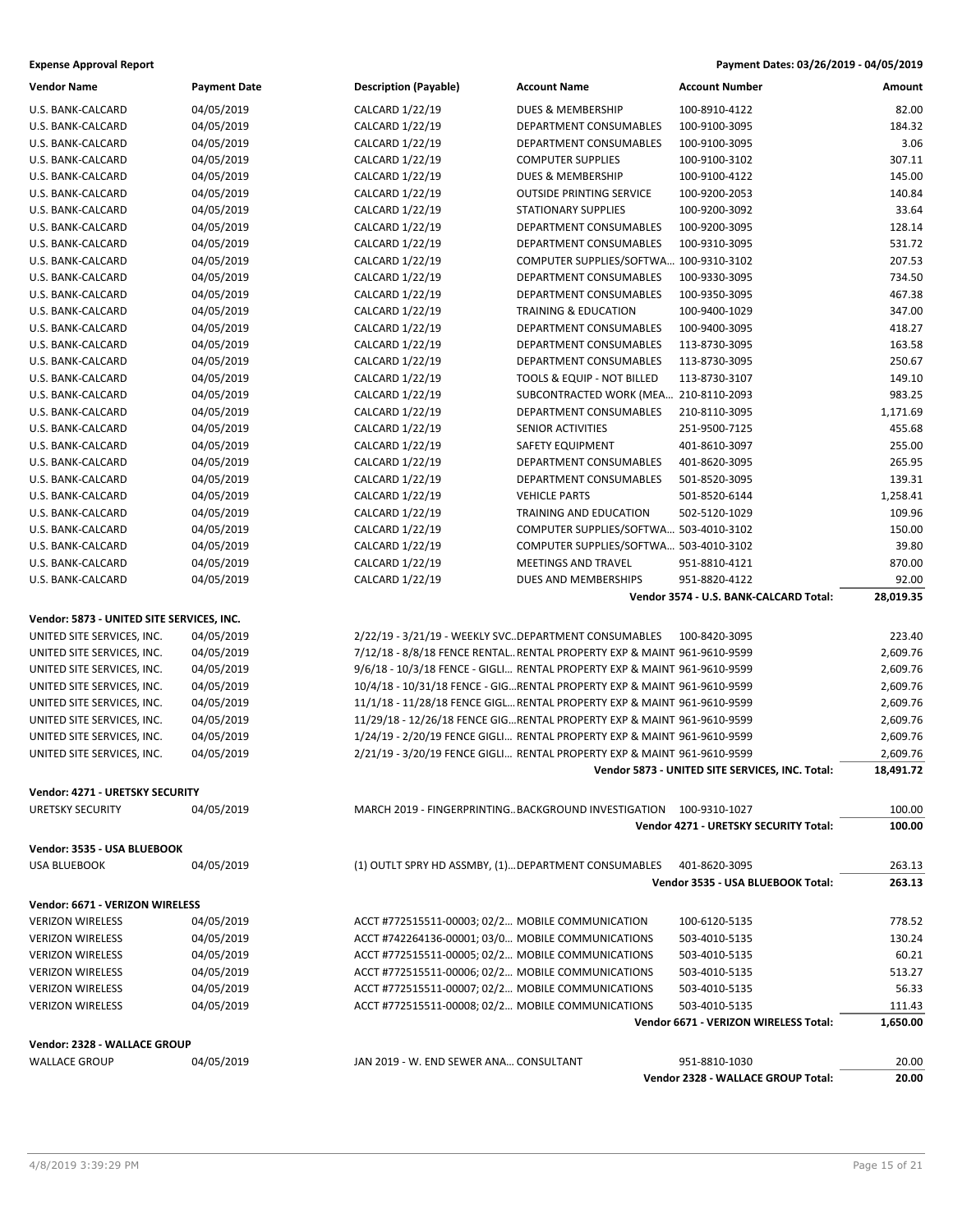### **Expense Approval Report Payment Dates: 03/26/2019 - 04/05/2019**

| <b>Vendor Name</b>                        | <b>Payment Date</b> | <b>Description (Payable)</b>                         | <b>Account Name</b>                                                      | <b>Account Number</b>                               | Amount         |
|-------------------------------------------|---------------------|------------------------------------------------------|--------------------------------------------------------------------------|-----------------------------------------------------|----------------|
| U.S. BANK-CALCARD                         | 04/05/2019          | CALCARD 1/22/19                                      | <b>DUES &amp; MEMBERSHIP</b>                                             | 100-8910-4122                                       | 82.00          |
| U.S. BANK-CALCARD                         | 04/05/2019          | CALCARD 1/22/19                                      | DEPARTMENT CONSUMABLES                                                   | 100-9100-3095                                       | 184.32         |
| U.S. BANK-CALCARD                         | 04/05/2019          | CALCARD 1/22/19                                      | DEPARTMENT CONSUMABLES                                                   | 100-9100-3095                                       | 3.06           |
| U.S. BANK-CALCARD                         | 04/05/2019          | CALCARD 1/22/19                                      | <b>COMPUTER SUPPLIES</b>                                                 | 100-9100-3102                                       | 307.11         |
| U.S. BANK-CALCARD                         | 04/05/2019          | CALCARD 1/22/19                                      | DUES & MEMBERSHIP                                                        | 100-9100-4122                                       | 145.00         |
| U.S. BANK-CALCARD                         | 04/05/2019          | CALCARD 1/22/19                                      | <b>OUTSIDE PRINTING SERVICE</b>                                          | 100-9200-2053                                       | 140.84         |
| U.S. BANK-CALCARD                         | 04/05/2019          | CALCARD 1/22/19                                      | <b>STATIONARY SUPPLIES</b>                                               | 100-9200-3092                                       | 33.64          |
| U.S. BANK-CALCARD                         | 04/05/2019          | CALCARD 1/22/19                                      | DEPARTMENT CONSUMABLES                                                   | 100-9200-3095                                       | 128.14         |
| U.S. BANK-CALCARD                         | 04/05/2019          | CALCARD 1/22/19                                      | DEPARTMENT CONSUMABLES                                                   | 100-9310-3095                                       | 531.72         |
| U.S. BANK-CALCARD                         | 04/05/2019          | CALCARD 1/22/19                                      | COMPUTER SUPPLIES/SOFTWA 100-9310-3102                                   |                                                     | 207.53         |
| U.S. BANK-CALCARD                         | 04/05/2019          | CALCARD 1/22/19                                      | DEPARTMENT CONSUMABLES                                                   | 100-9330-3095                                       | 734.50         |
|                                           | 04/05/2019          |                                                      | DEPARTMENT CONSUMABLES                                                   | 100-9350-3095                                       | 467.38         |
| U.S. BANK-CALCARD                         |                     | CALCARD 1/22/19                                      |                                                                          |                                                     |                |
| U.S. BANK-CALCARD                         | 04/05/2019          | CALCARD 1/22/19                                      | <b>TRAINING &amp; EDUCATION</b>                                          | 100-9400-1029                                       | 347.00         |
| U.S. BANK-CALCARD                         | 04/05/2019          | CALCARD 1/22/19                                      | DEPARTMENT CONSUMABLES                                                   | 100-9400-3095                                       | 418.27         |
| U.S. BANK-CALCARD                         | 04/05/2019          | CALCARD 1/22/19                                      | DEPARTMENT CONSUMABLES                                                   | 113-8730-3095                                       | 163.58         |
| U.S. BANK-CALCARD                         | 04/05/2019          | CALCARD 1/22/19                                      | DEPARTMENT CONSUMABLES                                                   | 113-8730-3095                                       | 250.67         |
| U.S. BANK-CALCARD                         | 04/05/2019          | CALCARD 1/22/19                                      | TOOLS & EQUIP - NOT BILLED                                               | 113-8730-3107                                       | 149.10         |
| U.S. BANK-CALCARD                         | 04/05/2019          | CALCARD 1/22/19                                      | SUBCONTRACTED WORK (MEA 210-8110-2093                                    |                                                     | 983.25         |
| U.S. BANK-CALCARD                         | 04/05/2019          | CALCARD 1/22/19                                      | DEPARTMENT CONSUMABLES                                                   | 210-8110-3095                                       | 1,171.69       |
| U.S. BANK-CALCARD                         | 04/05/2019          | CALCARD 1/22/19                                      | <b>SENIOR ACTIVITIES</b>                                                 | 251-9500-7125                                       | 455.68         |
| U.S. BANK-CALCARD                         | 04/05/2019          | CALCARD 1/22/19                                      | SAFETY EQUIPMENT                                                         | 401-8610-3097                                       | 255.00         |
| U.S. BANK-CALCARD                         | 04/05/2019          | CALCARD 1/22/19                                      | DEPARTMENT CONSUMABLES                                                   | 401-8620-3095                                       | 265.95         |
| U.S. BANK-CALCARD                         | 04/05/2019          | CALCARD 1/22/19                                      | DEPARTMENT CONSUMABLES                                                   | 501-8520-3095                                       | 139.31         |
| U.S. BANK-CALCARD                         | 04/05/2019          | CALCARD 1/22/19                                      | <b>VEHICLE PARTS</b>                                                     | 501-8520-6144                                       | 1,258.41       |
| U.S. BANK-CALCARD                         | 04/05/2019          | CALCARD 1/22/19                                      | TRAINING AND EDUCATION                                                   | 502-5120-1029                                       | 109.96         |
| U.S. BANK-CALCARD                         | 04/05/2019          | CALCARD 1/22/19                                      | COMPUTER SUPPLIES/SOFTWA 503-4010-3102                                   |                                                     | 150.00         |
| U.S. BANK-CALCARD                         | 04/05/2019          | CALCARD 1/22/19                                      | COMPUTER SUPPLIES/SOFTWA 503-4010-3102                                   |                                                     | 39.80          |
| U.S. BANK-CALCARD                         | 04/05/2019          | CALCARD 1/22/19                                      | MEETINGS AND TRAVEL                                                      | 951-8810-4121                                       | 870.00         |
| U.S. BANK-CALCARD                         | 04/05/2019          | CALCARD 1/22/19                                      | DUES AND MEMBERSHIPS                                                     | 951-8820-4122                                       | 92.00          |
|                                           |                     |                                                      |                                                                          |                                                     |                |
|                                           |                     |                                                      |                                                                          | Vendor 3574 - U.S. BANK-CALCARD Total:              | 28,019.35      |
|                                           |                     |                                                      |                                                                          |                                                     |                |
| Vendor: 5873 - UNITED SITE SERVICES, INC. |                     |                                                      |                                                                          |                                                     |                |
| UNITED SITE SERVICES, INC.                | 04/05/2019          | 2/22/19 - 3/21/19 - WEEKLY SVCDEPARTMENT CONSUMABLES |                                                                          | 100-8420-3095                                       | 223.40         |
| UNITED SITE SERVICES, INC.                | 04/05/2019          |                                                      | 7/12/18 - 8/8/18 FENCE RENTAL RENTAL PROPERTY EXP & MAINT 961-9610-9599  |                                                     | 2,609.76       |
| UNITED SITE SERVICES, INC.                | 04/05/2019          |                                                      | 9/6/18 - 10/3/18 FENCE - GIGLI RENTAL PROPERTY EXP & MAINT 961-9610-9599 |                                                     | 2,609.76       |
| UNITED SITE SERVICES, INC.                | 04/05/2019          |                                                      | 10/4/18 - 10/31/18 FENCE - GIGRENTAL PROPERTY EXP & MAINT 961-9610-9599  |                                                     | 2,609.76       |
| UNITED SITE SERVICES, INC.                | 04/05/2019          |                                                      | 11/1/18 - 11/28/18 FENCE GIGL RENTAL PROPERTY EXP & MAINT 961-9610-9599  |                                                     | 2,609.76       |
| UNITED SITE SERVICES, INC.                | 04/05/2019          |                                                      | 11/29/18 - 12/26/18 FENCE GIGRENTAL PROPERTY EXP & MAINT 961-9610-9599   |                                                     | 2,609.76       |
| UNITED SITE SERVICES, INC.                | 04/05/2019          |                                                      | 1/24/19 - 2/20/19 FENCE GIGLI RENTAL PROPERTY EXP & MAINT 961-9610-9599  |                                                     | 2,609.76       |
| UNITED SITE SERVICES, INC.                | 04/05/2019          |                                                      | 2/21/19 - 3/20/19 FENCE GIGLI RENTAL PROPERTY EXP & MAINT 961-9610-9599  |                                                     | 2,609.76       |
|                                           |                     |                                                      |                                                                          | Vendor 5873 - UNITED SITE SERVICES, INC. Total:     | 18,491.72      |
| <b>Vendor: 4271 - URETSKY SECURITY</b>    |                     |                                                      |                                                                          |                                                     |                |
| URETSKY SECURITY                          | 04/05/2019          |                                                      | MARCH 2019 - FINGERPRINTINGBACKGROUND INVESTIGATION 100-9310-1027        |                                                     | 100.00         |
|                                           |                     |                                                      |                                                                          | Vendor 4271 - URETSKY SECURITY Total:               | 100.00         |
|                                           |                     |                                                      |                                                                          |                                                     |                |
| Vendor: 3535 - USA BLUEBOOK               |                     |                                                      |                                                                          |                                                     |                |
| USA BLUEBOOK                              | 04/05/2019          | (1) OUTLT SPRY HD ASSMBY, (1) DEPARTMENT CONSUMABLES |                                                                          | 401-8620-3095                                       | 263.13         |
|                                           |                     |                                                      |                                                                          | Vendor 3535 - USA BLUEBOOK Total:                   | 263.13         |
| Vendor: 6671 - VERIZON WIRELESS           |                     |                                                      |                                                                          |                                                     |                |
| <b>VERIZON WIRELESS</b>                   | 04/05/2019          | ACCT #772515511-00003; 02/2 MOBILE COMMUNICATION     |                                                                          | 100-6120-5135                                       | 778.52         |
| <b>VERIZON WIRELESS</b>                   | 04/05/2019          | ACCT #742264136-00001; 03/0 MOBILE COMMUNICATIONS    |                                                                          | 503-4010-5135                                       | 130.24         |
| <b>VERIZON WIRELESS</b>                   | 04/05/2019          | ACCT #772515511-00005; 02/2 MOBILE COMMUNICATIONS    |                                                                          | 503-4010-5135                                       | 60.21          |
| <b>VERIZON WIRELESS</b>                   | 04/05/2019          | ACCT #772515511-00006; 02/2 MOBILE COMMUNICATIONS    |                                                                          | 503-4010-5135                                       | 513.27         |
| <b>VERIZON WIRELESS</b>                   | 04/05/2019          | ACCT #772515511-00007; 02/2 MOBILE COMMUNICATIONS    |                                                                          | 503-4010-5135                                       | 56.33          |
| <b>VERIZON WIRELESS</b>                   | 04/05/2019          | ACCT #772515511-00008; 02/2 MOBILE COMMUNICATIONS    |                                                                          | 503-4010-5135                                       | 111.43         |
|                                           |                     |                                                      |                                                                          | Vendor 6671 - VERIZON WIRELESS Total:               | 1,650.00       |
|                                           |                     |                                                      |                                                                          |                                                     |                |
| Vendor: 2328 - WALLACE GROUP              |                     |                                                      |                                                                          |                                                     |                |
| <b>WALLACE GROUP</b>                      | 04/05/2019          | JAN 2019 - W. END SEWER ANA CONSULTANT               |                                                                          | 951-8810-1030<br>Vendor 2328 - WALLACE GROUP Total: | 20.00<br>20.00 |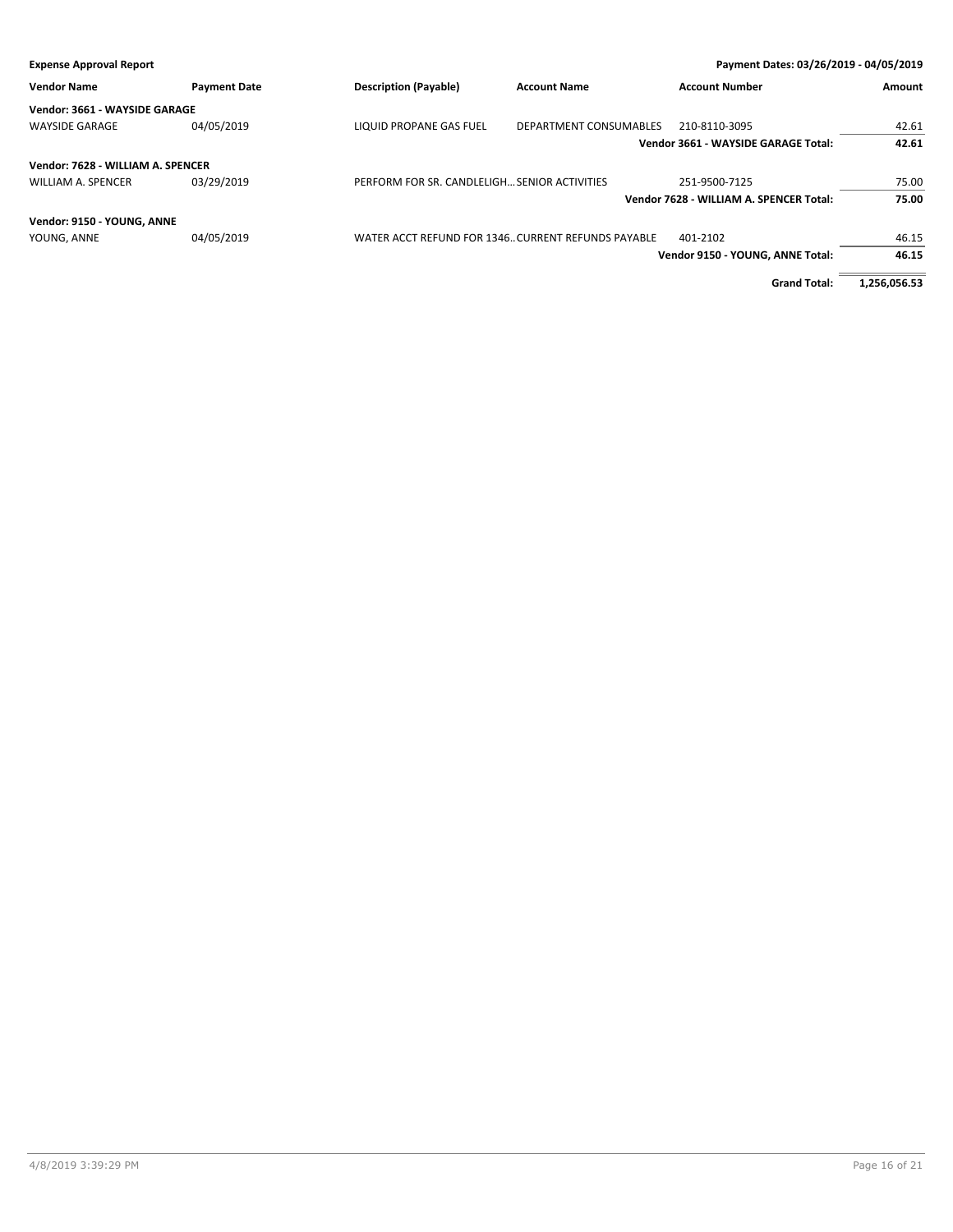| Payment Dates: 03/26/2019 - 04/05/2019<br><b>Expense Approval Report</b> |                     |                                                     |                        |                                         |              |
|--------------------------------------------------------------------------|---------------------|-----------------------------------------------------|------------------------|-----------------------------------------|--------------|
| <b>Vendor Name</b>                                                       | <b>Payment Date</b> | <b>Description (Payable)</b>                        | <b>Account Name</b>    | <b>Account Number</b>                   | Amount       |
| Vendor: 3661 - WAYSIDE GARAGE                                            |                     |                                                     |                        |                                         |              |
| <b>WAYSIDE GARAGE</b>                                                    | 04/05/2019          | <b>LIQUID PROPANE GAS FUEL</b>                      | DEPARTMENT CONSUMABLES | 210-8110-3095                           | 42.61        |
|                                                                          |                     |                                                     |                        | Vendor 3661 - WAYSIDE GARAGE Total:     | 42.61        |
| Vendor: 7628 - WILLIAM A. SPENCER                                        |                     |                                                     |                        |                                         |              |
| <b>WILLIAM A. SPENCER</b>                                                | 03/29/2019          | PERFORM FOR SR. CANDLELIGH SENIOR ACTIVITIES        |                        | 251-9500-7125                           | 75.00        |
|                                                                          |                     |                                                     |                        | Vendor 7628 - WILLIAM A. SPENCER Total: | 75.00        |
| Vendor: 9150 - YOUNG, ANNE                                               |                     |                                                     |                        |                                         |              |
| YOUNG, ANNE                                                              | 04/05/2019          | WATER ACCT REFUND FOR 1346. CURRENT REFUNDS PAYABLE |                        | 401-2102                                | 46.15        |
|                                                                          |                     |                                                     |                        | Vendor 9150 - YOUNG, ANNE Total:        | 46.15        |
|                                                                          |                     |                                                     |                        | <b>Grand Total:</b>                     | 1,256,056.53 |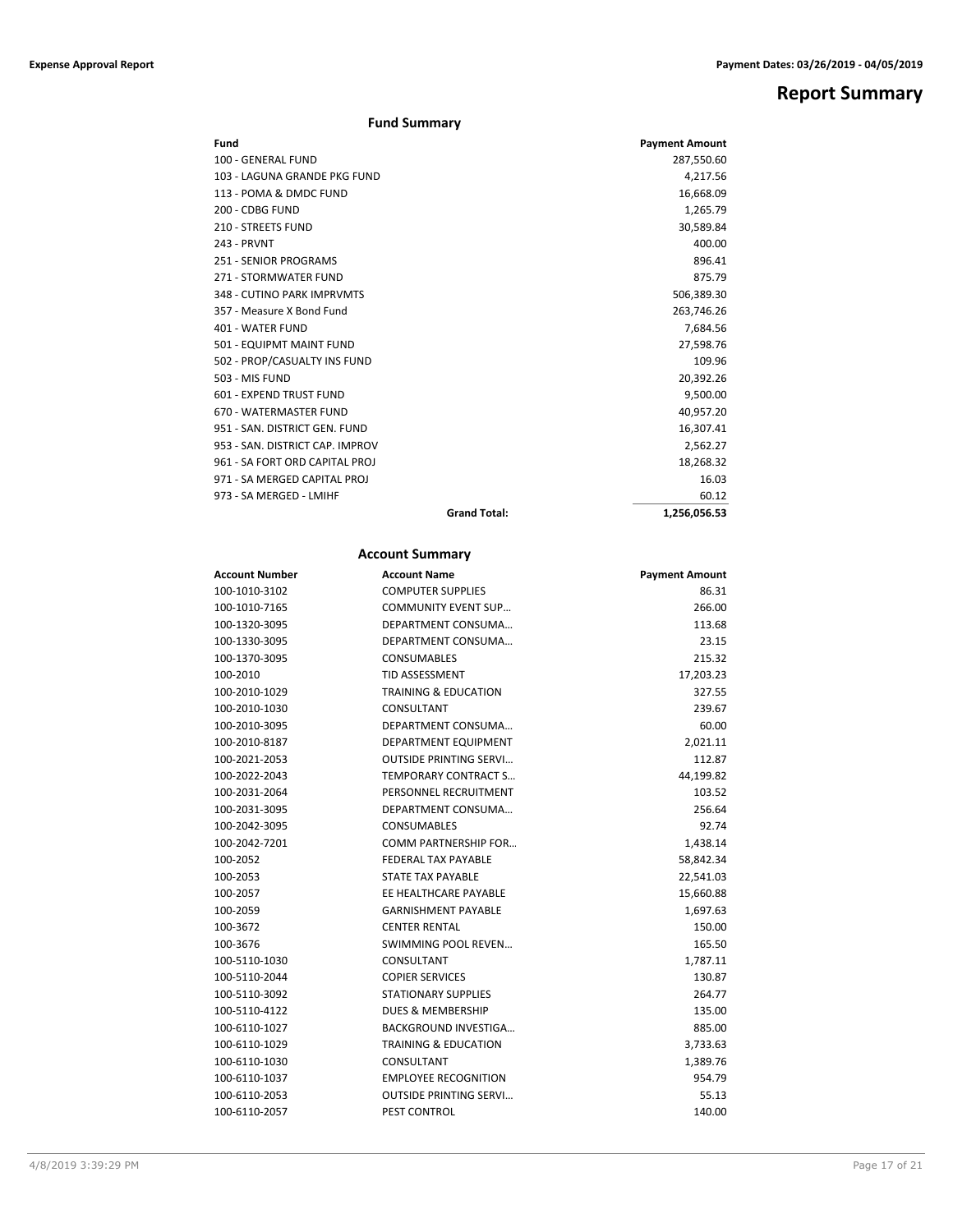## **Report Summary**

### **Fund Summary**

| Fund                            |                     | <b>Payment Amount</b> |
|---------------------------------|---------------------|-----------------------|
| 100 - GENERAL FUND              |                     | 287,550.60            |
| 103 - LAGUNA GRANDE PKG FUND    |                     | 4,217.56              |
| 113 - POMA & DMDC FUND          |                     | 16,668.09             |
| 200 - CDBG FUND                 |                     | 1,265.79              |
| <b>210 - STREETS FUND</b>       |                     | 30,589.84             |
| 243 - PRVNT                     |                     | 400.00                |
| 251 - SENIOR PROGRAMS           |                     | 896.41                |
| 271 - STORMWATER FUND           |                     | 875.79                |
| 348 - CUTINO PARK IMPRVMTS      |                     | 506,389.30            |
| 357 - Measure X Bond Fund       |                     | 263,746.26            |
| 401 - WATER FUND                |                     | 7,684.56              |
| 501 - EQUIPMT MAINT FUND        |                     | 27,598.76             |
| 502 - PROP/CASUALTY INS FUND    |                     | 109.96                |
| 503 - MIS FUND                  |                     | 20,392.26             |
| 601 - EXPEND TRUST FUND         |                     | 9,500.00              |
| 670 - WATERMASTER FUND          |                     | 40,957.20             |
| 951 - SAN, DISTRICT GEN, FUND   |                     | 16,307.41             |
| 953 - SAN, DISTRICT CAP, IMPROV |                     | 2,562.27              |
| 961 - SA FORT ORD CAPITAL PROJ  |                     | 18,268.32             |
| 971 - SA MERGED CAPITAL PROJ    |                     | 16.03                 |
| 973 - SA MERGED - LMIHF         |                     | 60.12                 |
|                                 | <b>Grand Total:</b> | 1,256,056.53          |

### **Account Summary**

| Account Number | <b>Account Name</b>             | <b>Payment Amount</b> |
|----------------|---------------------------------|-----------------------|
| 100-1010-3102  | <b>COMPUTER SUPPLIES</b>        | 86.31                 |
| 100-1010-7165  | <b>COMMUNITY EVENT SUP</b>      | 266.00                |
| 100-1320-3095  | DEPARTMENT CONSUMA              | 113.68                |
| 100-1330-3095  | DEPARTMENT CONSUMA              | 23.15                 |
| 100-1370-3095  | <b>CONSUMABLES</b>              | 215.32                |
| 100-2010       | <b>TID ASSESSMENT</b>           | 17,203.23             |
| 100-2010-1029  | <b>TRAINING &amp; EDUCATION</b> | 327.55                |
| 100-2010-1030  | CONSULTANT                      | 239.67                |
| 100-2010-3095  | DEPARTMENT CONSUMA              | 60.00                 |
| 100-2010-8187  | DEPARTMENT EQUIPMENT            | 2,021.11              |
| 100-2021-2053  | <b>OUTSIDE PRINTING SERVI</b>   | 112.87                |
| 100-2022-2043  | <b>TEMPORARY CONTRACT S</b>     | 44,199.82             |
| 100-2031-2064  | PERSONNEL RECRUITMENT           | 103.52                |
| 100-2031-3095  | DEPARTMENT CONSUMA              | 256.64                |
| 100-2042-3095  | <b>CONSUMABLES</b>              | 92.74                 |
| 100-2042-7201  | <b>COMM PARTNERSHIP FOR</b>     | 1,438.14              |
| 100-2052       | <b>FEDERAL TAX PAYABLE</b>      | 58,842.34             |
| 100-2053       | STATE TAX PAYABLE               | 22,541.03             |
| 100-2057       | EE HEALTHCARE PAYABLE           | 15,660.88             |
| 100-2059       | <b>GARNISHMENT PAYABLE</b>      | 1,697.63              |
| 100-3672       | <b>CENTER RENTAL</b>            | 150.00                |
| 100-3676       | <b>SWIMMING POOL REVEN</b>      | 165.50                |
| 100-5110-1030  | CONSULTANT                      | 1,787.11              |
| 100-5110-2044  | <b>COPIER SERVICES</b>          | 130.87                |
| 100-5110-3092  | <b>STATIONARY SUPPLIES</b>      | 264.77                |
| 100-5110-4122  | <b>DUES &amp; MEMBERSHIP</b>    | 135.00                |
| 100-6110-1027  | <b>BACKGROUND INVESTIGA</b>     | 885.00                |
| 100-6110-1029  | <b>TRAINING &amp; EDUCATION</b> | 3,733.63              |
| 100-6110-1030  | CONSULTANT                      | 1,389.76              |
| 100-6110-1037  | <b>EMPLOYEE RECOGNITION</b>     | 954.79                |
| 100-6110-2053  | <b>OUTSIDE PRINTING SERVI</b>   | 55.13                 |
| 100-6110-2057  | <b>PEST CONTROL</b>             | 140.00                |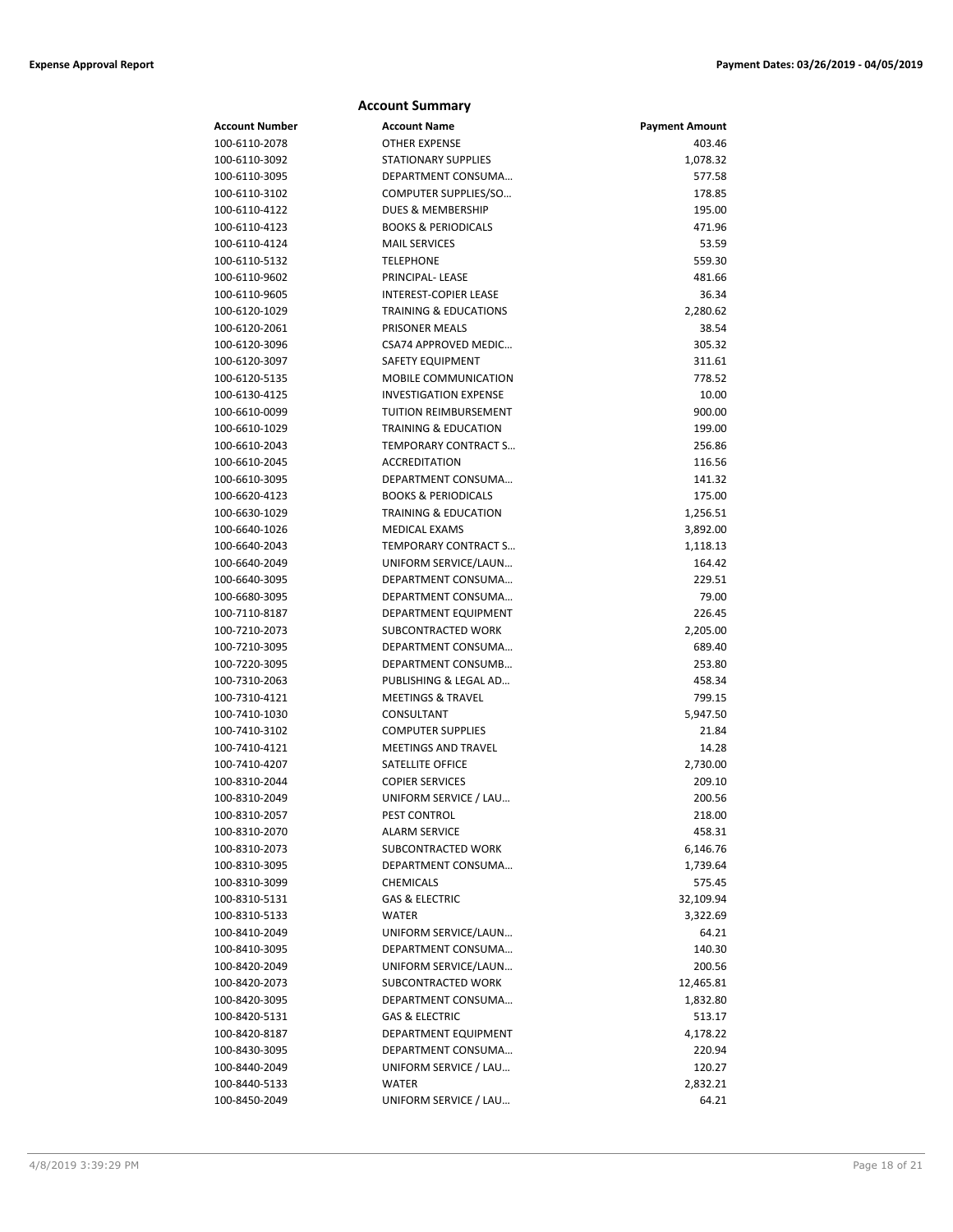|                       | <b>Account Summary</b>           |                       |
|-----------------------|----------------------------------|-----------------------|
| <b>Account Number</b> | <b>Account Name</b>              | <b>Payment Amount</b> |
| 100-6110-2078         | <b>OTHER EXPENSE</b>             | 403.46                |
| 100-6110-3092         | <b>STATIONARY SUPPLIES</b>       | 1,078.32              |
| 100-6110-3095         | DEPARTMENT CONSUMA               | 577.58                |
| 100-6110-3102         | COMPUTER SUPPLIES/SO             | 178.85                |
| 100-6110-4122         | <b>DUES &amp; MEMBERSHIP</b>     | 195.00                |
| 100-6110-4123         | <b>BOOKS &amp; PERIODICALS</b>   | 471.96                |
| 100-6110-4124         | <b>MAIL SERVICES</b>             | 53.59                 |
| 100-6110-5132         | <b>TELEPHONE</b>                 | 559.30                |
| 100-6110-9602         | PRINCIPAL-LEASE                  | 481.66                |
| 100-6110-9605         | <b>INTEREST-COPIER LEASE</b>     | 36.34                 |
| 100-6120-1029         | <b>TRAINING &amp; EDUCATIONS</b> | 2,280.62              |
| 100-6120-2061         | PRISONER MEALS                   | 38.54                 |
| 100-6120-3096         | CSA74 APPROVED MEDIC             | 305.32                |
| 100-6120-3097         | SAFETY EQUIPMENT                 | 311.61                |
| 100-6120-5135         | <b>MOBILE COMMUNICATION</b>      | 778.52                |
| 100-6130-4125         | <b>INVESTIGATION EXPENSE</b>     | 10.00                 |
| 100-6610-0099         | TUITION REIMBURSEMENT            | 900.00                |
| 100-6610-1029         | <b>TRAINING &amp; EDUCATION</b>  | 199.00                |
| 100-6610-2043         | TEMPORARY CONTRACT S             | 256.86                |
| 100-6610-2045         | <b>ACCREDITATION</b>             | 116.56                |
| 100-6610-3095         | DEPARTMENT CONSUMA               | 141.32                |
| 100-6620-4123         | <b>BOOKS &amp; PERIODICALS</b>   | 175.00                |
| 100-6630-1029         | <b>TRAINING &amp; EDUCATION</b>  | 1,256.51              |
| 100-6640-1026         | <b>MEDICAL EXAMS</b>             | 3,892.00              |
| 100-6640-2043         | TEMPORARY CONTRACT S             | 1,118.13              |
| 100-6640-2049         | UNIFORM SERVICE/LAUN             | 164.42                |
| 100-6640-3095         | DEPARTMENT CONSUMA               | 229.51                |
| 100-6680-3095         | DEPARTMENT CONSUMA               | 79.00                 |
| 100-7110-8187         | DEPARTMENT EQUIPMENT             | 226.45                |
| 100-7210-2073         | SUBCONTRACTED WORK               | 2,205.00              |
| 100-7210-3095         | DEPARTMENT CONSUMA               | 689.40                |
| 100-7220-3095         | DEPARTMENT CONSUMB               | 253.80                |
| 100-7310-2063         | PUBLISHING & LEGAL AD            | 458.34                |
| 100-7310-4121         | <b>MEETINGS &amp; TRAVEL</b>     | 799.15                |
| 100-7410-1030         | CONSULTANT                       | 5,947.50              |
| 100-7410-3102         | <b>COMPUTER SUPPLIES</b>         | 21.84                 |
| 100-7410-4121         | <b>MEETINGS AND TRAVEL</b>       | 14.28                 |
| 100-7410-4207         | SATELLITE OFFICE                 | 2,730.00              |
| 100-8310-2044         | <b>COPIER SERVICES</b>           | 209.10                |
| 100-8310-2049         | UNIFORM SERVICE / LAU            | 200.56                |
| 100-8310-2057         | PEST CONTROL                     | 218.00                |
| 100-8310-2070         | <b>ALARM SERVICE</b>             | 458.31                |
| 100-8310-2073         | SUBCONTRACTED WORK               | 6,146.76              |
| 100-8310-3095         | DEPARTMENT CONSUMA               | 1,739.64              |
| 100-8310-3099         | <b>CHEMICALS</b>                 | 575.45                |
| 100-8310-5131         | <b>GAS &amp; ELECTRIC</b>        | 32,109.94             |
| 100-8310-5133         | <b>WATER</b>                     | 3,322.69              |
| 100-8410-2049         | UNIFORM SERVICE/LAUN             | 64.21                 |
| 100-8410-3095         | DEPARTMENT CONSUMA               | 140.30                |
| 100-8420-2049         | UNIFORM SERVICE/LAUN             | 200.56                |
| 100-8420-2073         | SUBCONTRACTED WORK               | 12,465.81             |
| 100-8420-3095         | DEPARTMENT CONSUMA               | 1,832.80              |
| 100-8420-5131         | <b>GAS &amp; ELECTRIC</b>        | 513.17                |
| 100-8420-8187         | DEPARTMENT EQUIPMENT             | 4,178.22              |
| 100-8430-3095         | DEPARTMENT CONSUMA               | 220.94                |
| 100-8440-2049         | UNIFORM SERVICE / LAU            | 120.27                |
| 100-8440-5133         | <b>WATER</b>                     | 2,832.21              |
| 100-8450-2049         | UNIFORM SERVICE / LAU            | 64.21                 |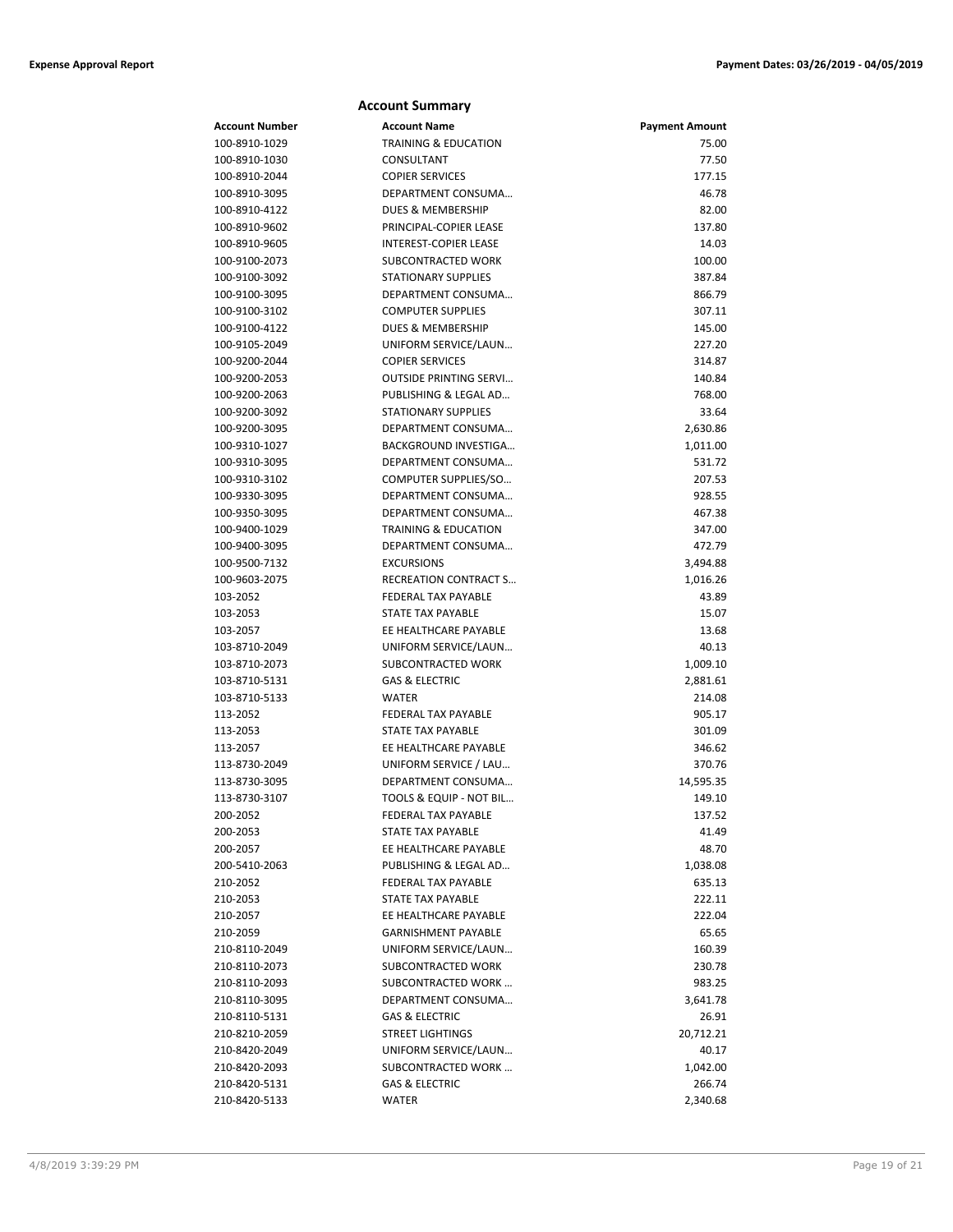|                                | <b>Account Summary</b>                     |                       |
|--------------------------------|--------------------------------------------|-----------------------|
| <b>Account Number</b>          | <b>Account Name</b>                        | <b>Payment Amount</b> |
| 100-8910-1029                  | <b>TRAINING &amp; EDUCATION</b>            | 75.00                 |
| 100-8910-1030                  | CONSULTANT                                 | 77.50                 |
| 100-8910-2044                  | <b>COPIER SERVICES</b>                     | 177.15                |
| 100-8910-3095                  | DEPARTMENT CONSUMA                         | 46.78                 |
| 100-8910-4122                  | DUES & MEMBERSHIP                          | 82.00                 |
| 100-8910-9602                  | PRINCIPAL-COPIER LEASE                     | 137.80                |
| 100-8910-9605                  | <b>INTEREST-COPIER LEASE</b>               | 14.03                 |
| 100-9100-2073                  | SUBCONTRACTED WORK                         | 100.00                |
| 100-9100-3092                  | <b>STATIONARY SUPPLIES</b>                 | 387.84                |
| 100-9100-3095                  | DEPARTMENT CONSUMA                         | 866.79                |
| 100-9100-3102                  | <b>COMPUTER SUPPLIES</b>                   | 307.11                |
| 100-9100-4122                  | DUES & MEMBERSHIP                          | 145.00                |
| 100-9105-2049                  | UNIFORM SERVICE/LAUN                       | 227.20                |
| 100-9200-2044                  | <b>COPIER SERVICES</b>                     | 314.87                |
| 100-9200-2053                  | <b>OUTSIDE PRINTING SERVI</b>              | 140.84                |
| 100-9200-2063                  | PUBLISHING & LEGAL AD                      | 768.00                |
| 100-9200-3092                  | <b>STATIONARY SUPPLIES</b>                 | 33.64                 |
| 100-9200-3095                  | DEPARTMENT CONSUMA                         | 2,630.86              |
| 100-9310-1027                  | BACKGROUND INVESTIGA                       | 1,011.00              |
| 100-9310-3095                  | DEPARTMENT CONSUMA                         | 531.72                |
| 100-9310-3102                  | COMPUTER SUPPLIES/SO                       | 207.53                |
| 100-9330-3095                  | DEPARTMENT CONSUMA                         | 928.55                |
| 100-9350-3095                  | DEPARTMENT CONSUMA                         | 467.38                |
| 100-9400-1029                  | <b>TRAINING &amp; EDUCATION</b>            | 347.00                |
| 100-9400-3095                  | DEPARTMENT CONSUMA                         | 472.79                |
| 100-9500-7132<br>100-9603-2075 | <b>EXCURSIONS</b><br>RECREATION CONTRACT S | 3,494.88              |
| 103-2052                       | <b>FEDERAL TAX PAYABLE</b>                 | 1,016.26<br>43.89     |
| 103-2053                       | <b>STATE TAX PAYABLE</b>                   | 15.07                 |
| 103-2057                       | EE HEALTHCARE PAYABLE                      | 13.68                 |
| 103-8710-2049                  | UNIFORM SERVICE/LAUN                       | 40.13                 |
| 103-8710-2073                  | SUBCONTRACTED WORK                         | 1,009.10              |
| 103-8710-5131                  | <b>GAS &amp; ELECTRIC</b>                  | 2,881.61              |
| 103-8710-5133                  | <b>WATER</b>                               | 214.08                |
| 113-2052                       | <b>FEDERAL TAX PAYABLE</b>                 | 905.17                |
| 113-2053                       | STATE TAX PAYABLE                          | 301.09                |
| 113-2057                       | EE HEALTHCARE PAYABLE                      | 346.62                |
| 113-8730-2049                  | UNIFORM SERVICE / LAU                      | 370.76                |
| 113-8730-3095                  | DEPARTMENT CONSUMA                         | 14,595.35             |
| 113-8730-3107                  | TOOLS & EQUIP - NOT BIL                    | 149.10                |
| 200-2052                       | FEDERAL TAX PAYABLE                        | 137.52                |
| 200-2053                       | STATE TAX PAYABLE                          | 41.49                 |
| 200-2057                       | EE HEALTHCARE PAYABLE                      | 48.70                 |
| 200-5410-2063                  | PUBLISHING & LEGAL AD                      | 1,038.08              |
| 210-2052                       | FEDERAL TAX PAYABLE                        | 635.13                |
| 210-2053                       | <b>STATE TAX PAYABLE</b>                   | 222.11                |
| 210-2057                       | EE HEALTHCARE PAYABLE                      | 222.04                |
| 210-2059                       | <b>GARNISHMENT PAYABLE</b>                 | 65.65                 |
| 210-8110-2049                  | UNIFORM SERVICE/LAUN                       | 160.39                |
| 210-8110-2073                  | SUBCONTRACTED WORK                         | 230.78                |
| 210-8110-2093                  | SUBCONTRACTED WORK                         | 983.25                |
| 210-8110-3095                  | DEPARTMENT CONSUMA                         | 3,641.78              |
| 210-8110-5131                  | GAS & ELECTRIC                             | 26.91                 |
| 210-8210-2059                  | <b>STREET LIGHTINGS</b>                    | 20,712.21             |
| 210-8420-2049                  | UNIFORM SERVICE/LAUN                       | 40.17                 |
| 210-8420-2093                  | SUBCONTRACTED WORK                         | 1,042.00              |
| 210-8420-5131                  | <b>GAS &amp; ELECTRIC</b>                  | 266.74                |
| 210-8420-5133                  | <b>WATER</b>                               | 2,340.68              |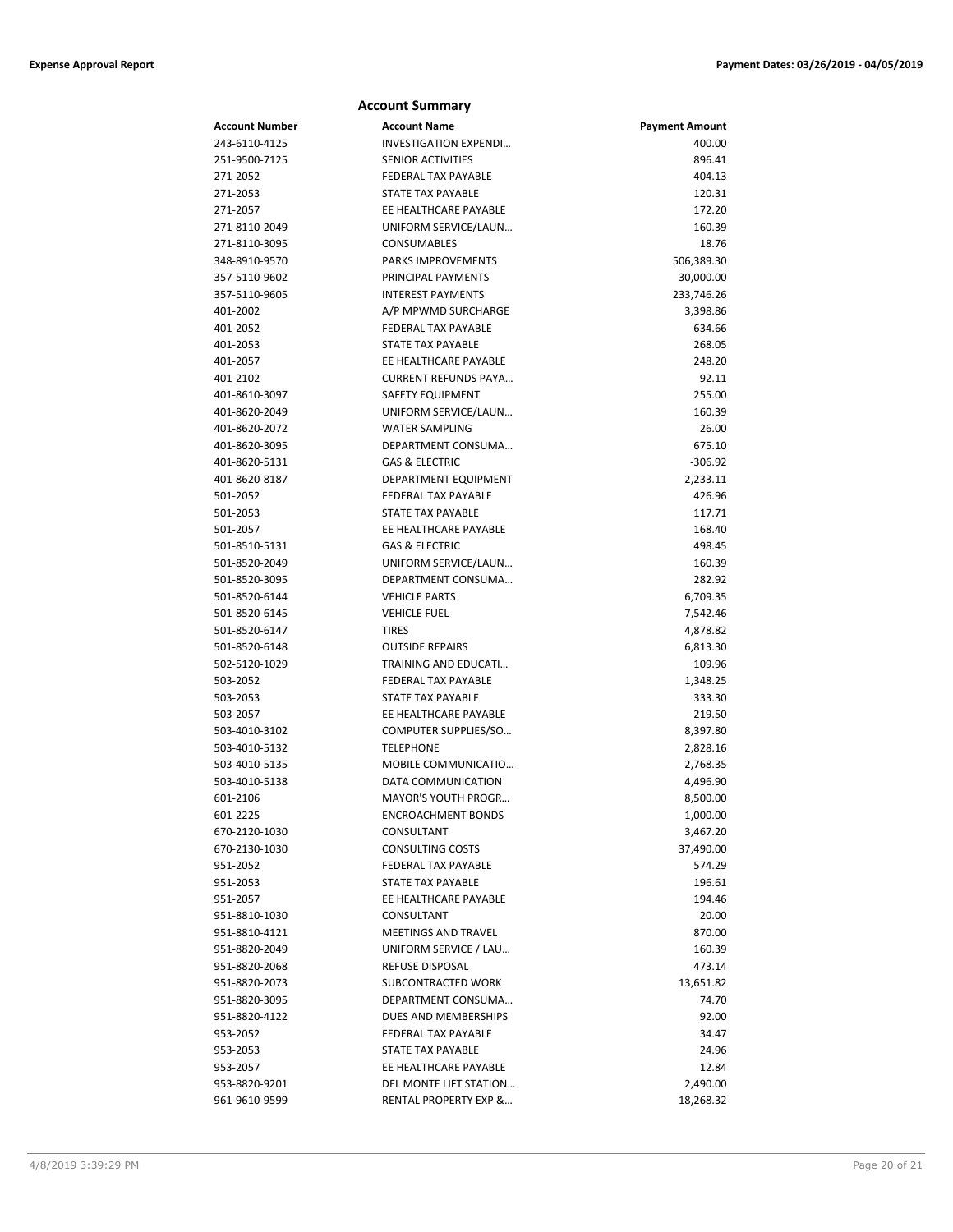|                                | <b>Account Summary</b>                 |                       |
|--------------------------------|----------------------------------------|-----------------------|
| <b>Account Number</b>          | <b>Account Name</b>                    | <b>Payment Amount</b> |
| 243-6110-4125                  | <b>INVESTIGATION EXPENDI</b>           | 400.00                |
| 251-9500-7125                  | <b>SENIOR ACTIVITIES</b>               | 896.41                |
| 271-2052                       | <b>FEDERAL TAX PAYABLE</b>             | 404.13                |
| 271-2053                       | <b>STATE TAX PAYABLE</b>               | 120.31                |
| 271-2057                       | EE HEALTHCARE PAYABLE                  | 172.20                |
| 271-8110-2049                  | UNIFORM SERVICE/LAUN                   | 160.39                |
| 271-8110-3095                  | <b>CONSUMABLES</b>                     | 18.76                 |
| 348-8910-9570                  | <b>PARKS IMPROVEMENTS</b>              | 506,389.30            |
| 357-5110-9602                  | PRINCIPAL PAYMENTS                     | 30,000.00             |
| 357-5110-9605                  | <b>INTEREST PAYMENTS</b>               | 233,746.26            |
| 401-2002                       | A/P MPWMD SURCHARGE                    | 3,398.86              |
| 401-2052                       | <b>FEDERAL TAX PAYABLE</b>             | 634.66                |
| 401-2053                       | <b>STATE TAX PAYABLE</b>               | 268.05                |
| 401-2057                       | EE HEALTHCARE PAYABLE                  | 248.20                |
| 401-2102                       | <b>CURRENT REFUNDS PAYA</b>            | 92.11                 |
| 401-8610-3097                  | SAFETY EQUIPMENT                       | 255.00                |
| 401-8620-2049                  | UNIFORM SERVICE/LAUN                   | 160.39                |
| 401-8620-2072                  | <b>WATER SAMPLING</b>                  | 26.00                 |
| 401-8620-3095                  | DEPARTMENT CONSUMA                     | 675.10                |
| 401-8620-5131                  | <b>GAS &amp; ELECTRIC</b>              | $-306.92$             |
| 401-8620-8187                  | DEPARTMENT EQUIPMENT                   | 2,233.11              |
| 501-2052                       | <b>FEDERAL TAX PAYABLE</b>             | 426.96                |
| 501-2053                       | <b>STATE TAX PAYABLE</b>               | 117.71                |
| 501-2057                       | EE HEALTHCARE PAYABLE                  | 168.40                |
| 501-8510-5131                  | <b>GAS &amp; ELECTRIC</b>              | 498.45                |
| 501-8520-2049                  | UNIFORM SERVICE/LAUN                   | 160.39                |
| 501-8520-3095                  | DEPARTMENT CONSUMA                     | 282.92                |
| 501-8520-6144                  | <b>VEHICLE PARTS</b>                   | 6,709.35              |
| 501-8520-6145                  | <b>VEHICLE FUEL</b>                    | 7,542.46              |
| 501-8520-6147<br>501-8520-6148 | <b>TIRES</b><br><b>OUTSIDE REPAIRS</b> | 4,878.82              |
| 502-5120-1029                  | TRAINING AND EDUCATI                   | 6,813.30<br>109.96    |
| 503-2052                       | <b>FEDERAL TAX PAYABLE</b>             | 1,348.25              |
| 503-2053                       | STATE TAX PAYABLE                      | 333.30                |
| 503-2057                       | EE HEALTHCARE PAYABLE                  | 219.50                |
| 503-4010-3102                  | COMPUTER SUPPLIES/SO                   | 8,397.80              |
| 503-4010-5132                  | <b>TELEPHONE</b>                       | 2,828.16              |
| 503-4010-5135                  | MOBILE COMMUNICATIO                    | 2,768.35              |
| 503-4010-5138                  | DATA COMMUNICATION                     | 4,496.90              |
| 601-2106                       | MAYOR'S YOUTH PROGR                    | 8,500.00              |
| 601-2225                       | <b>ENCROACHMENT BONDS</b>              | 1,000.00              |
| 670-2120-1030                  | CONSULTANT                             | 3,467.20              |
| 670-2130-1030                  | CONSULTING COSTS                       | 37,490.00             |
| 951-2052                       | <b>FEDERAL TAX PAYABLE</b>             | 574.29                |
| 951-2053                       | STATE TAX PAYABLE                      | 196.61                |
| 951-2057                       | EE HEALTHCARE PAYABLE                  | 194.46                |
| 951-8810-1030                  | CONSULTANT                             | 20.00                 |
| 951-8810-4121                  | MEETINGS AND TRAVEL                    | 870.00                |
| 951-8820-2049                  | UNIFORM SERVICE / LAU                  | 160.39                |
| 951-8820-2068                  | REFUSE DISPOSAL                        | 473.14                |
| 951-8820-2073                  | SUBCONTRACTED WORK                     | 13,651.82             |
| 951-8820-3095                  | DEPARTMENT CONSUMA                     | 74.70                 |
| 951-8820-4122                  | DUES AND MEMBERSHIPS                   | 92.00                 |
| 953-2052                       | FEDERAL TAX PAYABLE                    | 34.47                 |
| 953-2053                       | STATE TAX PAYABLE                      | 24.96                 |
| 953-2057                       | EE HEALTHCARE PAYABLE                  | 12.84                 |
| 953-8820-9201                  | DEL MONTE LIFT STATION                 | 2,490.00              |
| 961-9610-9599                  | RENTAL PROPERTY EXP &                  | 18,268.32             |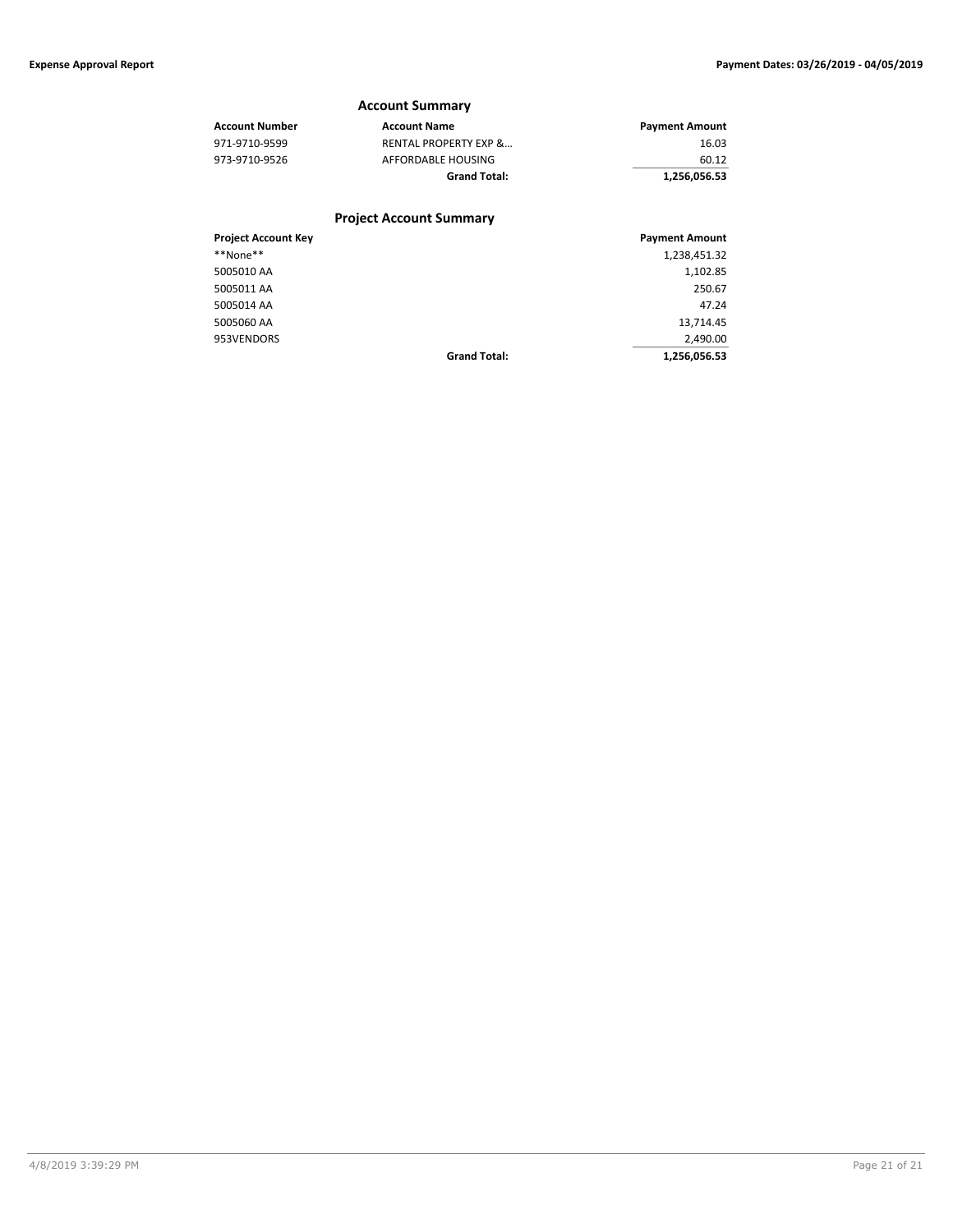**Grand Total: 1,256,056.53**

## **Account Summary Account Number Account Name Account Name Payment Amount** 971-9710-9599 RENTAL PROPERTY EXP &… 16.03 AFFORDABLE HOUSING 60.12 **Grand Total: 1,256,056.53 Project Account Summary Project Account Key Payment Amount** \*\*None\*\* 1,238,451.32 5005010 AA 1,102.85 5005011 AA 250.67 5005014 AA 47.24

5005060 AA 13,714.45 953VENDORS **200.000 STATE STATE**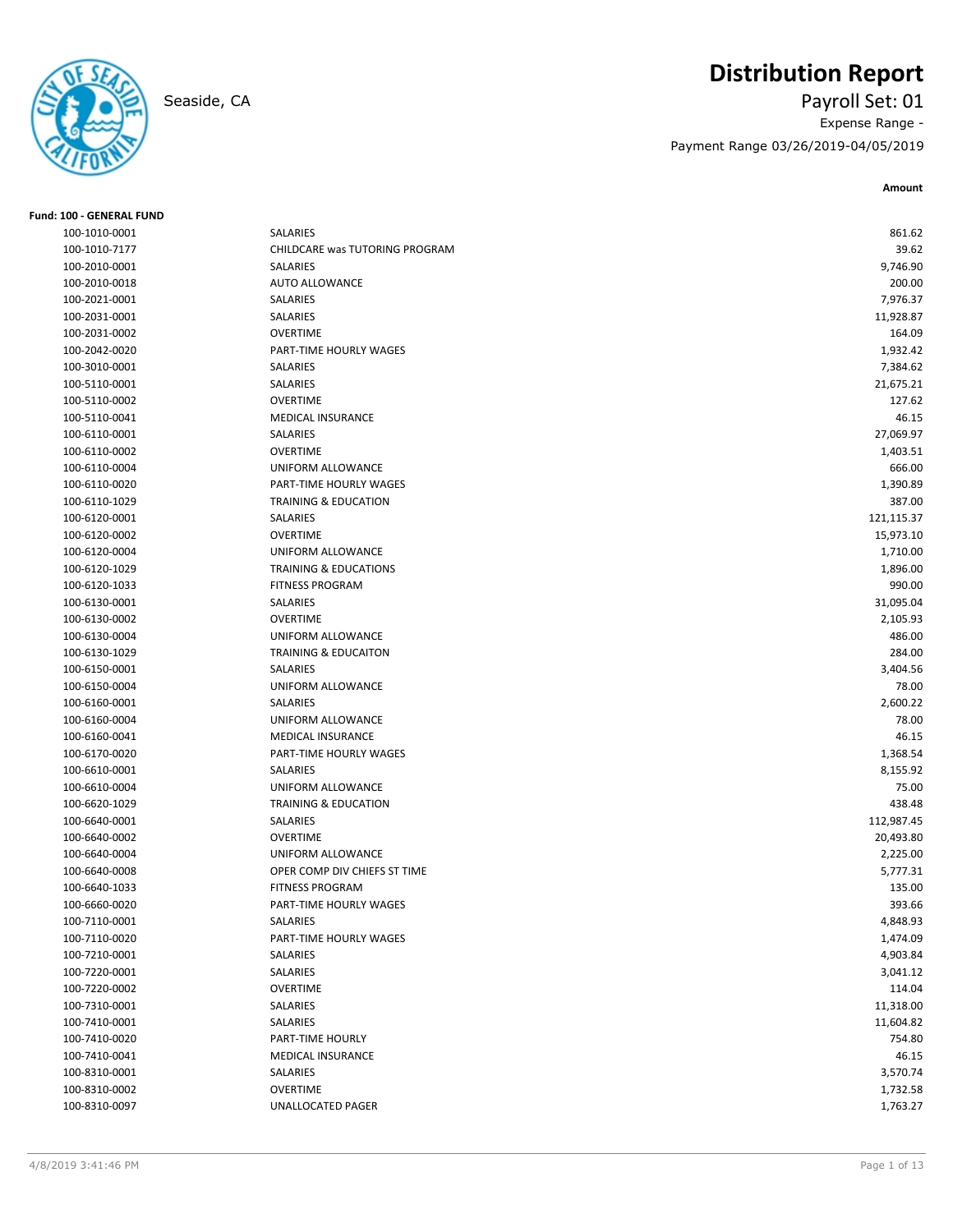## **Distribution Report**

Seaside, CA Payroll Set: 01 Expense Range - Payment Range 03/26/2019-04/05/2019

**Amount**

| Fund: 100 - GENERAL FUND |                                  |            |
|--------------------------|----------------------------------|------------|
| 100-1010-0001            | SALARIES                         | 861.62     |
| 100-1010-7177            | CHILDCARE was TUTORING PROGRAM   | 39.62      |
| 100-2010-0001            | SALARIES                         | 9,746.90   |
| 100-2010-0018            | <b>AUTO ALLOWANCE</b>            | 200.00     |
| 100-2021-0001            | SALARIES                         | 7,976.37   |
| 100-2031-0001            | SALARIES                         | 11,928.87  |
| 100-2031-0002            | <b>OVERTIME</b>                  | 164.09     |
| 100-2042-0020            | PART-TIME HOURLY WAGES           | 1,932.42   |
| 100-3010-0001            | SALARIES                         | 7,384.62   |
| 100-5110-0001            | SALARIES                         | 21,675.21  |
| 100-5110-0002            | <b>OVERTIME</b>                  | 127.62     |
| 100-5110-0041            | MEDICAL INSURANCE                | 46.15      |
| 100-6110-0001            | SALARIES                         | 27,069.97  |
| 100-6110-0002            | <b>OVERTIME</b>                  | 1,403.51   |
| 100-6110-0004            | UNIFORM ALLOWANCE                | 666.00     |
| 100-6110-0020            | PART-TIME HOURLY WAGES           | 1,390.89   |
| 100-6110-1029            | <b>TRAINING &amp; EDUCATION</b>  | 387.00     |
| 100-6120-0001            | SALARIES                         | 121,115.37 |
| 100-6120-0002            | <b>OVERTIME</b>                  | 15,973.10  |
| 100-6120-0004            | UNIFORM ALLOWANCE                | 1,710.00   |
| 100-6120-1029            | <b>TRAINING &amp; EDUCATIONS</b> | 1,896.00   |
| 100-6120-1033            | <b>FITNESS PROGRAM</b>           | 990.00     |
| 100-6130-0001            | <b>SALARIES</b>                  | 31,095.04  |
| 100-6130-0002            | <b>OVERTIME</b>                  | 2,105.93   |
| 100-6130-0004            | UNIFORM ALLOWANCE                | 486.00     |
| 100-6130-1029            | <b>TRAINING &amp; EDUCAITON</b>  | 284.00     |
| 100-6150-0001            | SALARIES                         | 3,404.56   |
| 100-6150-0004            | UNIFORM ALLOWANCE                | 78.00      |
| 100-6160-0001            | SALARIES                         | 2,600.22   |
| 100-6160-0004            | UNIFORM ALLOWANCE                | 78.00      |
| 100-6160-0041            | <b>MEDICAL INSURANCE</b>         | 46.15      |
| 100-6170-0020            | PART-TIME HOURLY WAGES           | 1,368.54   |
| 100-6610-0001            | SALARIES                         | 8,155.92   |
| 100-6610-0004            | UNIFORM ALLOWANCE                | 75.00      |
| 100-6620-1029            | TRAINING & EDUCATION             | 438.48     |
| 100-6640-0001            | SALARIES                         | 112,987.45 |
| 100-6640-0002            | <b>OVERTIME</b>                  | 20,493.80  |
| 100-6640-0004            | UNIFORM ALLOWANCE                | 2,225.00   |
| 100-6640-0008            | OPER COMP DIV CHIEFS ST TIME     | 5,777.31   |
| 100-6640-1033            | <b>FITNESS PROGRAM</b>           | 135.00     |
| 100-6660-0020            | PART-TIME HOURLY WAGES           | 393.66     |
| 100-7110-0001            | SALARIES                         | 4,848.93   |
| 100-7110-0020            | PART-TIME HOURLY WAGES           | 1,474.09   |
| 100-7210-0001            | SALARIES                         | 4,903.84   |
| 100-7220-0001            | SALARIES                         | 3,041.12   |
| 100-7220-0002            | <b>OVERTIME</b>                  | 114.04     |
| 100-7310-0001            | SALARIES                         | 11,318.00  |
| 100-7410-0001            | SALARIES                         | 11,604.82  |
| 100-7410-0020            | PART-TIME HOURLY                 | 754.80     |
| 100-7410-0041            | <b>MEDICAL INSURANCE</b>         | 46.15      |
| 100-8310-0001            | SALARIES                         | 3,570.74   |
| 100-8310-0002            | <b>OVERTIME</b>                  | 1,732.58   |
| 100-8310-0097            | UNALLOCATED PAGER                | 1,763.27   |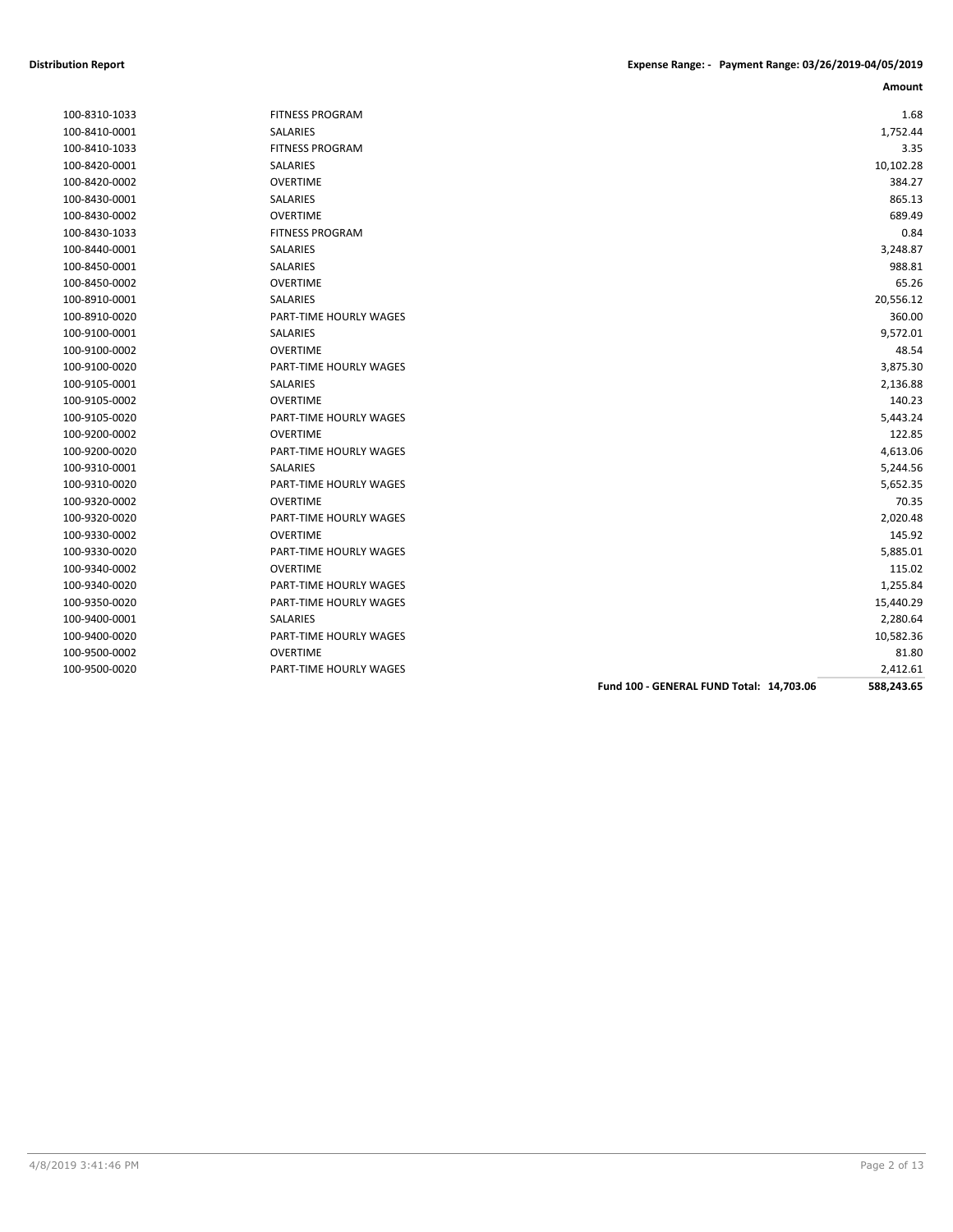| 100-8310-1033 |
|---------------|
| 100-8410-0001 |
| 100-8410-1033 |
| 100-8420-0001 |
| 100-8420-0002 |
| 100-8430-0001 |
| 100-8430-0002 |
| 100-8430-1033 |
| 100-8440-0001 |
| 100-8450-0001 |
| 100-8450-0002 |
| 100-8910-0001 |
| 100-8910-0020 |
| 100-9100-0001 |
| 100-9100-0002 |
| 100-9100-0020 |
| 100-9105-0001 |
| 100-9105-0002 |
| 100-9105-0020 |
| 100-9200-0002 |
| 100-9200-0020 |
| 100-9310-0001 |
| 100-9310-0020 |
| 100-9320-0002 |
| 100-9320-0020 |
| 100-9330-0002 |
| 100-9330-0020 |
| 100-9340-0002 |
| 100-9340-0020 |
| 100-9350-0020 |
| 100-9400-0001 |
| 100-9400-0020 |
| 100-9500-0002 |
|               |

| 100-8310-1033 | <b>FITNESS PROGRAM</b>        | 1.68      |
|---------------|-------------------------------|-----------|
| 100-8410-0001 | <b>SALARIES</b>               | 1,752.44  |
| 100-8410-1033 | <b>FITNESS PROGRAM</b>        | 3.35      |
| 100-8420-0001 | SALARIES                      | 10,102.28 |
| 100-8420-0002 | <b>OVERTIME</b>               | 384.27    |
| 100-8430-0001 | SALARIES                      | 865.13    |
| 100-8430-0002 | <b>OVERTIME</b>               | 689.49    |
| 100-8430-1033 | <b>FITNESS PROGRAM</b>        | 0.84      |
| 100-8440-0001 | <b>SALARIES</b>               | 3,248.87  |
| 100-8450-0001 | <b>SALARIES</b>               | 988.81    |
| 100-8450-0002 | <b>OVERTIME</b>               | 65.26     |
| 100-8910-0001 | <b>SALARIES</b>               | 20,556.12 |
| 100-8910-0020 | <b>PART-TIME HOURLY WAGES</b> | 360.00    |
| 100-9100-0001 | SALARIES                      | 9,572.01  |
| 100-9100-0002 | <b>OVERTIME</b>               | 48.54     |
| 100-9100-0020 | PART-TIME HOURLY WAGES        | 3,875.30  |
| 100-9105-0001 | <b>SALARIES</b>               | 2,136.88  |
| 100-9105-0002 | <b>OVERTIME</b>               | 140.23    |
| 100-9105-0020 | PART-TIME HOURLY WAGES        | 5,443.24  |
| 100-9200-0002 | <b>OVERTIME</b>               | 122.85    |
| 100-9200-0020 | <b>PART-TIME HOURLY WAGES</b> | 4,613.06  |
| 100-9310-0001 | SALARIES                      | 5,244.56  |
| 100-9310-0020 | PART-TIME HOURLY WAGES        | 5,652.35  |
| 100-9320-0002 | <b>OVERTIME</b>               | 70.35     |
| 100-9320-0020 | PART-TIME HOURLY WAGES        | 2,020.48  |
| 100-9330-0002 | <b>OVERTIME</b>               | 145.92    |
| 100-9330-0020 | PART-TIME HOURLY WAGES        | 5,885.01  |
| 100-9340-0002 | <b>OVERTIME</b>               | 115.02    |
| 100-9340-0020 | PART-TIME HOURLY WAGES        | 1,255.84  |
| 100-9350-0020 | PART-TIME HOURLY WAGES        | 15,440.29 |
| 100-9400-0001 | <b>SALARIES</b>               | 2,280.64  |
| 100-9400-0020 | <b>PART-TIME HOURLY WAGES</b> | 10,582.36 |
| 100-9500-0002 | <b>OVERTIME</b>               | 81.80     |
| 100-9500-0020 | <b>PART-TIME HOURLY WAGES</b> | 2,412.61  |

**Fund 100 - GENERAL FUND Total: 14,703.06 588,243.65**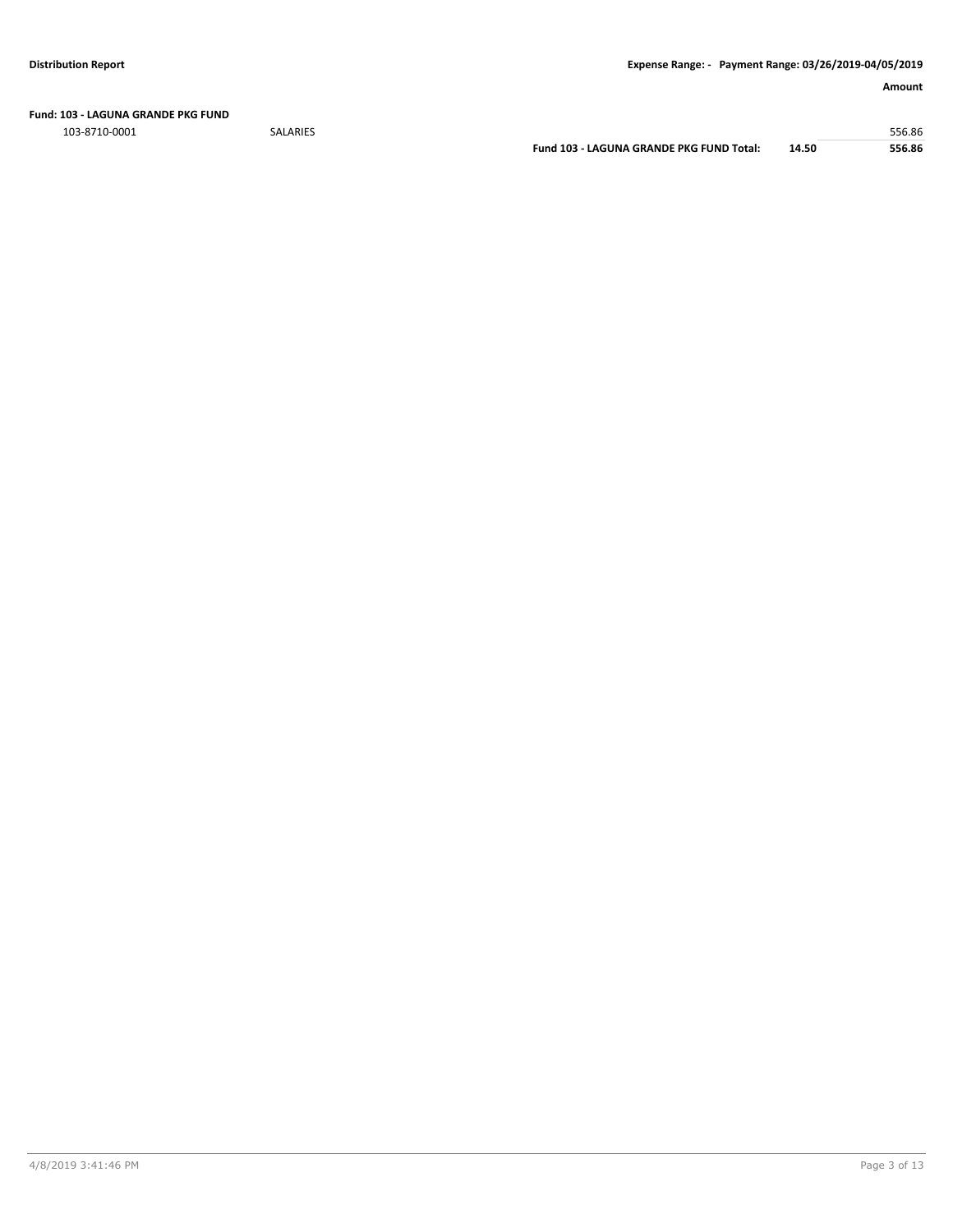**Fund: 103 - LAGUNA GRANDE PKG FUND**

103-8710-0001 SALARIES 556.86

**Fund 103 - LAGUNA GRANDE PKG FUND Total: 14.50 556.86**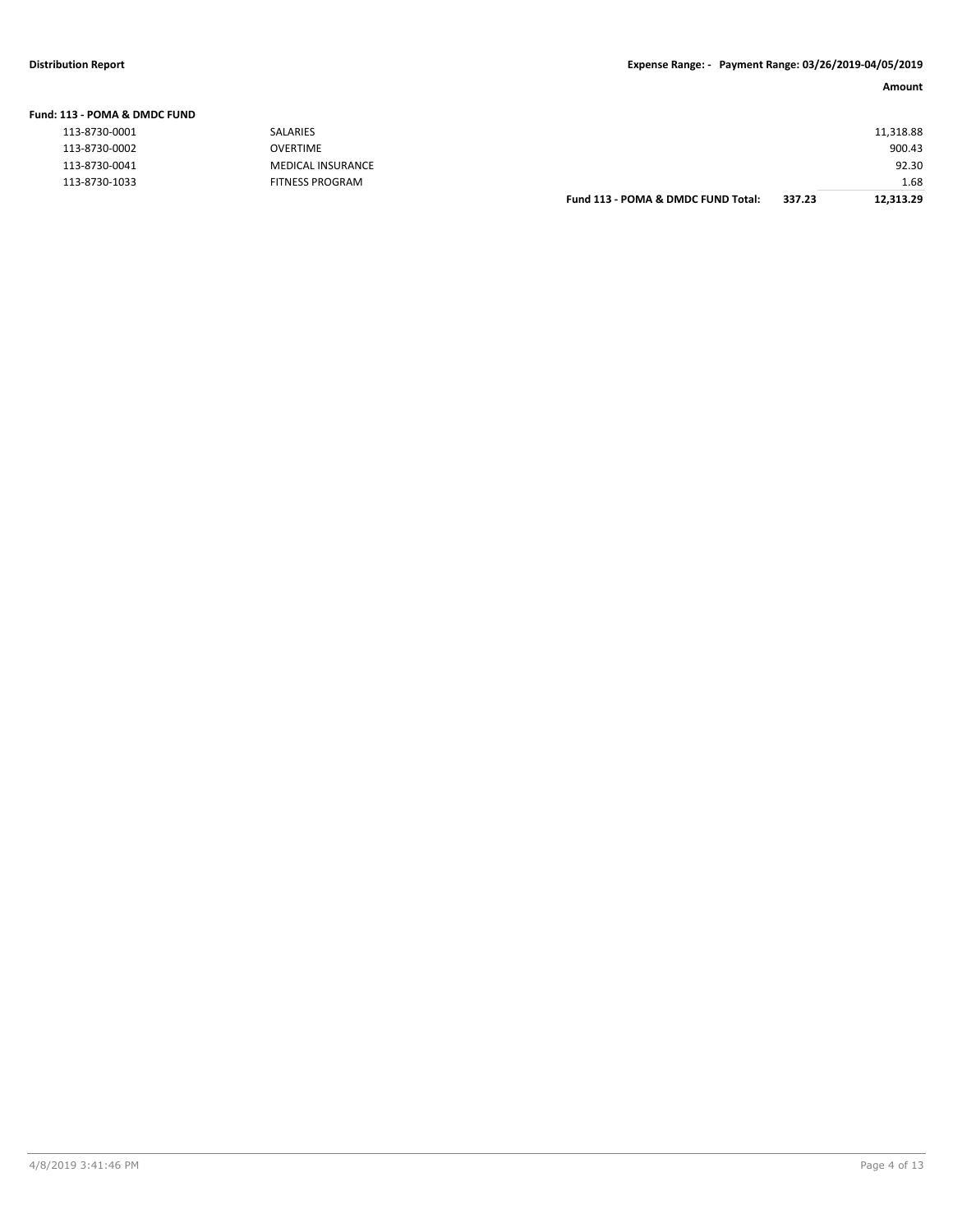| Fund: 113 - POMA & DMDC FUND |                          |                                    |        |           |
|------------------------------|--------------------------|------------------------------------|--------|-----------|
| 113-8730-0001                | <b>SALARIES</b>          |                                    |        | 11,318.88 |
| 113-8730-0002                | OVERTIME                 |                                    |        | 900.43    |
| 113-8730-0041                | <b>MEDICAL INSURANCE</b> |                                    |        | 92.30     |
| 113-8730-1033                | <b>FITNESS PROGRAM</b>   |                                    |        | 1.68      |
|                              |                          | Fund 113 - POMA & DMDC FUND Total: | 337.23 | 12.313.29 |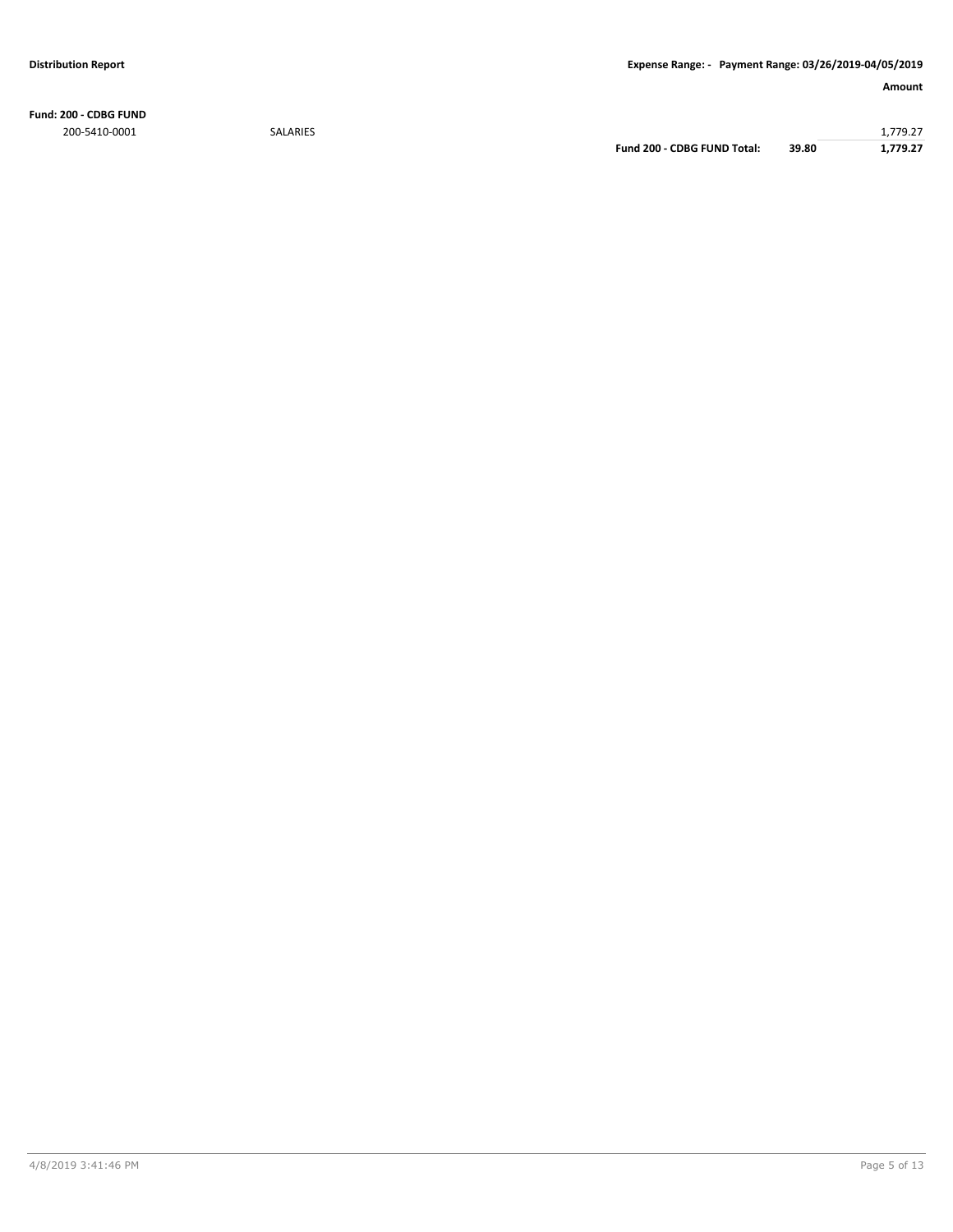**Fund: 200 - CDBG FUND** 200-5410-0001 SALARIES 1,779.27

**Fund 200 - CDBG FUND Total: 39.80 1,779.27**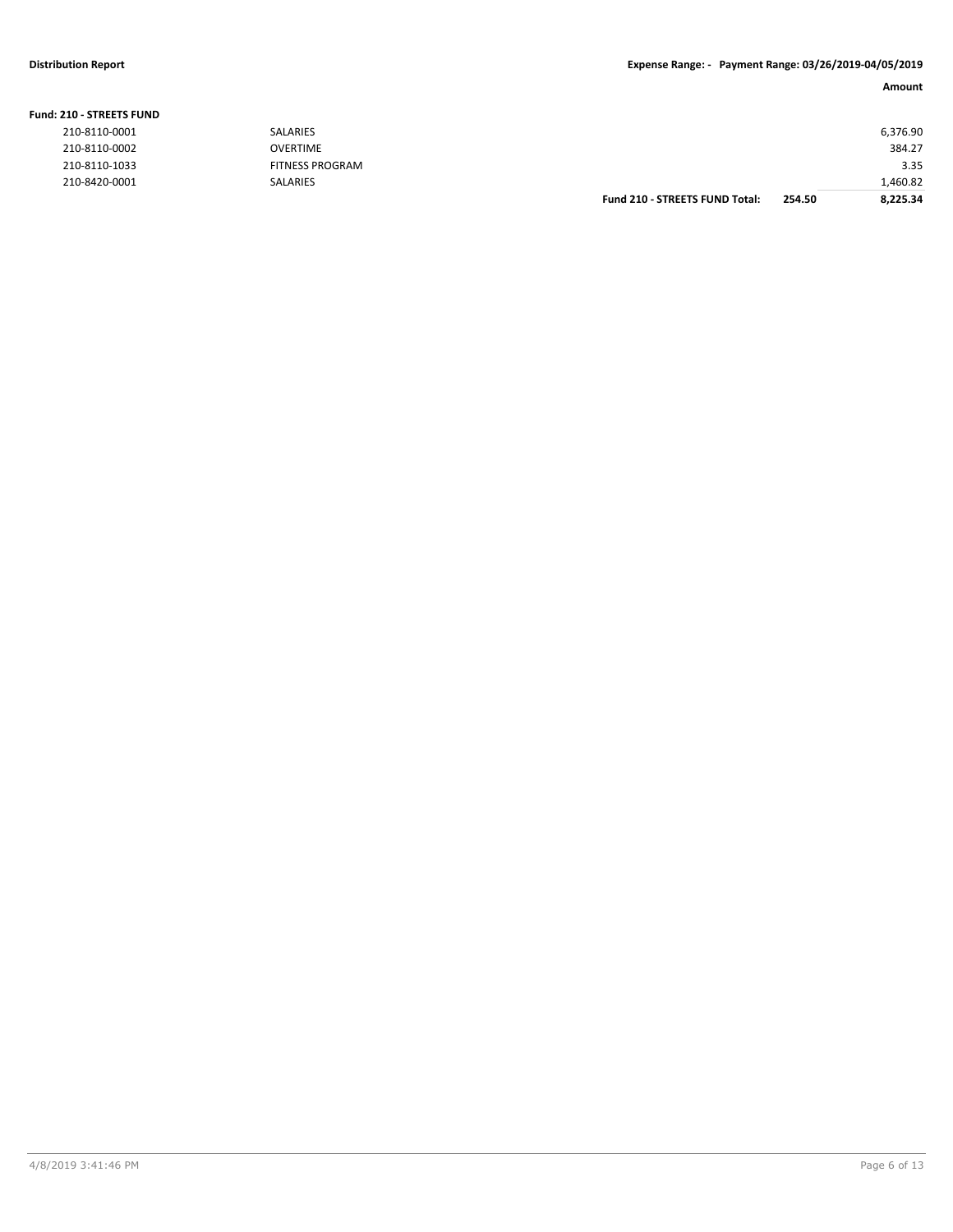### **Distribution Report Expense Range: - Payment Range: 03/26/2019-04/05/2019**

### **Amount**

| <b>210 - STREETS FUND</b> |                        |                                       |        |          |
|---------------------------|------------------------|---------------------------------------|--------|----------|
| 210-8110-0001             | SALARIES               |                                       |        | 6,376.90 |
| 210-8110-0002             | <b>OVERTIME</b>        |                                       |        | 384.27   |
| 210-8110-1033             | <b>FITNESS PROGRAM</b> |                                       |        | 3.35     |
| 210-8420-0001             | SALARIES               |                                       |        | 1,460.82 |
|                           |                        | <b>Fund 210 - STREETS FUND Total:</b> | 254.50 | 8.225.34 |

|  |  | <b>Fund: 210 - STREETS FUND</b> |  |
|--|--|---------------------------------|--|
|--|--|---------------------------------|--|

| 210-8110-0001 |
|---------------|
| 210-8110-0002 |
| 210-8110-1033 |
| 210-8420-0001 |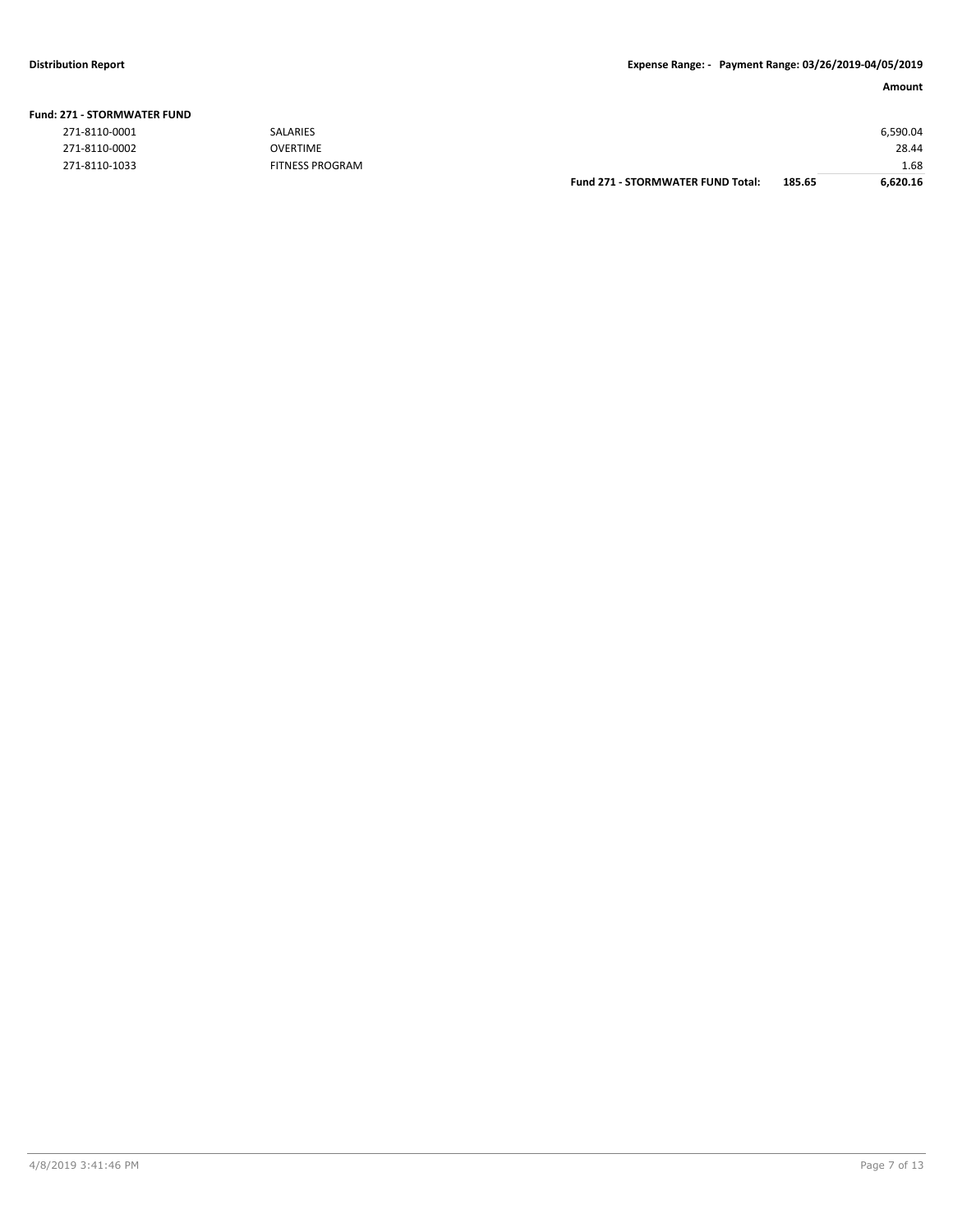|                        |                        | <b>Fund 271 - STORMWATER FUND Total:</b> | 185.65 | 6,620.16 |
|------------------------|------------------------|------------------------------------------|--------|----------|
| 271-8110-1033          | <b>FITNESS PROGRAM</b> |                                          |        | 1.68     |
| 271-8110-0002          | OVERTIME               |                                          |        | 28.44    |
| 271-8110-0001          | <b>SALARIES</b>        |                                          |        | 6,590.04 |
| 71 - SIURIVIWAIER FUND |                        |                                          |        |          |

#### **Fund: 271 - STORMWATER FUND**

| 271-8110-0001 |  |
|---------------|--|
| 271-8110-0002 |  |
| 271-8110-1033 |  |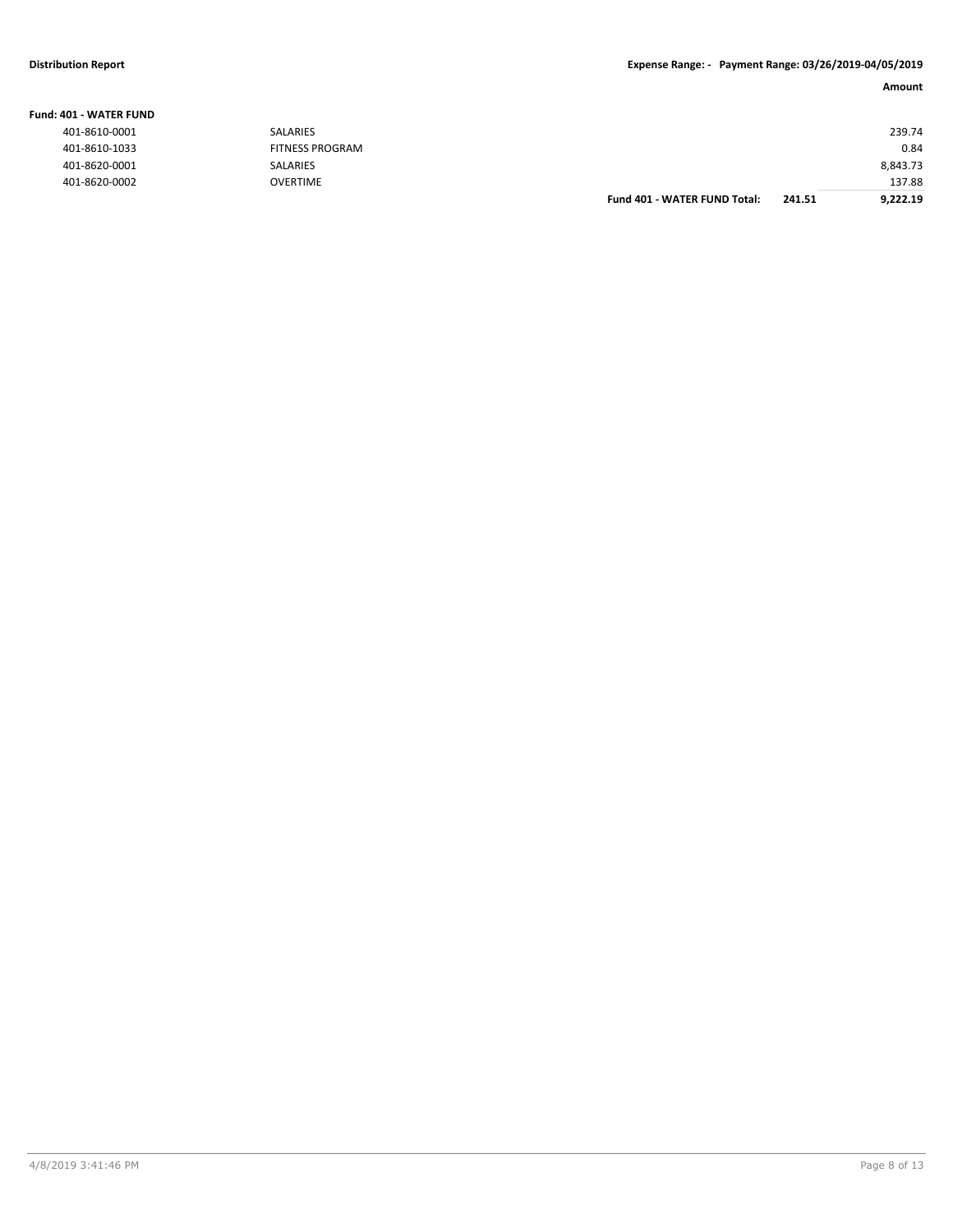### **Distribution Report Expense Range: - Payment Range: 03/26/2019-04/05/2019**

### **Amount**

| IO1 - WATER FUND |                        |                              |        |          |
|------------------|------------------------|------------------------------|--------|----------|
| 401-8610-0001    | SALARIES               |                              |        | 239.74   |
| 401-8610-1033    | <b>FITNESS PROGRAM</b> |                              |        | 0.84     |
| 401-8620-0001    | <b>SALARIES</b>        |                              |        | 8,843.73 |
| 401-8620-0002    | <b>OVERTIME</b>        |                              |        | 137.88   |
|                  |                        | Fund 401 - WATER FUND Total: | 241.51 | 9,222.19 |

#### **Fund: 401 - WATER FUND**

| 401-8610-0001 |
|---------------|
| 401-8610-1033 |
| 401-8620-0001 |
| 401-8620-0002 |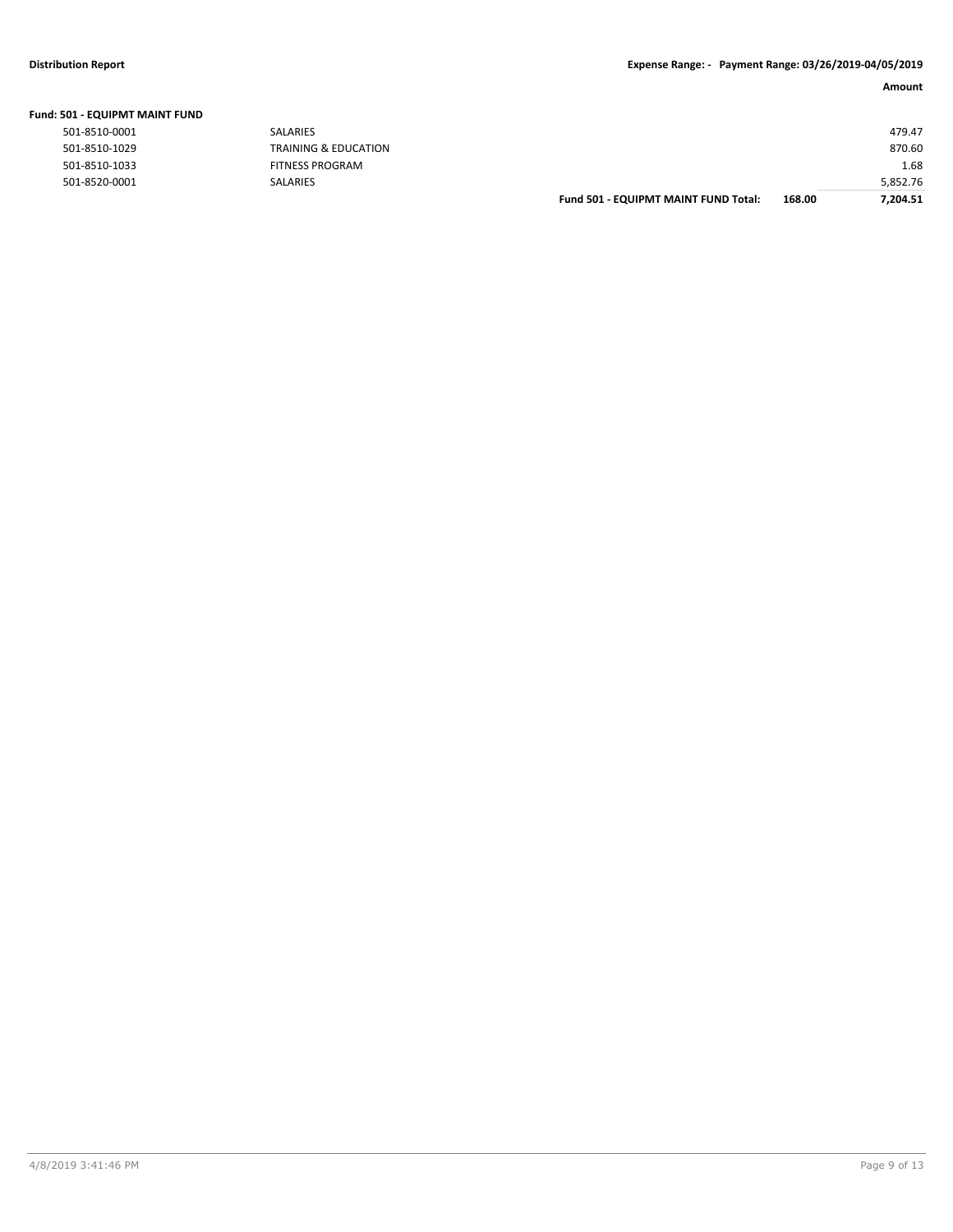|  |  |  | Fund: 501 - EQUIPMT MAINT FUND |  |
|--|--|--|--------------------------------|--|
|--|--|--|--------------------------------|--|

| 501-8510-0001  |
|----------------|
| 501-8510-1029  |
| 501-8510-1033  |
| E01. 0E30.0001 |

| JUI - EQUIPINI I MAINT FUND |                        |                                      |        |          |
|-----------------------------|------------------------|--------------------------------------|--------|----------|
| 501-8510-0001               | SALARIES               |                                      |        | 479.47   |
| 501-8510-1029               | TRAINING & EDUCATION   |                                      |        | 870.60   |
| 501-8510-1033               | <b>FITNESS PROGRAM</b> |                                      |        | 1.68     |
| 501-8520-0001               | SALARIES               |                                      |        | 5,852.76 |
|                             |                        | Fund 501 - EQUIPMT MAINT FUND Total: | 168.00 | 7,204.51 |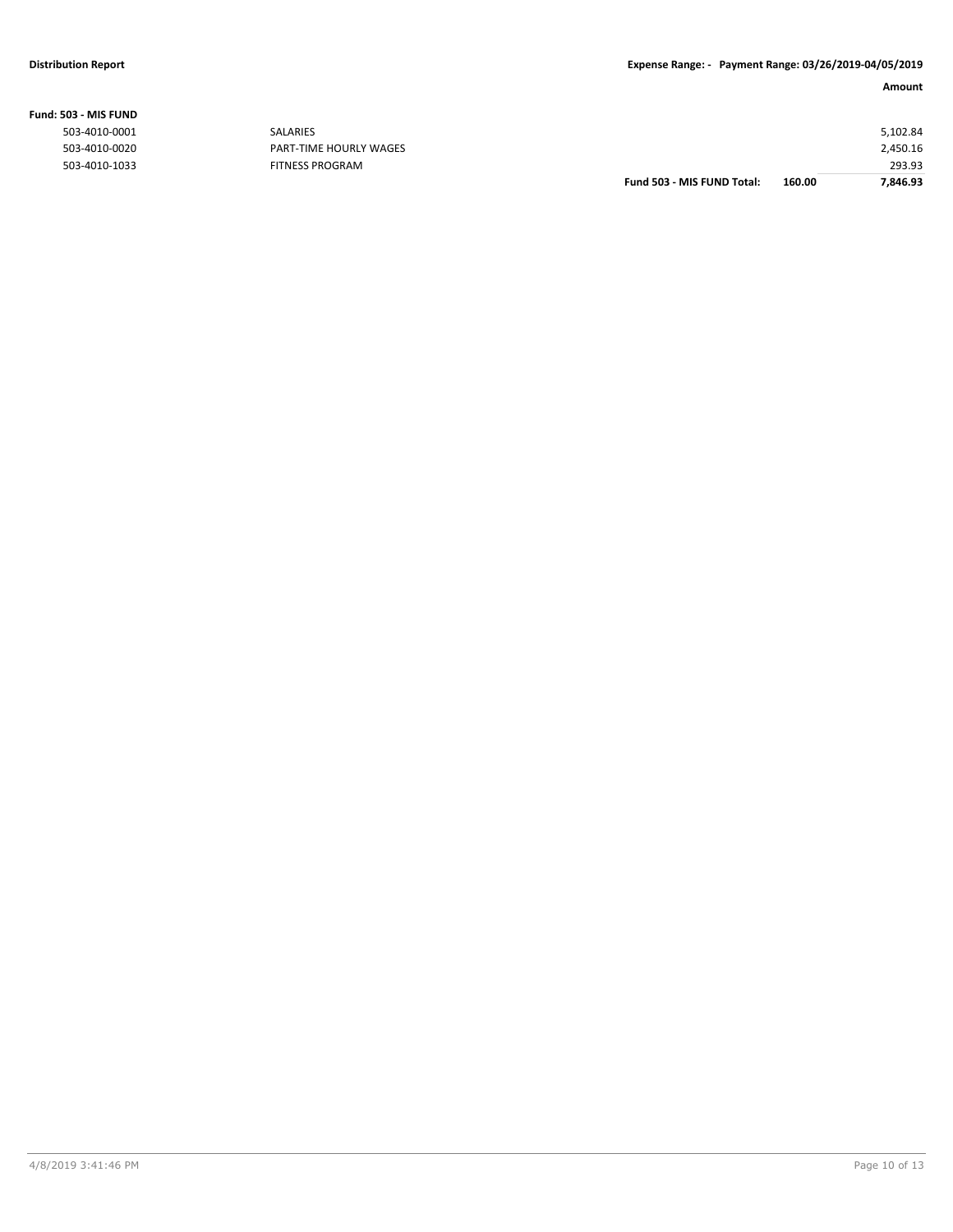|                |                        | Fund 503 - MIS FUND Total: | 160.00 | 7,846.93 |
|----------------|------------------------|----------------------------|--------|----------|
| 503-4010-1033  | <b>FITNESS PROGRAM</b> |                            |        | 293.93   |
| 503-4010-0020  | PART-TIME HOURLY WAGES |                            |        | 2,450.16 |
| 503-4010-0001  | SALARIES               |                            |        | 5,102.84 |
| 603 - MIS FUND |                        |                            |        |          |

### **Fund: 503 - MIS FUND**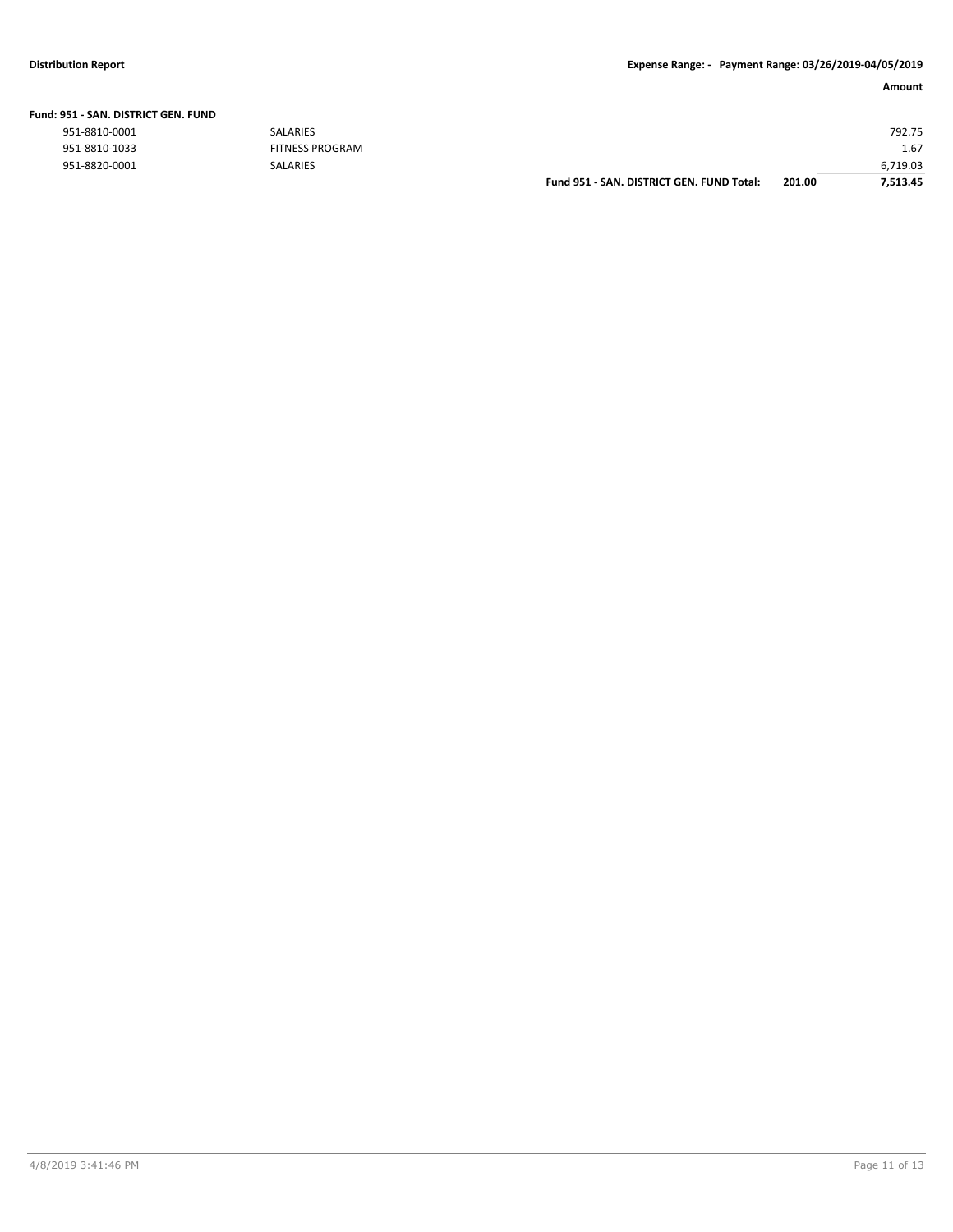| Fund: 951 - SAN. DISTRICT GEN. FUND |  |  |  |
|-------------------------------------|--|--|--|
|                                     |  |  |  |

| 951-8810-0001 | SALARIES               |                                           |        | 792.75   |
|---------------|------------------------|-------------------------------------------|--------|----------|
| 951-8810-1033 | <b>FITNESS PROGRAM</b> |                                           |        | 1.67     |
| 951-8820-0001 | SALARIES               |                                           |        | 6,719.03 |
|               |                        | Fund 951 - SAN. DISTRICT GEN. FUND Total: | 201.00 | 7,513.45 |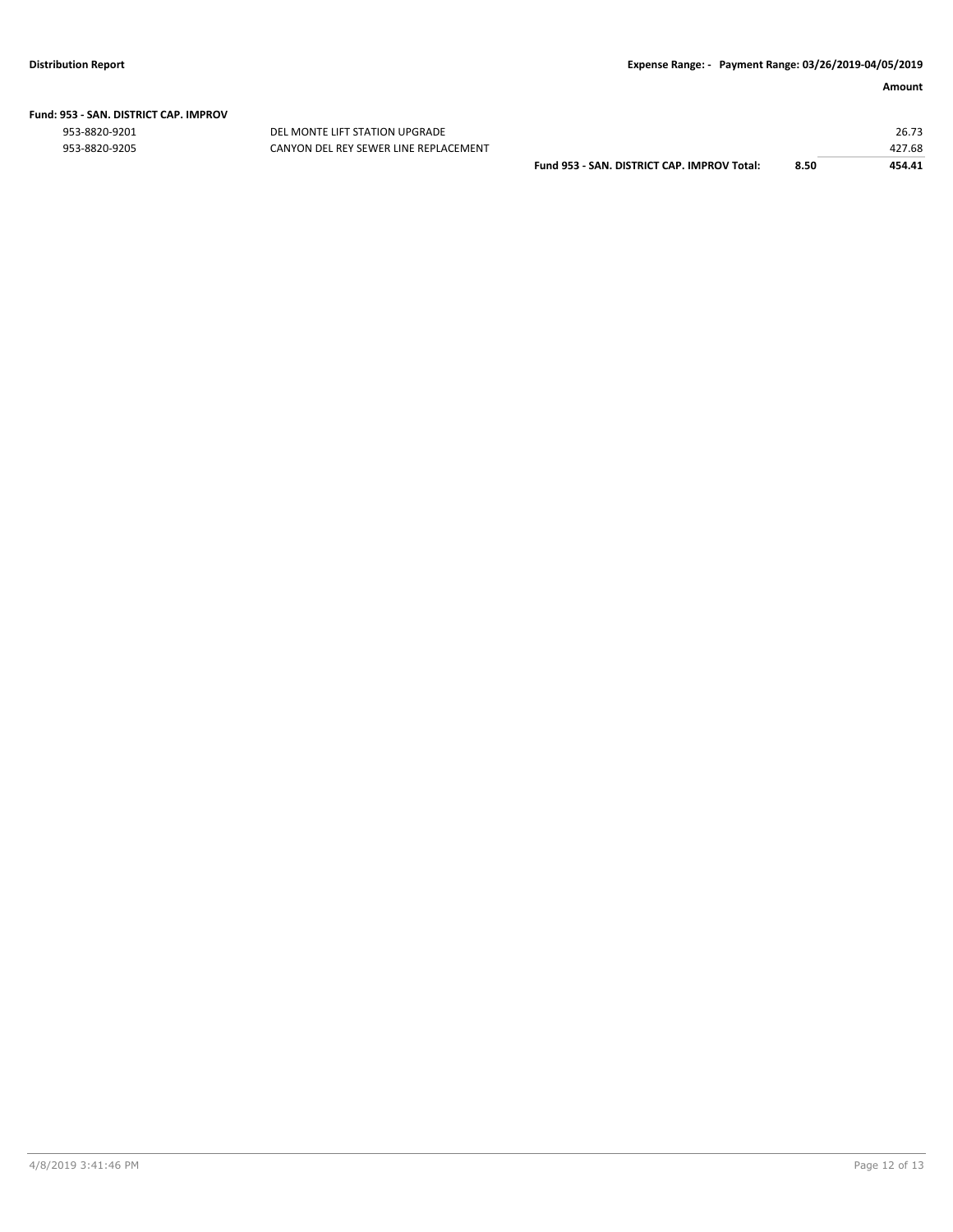# **Fund: 953 - SAN. DISTRICT CAP. IMPROV**

953-8820-9201 DEL MONTE LIFT STATION UPGRADE 26.73

| 953-8820-9205 | CANYON DEL REY SEWER LINE REPLACEMENT |                                             |      | 427.68 |
|---------------|---------------------------------------|---------------------------------------------|------|--------|
|               |                                       | Fund 953 - SAN, DISTRICT CAP, IMPROV Total: | 8.50 | 454.41 |